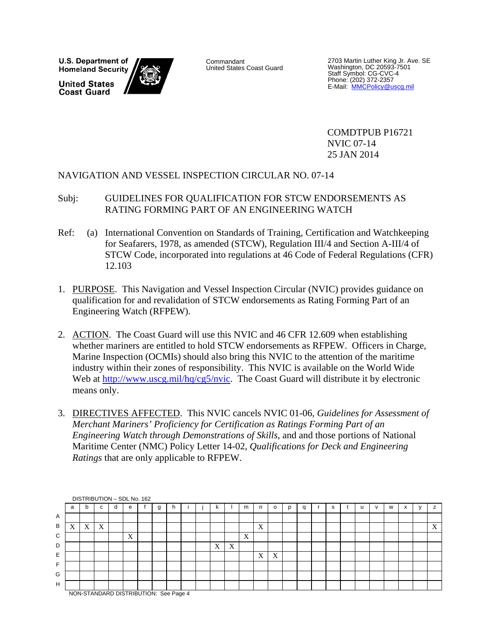**U.S. Department of Homeland Security United States Coast Guard** 



Commandant United States Coast Guard

2703 Martin Luther King Jr. Ave. SE Washington, DC 20593-7501 Staff Symbol: CG-CVC-4 Phone: (202) 372-2357<br>E-Mail: <u>MMCPolicy@uscg.mil</u>

 COMDTPUB P16721 NVIC 07-14 25 JAN 2014

#### NAVIGATION AND VESSEL INSPECTION CIRCULAR NO. 07-14

#### Subj: GUIDELINES FOR QUALIFICATION FOR STCW ENDORSEMENTS AS RATING FORMING PART OF AN ENGINEERING WATCH

- Ref: (a) International Convention on Standards of Training, Certification and Watchkeeping for Seafarers, 1978, as amended (STCW), Regulation III/4 and Section A-III/4 of STCW Code, incorporated into regulations at 46 Code of Federal Regulations (CFR) 12.103
- 1. PURPOSE. This Navigation and Vessel Inspection Circular (NVIC) provides guidance on qualification for and revalidation of STCW endorsements as Rating Forming Part of an Engineering Watch (RFPEW).
- 2. ACTION. The Coast Guard will use this NVIC and 46 CFR 12.609 when establishing whether mariners are entitled to hold STCW endorsements as RFPEW. Officers in Charge, Marine Inspection (OCMIs) should also bring this NVIC to the attention of the maritime industry within their zones of responsibility. This NVIC is available on the World Wide Web at http://www.uscg.mil/hq/cg5/nvic. The Coast Guard will distribute it by electronic means only.
- 3. DIRECTIVES AFFECTED. This NVIC cancels NVIC 01-06, *Guidelines for Assessment of Merchant Mariners' Proficiency for Certification as Ratings Forming Part of an Engineering Watch through Demonstrations of Skills*, and and those portions of National Maritime Center (NMC) Policy Letter 14-02, *Qualifications for Deck and Engineering Ratings* that are only applicable to RFPEW.

|                |                                       |   |             |  |   | DISTRIBUTION - SDL No. 162 |   |   |  |   |   |   |   |         |   |   |  |   |   |   |
|----------------|---------------------------------------|---|-------------|--|---|----------------------------|---|---|--|---|---|---|---|---------|---|---|--|---|---|---|
|                | a                                     | b | $\sim$<br>u |  | е |                            | g | h |  |   |   | m | n | $\circ$ | q | s |  | w | ⋏ | z |
| $\overline{A}$ |                                       |   |             |  |   |                            |   |   |  |   |   |   |   |         |   |   |  |   |   |   |
| В              | X                                     | X | X           |  |   |                            |   |   |  |   |   |   | X |         |   |   |  |   |   | X |
| C              |                                       |   |             |  | X |                            |   |   |  |   |   | X |   |         |   |   |  |   |   |   |
| D              |                                       |   |             |  |   |                            |   |   |  | X | X |   |   |         |   |   |  |   |   |   |
| Ε              |                                       |   |             |  |   |                            |   |   |  |   |   |   | X | X       |   |   |  |   |   |   |
| F              |                                       |   |             |  |   |                            |   |   |  |   |   |   |   |         |   |   |  |   |   |   |
| G              |                                       |   |             |  |   |                            |   |   |  |   |   |   |   |         |   |   |  |   |   |   |
| H              |                                       |   |             |  |   |                            |   |   |  |   |   |   |   |         |   |   |  |   |   |   |
|                | NON-STANDARD DISTRIBUTION: See Page 4 |   |             |  |   |                            |   |   |  |   |   |   |   |         |   |   |  |   |   |   |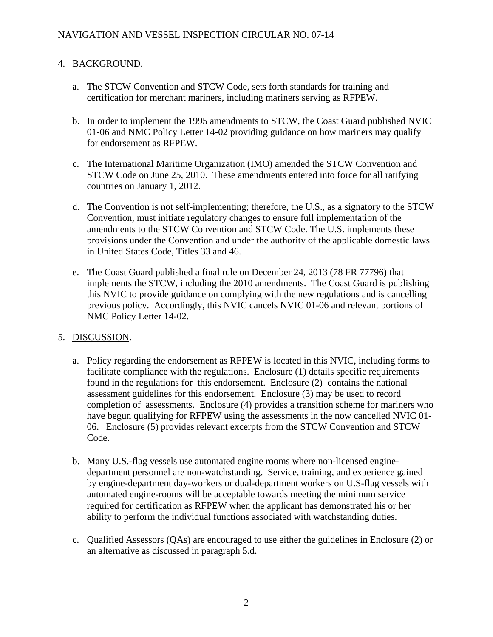#### 4. BACKGROUND.

- a. The STCW Convention and STCW Code, sets forth standards for training and certification for merchant mariners, including mariners serving as RFPEW.
- b. In order to implement the 1995 amendments to STCW, the Coast Guard published NVIC 01-06 and NMC Policy Letter 14-02 providing guidance on how mariners may qualify for endorsement as RFPEW.
- c. The International Maritime Organization (IMO) amended the STCW Convention and STCW Code on June 25, 2010. These amendments entered into force for all ratifying countries on January 1, 2012.
- d. The Convention is not self-implementing; therefore, the U.S., as a signatory to the STCW Convention, must initiate regulatory changes to ensure full implementation of the amendments to the STCW Convention and STCW Code. The U.S. implements these provisions under the Convention and under the authority of the applicable domestic laws in United States Code, Titles 33 and 46.
- e. The Coast Guard published a final rule on December 24, 2013 (78 FR 77796) that implements the STCW, including the 2010 amendments. The Coast Guard is publishing this NVIC to provide guidance on complying with the new regulations and is cancelling previous policy. Accordingly, this NVIC cancels NVIC 01-06 and relevant portions of NMC Policy Letter 14-02.

# 5. DISCUSSION.

- a. Policy regarding the endorsement as RFPEW is located in this NVIC, including forms to facilitate compliance with the regulations. Enclosure (1) details specific requirements found in the regulations for this endorsement. Enclosure (2) contains the national assessment guidelines for this endorsement. Enclosure (3) may be used to record completion of assessments. Enclosure (4) provides a transition scheme for mariners who have begun qualifying for RFPEW using the assessments in the now cancelled NVIC 01- 06. Enclosure (5) provides relevant excerpts from the STCW Convention and STCW Code.
- b. Many U.S.-flag vessels use automated engine rooms where non-licensed enginedepartment personnel are non-watchstanding. Service, training, and experience gained by engine-department day-workers or dual-department workers on U.S-flag vessels with automated engine-rooms will be acceptable towards meeting the minimum service required for certification as RFPEW when the applicant has demonstrated his or her ability to perform the individual functions associated with watchstanding duties.
- c. Qualified Assessors (QAs) are encouraged to use either the guidelines in Enclosure (2) or an alternative as discussed in paragraph 5.d.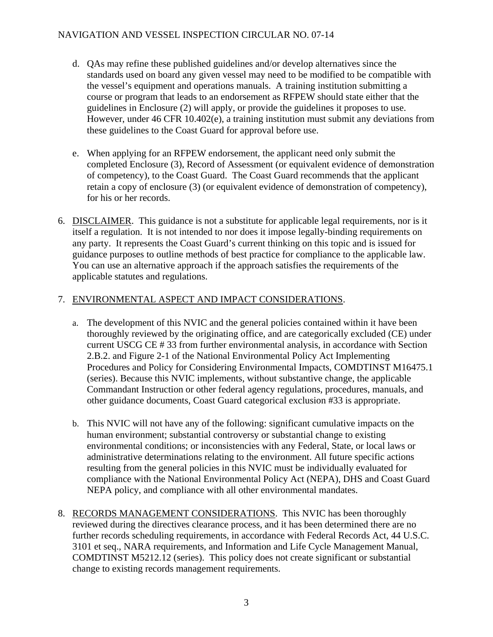#### NAVIGATION AND VESSEL INSPECTION CIRCULAR NO. 07-14

- d. QAs may refine these published guidelines and/or develop alternatives since the standards used on board any given vessel may need to be modified to be compatible with the vessel's equipment and operations manuals. A training institution submitting a course or program that leads to an endorsement as RFPEW should state either that the guidelines in Enclosure (2) will apply, or provide the guidelines it proposes to use. However, under 46 CFR 10.402(e), a training institution must submit any deviations from these guidelines to the Coast Guard for approval before use.
- e. When applying for an RFPEW endorsement, the applicant need only submit the completed Enclosure (3), Record of Assessment (or equivalent evidence of demonstration of competency), to the Coast Guard. The Coast Guard recommends that the applicant retain a copy of enclosure (3) (or equivalent evidence of demonstration of competency), for his or her records.
- 6. DISCLAIMER. This guidance is not a substitute for applicable legal requirements, nor is it itself a regulation. It is not intended to nor does it impose legally-binding requirements on any party. It represents the Coast Guard's current thinking on this topic and is issued for guidance purposes to outline methods of best practice for compliance to the applicable law. You can use an alternative approach if the approach satisfies the requirements of the applicable statutes and regulations.

#### 7. ENVIRONMENTAL ASPECT AND IMPACT CONSIDERATIONS.

- a. The development of this NVIC and the general policies contained within it have been thoroughly reviewed by the originating office, and are categorically excluded (CE) under current USCG CE # 33 from further environmental analysis, in accordance with Section 2.B.2. and Figure 2-1 of the National Environmental Policy Act Implementing Procedures and Policy for Considering Environmental Impacts, COMDTINST M16475.1 (series). Because this NVIC implements, without substantive change, the applicable Commandant Instruction or other federal agency regulations, procedures, manuals, and other guidance documents, Coast Guard categorical exclusion #33 is appropriate.
- b. This NVIC will not have any of the following: significant cumulative impacts on the human environment; substantial controversy or substantial change to existing environmental conditions; or inconsistencies with any Federal, State, or local laws or administrative determinations relating to the environment. All future specific actions resulting from the general policies in this NVIC must be individually evaluated for compliance with the National Environmental Policy Act (NEPA), DHS and Coast Guard NEPA policy, and compliance with all other environmental mandates.
- 8. RECORDS MANAGEMENT CONSIDERATIONS. This NVIC has been thoroughly reviewed during the directives clearance process, and it has been determined there are no further records scheduling requirements, in accordance with Federal Records Act, 44 U.S.C. 3101 et seq., NARA requirements, and Information and Life Cycle Management Manual, COMDTINST M5212.12 (series). This policy does not create significant or substantial change to existing records management requirements.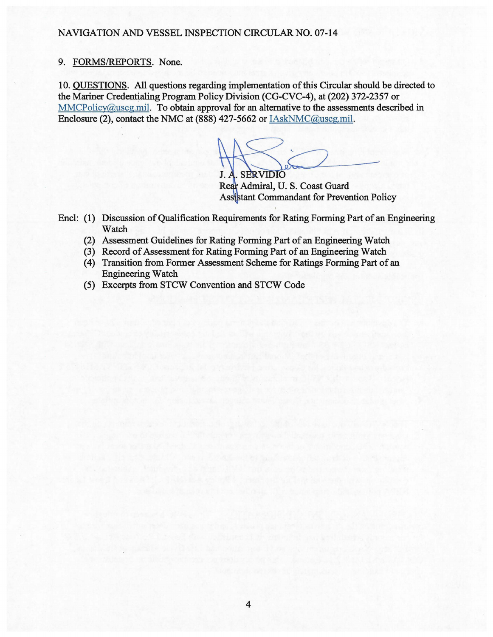#### NAVIGATION AND VESSEL INSPECTION CIRCULAR NO. 07-14

#### 9. FORMS/REPORTS. None.

10. QUESTIONS. All questions regarding implementation of this Circular should be directed to the Mariner Credentialing Program Policy Division (CG-CVC-4), at (202) 372-2357 or MMCPolicy@uscg.mil. To obtain approval for an alternative to the assessments described in Enclosure (2), contact the NMC at (888) 427-5662 or IAskNMC@uscg.mil.

**J. A. SERVIDIO** 

Rear Admiral, U.S. Coast Guard **Assistant Commandant for Prevention Policy** 

Encl: (1) Discussion of Qualification Requirements for Rating Forming Part of an Engineering Watch

- (2) Assessment Guidelines for Rating Forming Part of an Engineering Watch
- (3) Record of Assessment for Rating Forming Part of an Engineering Watch
- (4) Transition from Former Assessment Scheme for Ratings Forming Part of an Engineering Watch
- (5) Excerpts from STCW Convention and STCW Code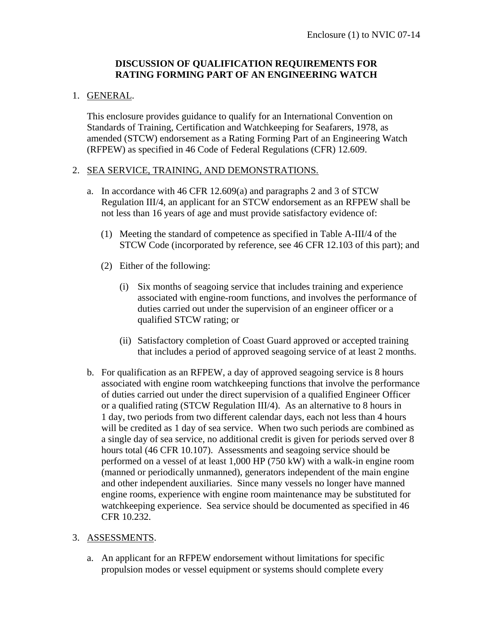#### **DISCUSSION OF QUALIFICATION REQUIREMENTS FOR RATING FORMING PART OF AN ENGINEERING WATCH**

#### 1. GENERAL.

 This enclosure provides guidance to qualify for an International Convention on Standards of Training, Certification and Watchkeeping for Seafarers, 1978, as amended (STCW) endorsement as a Rating Forming Part of an Engineering Watch (RFPEW) as specified in 46 Code of Federal Regulations (CFR) 12.609.

#### 2. SEA SERVICE, TRAINING, AND DEMONSTRATIONS.

- a. In accordance with 46 CFR 12.609(a) and paragraphs 2 and 3 of STCW Regulation III/4, an applicant for an STCW endorsement as an RFPEW shall be not less than 16 years of age and must provide satisfactory evidence of:
	- (1) Meeting the standard of competence as specified in Table A-III/4 of the STCW Code (incorporated by reference, see 46 CFR 12.103 of this part); and
	- (2) Either of the following:
		- (i) Six months of seagoing service that includes training and experience associated with engine-room functions, and involves the performance of duties carried out under the supervision of an engineer officer or a qualified STCW rating; or
		- (ii) Satisfactory completion of Coast Guard approved or accepted training that includes a period of approved seagoing service of at least 2 months.
- b. For qualification as an RFPEW, a day of approved seagoing service is 8 hours associated with engine room watchkeeping functions that involve the performance of duties carried out under the direct supervision of a qualified Engineer Officer or a qualified rating (STCW Regulation III/4). As an alternative to 8 hours in 1 day, two periods from two different calendar days, each not less than 4 hours will be credited as 1 day of sea service. When two such periods are combined as a single day of sea service, no additional credit is given for periods served over 8 hours total (46 CFR 10.107). Assessments and seagoing service should be performed on a vessel of at least 1,000 HP (750 kW) with a walk-in engine room (manned or periodically unmanned), generators independent of the main engine and other independent auxiliaries. Since many vessels no longer have manned engine rooms, experience with engine room maintenance may be substituted for watchkeeping experience. Sea service should be documented as specified in 46 CFR 10.232.

#### 3. ASSESSMENTS.

a. An applicant for an RFPEW endorsement without limitations for specific propulsion modes or vessel equipment or systems should complete every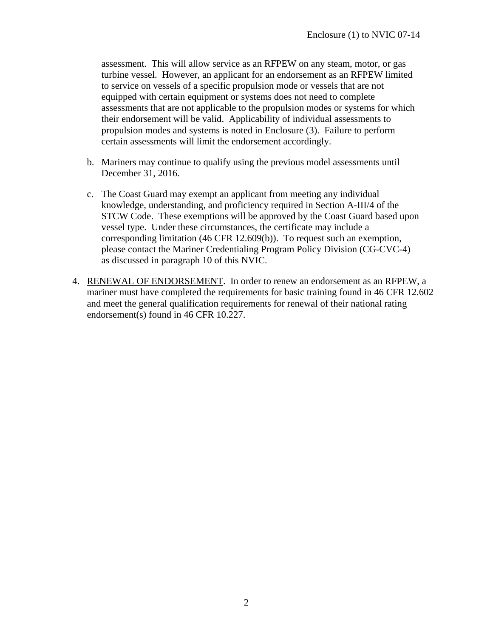assessment. This will allow service as an RFPEW on any steam, motor, or gas turbine vessel. However, an applicant for an endorsement as an RFPEW limited to service on vessels of a specific propulsion mode or vessels that are not equipped with certain equipment or systems does not need to complete assessments that are not applicable to the propulsion modes or systems for which their endorsement will be valid. Applicability of individual assessments to propulsion modes and systems is noted in Enclosure (3). Failure to perform certain assessments will limit the endorsement accordingly.

- b. Mariners may continue to qualify using the previous model assessments until December 31, 2016.
- c. The Coast Guard may exempt an applicant from meeting any individual knowledge, understanding, and proficiency required in Section A-III/4 of the STCW Code. These exemptions will be approved by the Coast Guard based upon vessel type. Under these circumstances, the certificate may include a corresponding limitation (46 CFR 12.609(b)). To request such an exemption, please contact the Mariner Credentialing Program Policy Division (CG-CVC-4) as discussed in paragraph 10 of this NVIC.
- 4. RENEWAL OF ENDORSEMENT. In order to renew an endorsement as an RFPEW, a mariner must have completed the requirements for basic training found in 46 CFR 12.602 and meet the general qualification requirements for renewal of their national rating endorsement(s) found in 46 CFR 10.227.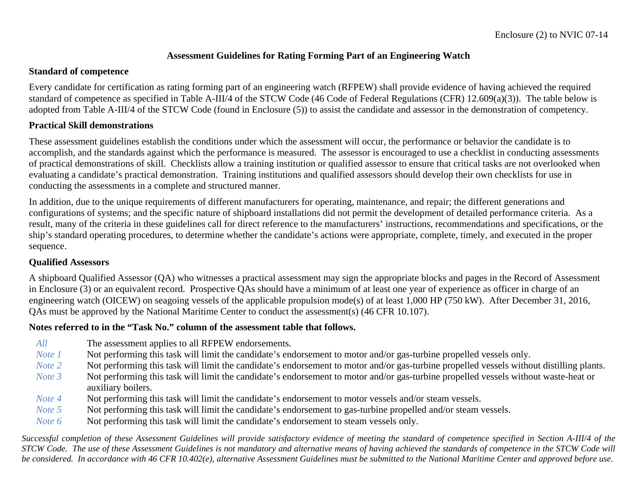#### **Assessment Guidelines for Rating Forming Part of an Engineering Watch**

#### **Standard of competence**

Every candidate for certification as rating forming part of an engineering watch (RFPEW) shall provide evidence of having achieved the required standard of competence as specified in Table A-III/4 of the STCW Code (46 Code of Federal Regulations (CFR) 12.609(a)(3)). The table below is adopted from Table A-III/4 of the STCW Code (found in Enclosure (5)) to assist the candidate and assessor in the demonstration of competency.

#### **Practical Skill demonstrations**

These assessment guidelines establish the conditions under which the assessment will occur, the performance or behavior the candidate is to accomplish, and the standards against which the performance is measured. The assessor is encouraged to use a checklist in conducting assessments of practical demonstrations of skill. Checklists allow a training institution or qualified assessor to ensure that critical tasks are not overlooked when evaluating a candidate's practical demonstration. Training institutions and qualified assessors should develop their own checklists for use in conducting the assessments in a complete and structured manner.

In addition, due to the unique requirements of different manufacturers for operating, maintenance, and repair; the different generations and configurations of systems; and the specific nature of shipboard installations did not permit the development of detailed performance criteria. As a result, many of the criteria in these guidelines call for direct reference to the manufacturers' instructions, recommendations and specifications, or the ship's standard operating procedures, to determine whether the candidate's actions were appropriate, complete, timely, and executed in the proper sequence.

#### **Qualified Assessors**

A shipboard Qualified Assessor (QA) who witnesses a practical assessment may sign the appropriate blocks and pages in the Record of Assessment in Enclosure (3) or an equivalent record. Prospective QAs should have a minimum of at least one year of experience as officer in charge of an engineering watch (OICEW) on seagoing vessels of the applicable propulsion mode(s) of at least 1,000 HP (750 kW). After December 31, 2016, QAs must be approved by the National Maritime Center to conduct the assessment(s) (46 CFR 10.107).

#### **Notes referred to in the "Task No." column of the assessment table that follows.**

- *All* **The assessment applies to all RFPEW endorsements.**
- *Note 1* Not performing this task will limit the candidate's endorsement to motor and/or gas-turbine propelled vessels only.
- *Note 2* Not performing this task will limit the candidate's endorsement to motor and/or gas-turbine propelled vessels without distilling plants.
- *Note 3* Not performing this task will limit the candidate's endorsement to motor and/or gas-turbine propelled vessels without waste-heat or auxiliary boilers.
- *Note 4* Not performing this task will limit the candidate's endorsement to motor vessels and/or steam vessels.
- *Note 5* Not performing this task will limit the candidate's endorsement to gas-turbine propelled and/or steam vessels.
- *Note 6* Not performing this task will limit the candidate's endorsement to steam vessels only.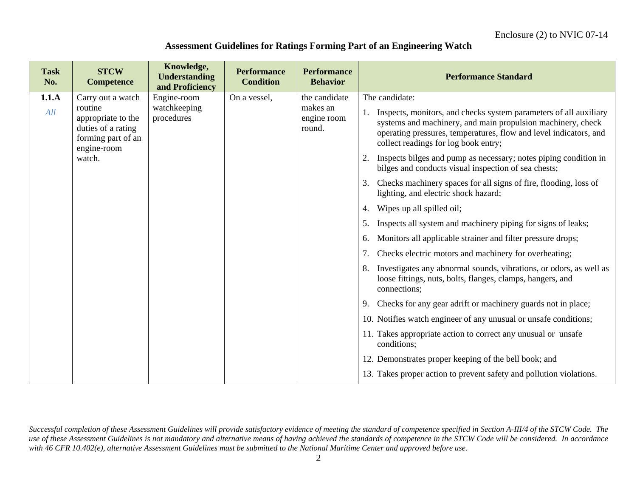#### **Assessment Guidelines for Ratings Forming Part of an Engineering Watch**

| <b>Task</b><br>No. | <b>STCW</b><br><b>Competence</b>                                                         | Knowledge,<br><b>Understanding</b><br>and Proficiency | <b>Performance</b><br><b>Condition</b> | <b>Performance</b><br><b>Behavior</b> | <b>Performance Standard</b>                                                                                                                                                                                                                   |
|--------------------|------------------------------------------------------------------------------------------|-------------------------------------------------------|----------------------------------------|---------------------------------------|-----------------------------------------------------------------------------------------------------------------------------------------------------------------------------------------------------------------------------------------------|
| 1.1.A              | Carry out a watch                                                                        | Engine-room                                           | On a vessel,                           | the candidate                         | The candidate:                                                                                                                                                                                                                                |
| All                | routine<br>appropriate to the<br>duties of a rating<br>forming part of an<br>engine-room | watchkeeping<br>procedures                            |                                        | makes an<br>engine room<br>round.     | Inspects, monitors, and checks system parameters of all auxiliary<br>systems and machinery, and main propulsion machinery, check<br>operating pressures, temperatures, flow and level indicators, and<br>collect readings for log book entry; |
|                    | watch.                                                                                   |                                                       |                                        |                                       | Inspects bilges and pump as necessary; notes piping condition in<br>bilges and conducts visual inspection of sea chests;                                                                                                                      |
|                    |                                                                                          |                                                       |                                        |                                       | Checks machinery spaces for all signs of fire, flooding, loss of<br>3.<br>lighting, and electric shock hazard;                                                                                                                                |
|                    |                                                                                          |                                                       |                                        |                                       | Wipes up all spilled oil;<br>4.                                                                                                                                                                                                               |
|                    |                                                                                          |                                                       |                                        |                                       | Inspects all system and machinery piping for signs of leaks;<br>5.                                                                                                                                                                            |
|                    |                                                                                          |                                                       |                                        |                                       | Monitors all applicable strainer and filter pressure drops;<br>6.                                                                                                                                                                             |
|                    |                                                                                          |                                                       |                                        |                                       | Checks electric motors and machinery for overheating;<br>7.                                                                                                                                                                                   |
|                    |                                                                                          |                                                       |                                        |                                       | Investigates any abnormal sounds, vibrations, or odors, as well as<br>8.<br>loose fittings, nuts, bolts, flanges, clamps, hangers, and<br>connections;                                                                                        |
|                    |                                                                                          |                                                       |                                        |                                       | Checks for any gear adrift or machinery guards not in place;<br>9.                                                                                                                                                                            |
|                    |                                                                                          |                                                       |                                        |                                       | 10. Notifies watch engineer of any unusual or unsafe conditions;                                                                                                                                                                              |
|                    |                                                                                          |                                                       |                                        |                                       | 11. Takes appropriate action to correct any unusual or unsafe<br>conditions;                                                                                                                                                                  |
|                    |                                                                                          |                                                       |                                        |                                       | 12. Demonstrates proper keeping of the bell book; and                                                                                                                                                                                         |
|                    |                                                                                          |                                                       |                                        |                                       | 13. Takes proper action to prevent safety and pollution violations.                                                                                                                                                                           |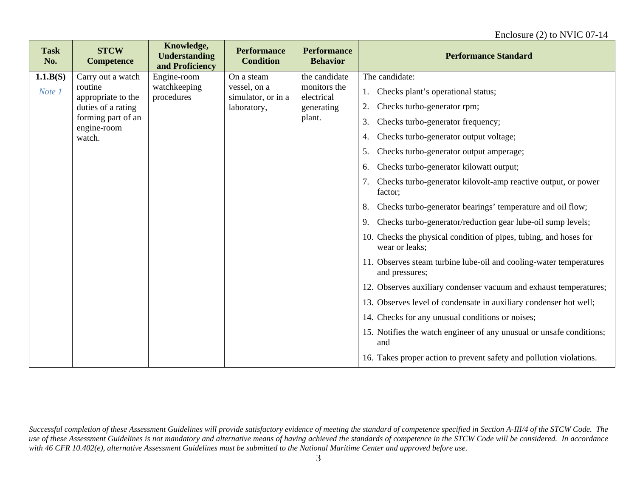| <b>Task</b><br>No. | <b>STCW</b><br><b>Competence</b>  | Knowledge,<br><b>Understanding</b><br>and Proficiency | <b>Performance</b><br><b>Condition</b> | <b>Performance</b><br><b>Behavior</b>    | <b>Performance Standard</b>                                                          |
|--------------------|-----------------------------------|-------------------------------------------------------|----------------------------------------|------------------------------------------|--------------------------------------------------------------------------------------|
| 1.1.B(S)           | Carry out a watch                 | Engine-room                                           | On a steam                             | the candidate                            | The candidate:                                                                       |
| Note 1             | routine<br>appropriate to the     | watchkeeping<br>procedures                            | vessel, on a<br>simulator, or in a     | monitors the<br>electrical<br>generating | Checks plant's operational status;<br>1.                                             |
|                    | duties of a rating                |                                                       | laboratory,                            |                                          | Checks turbo-generator rpm;<br>2.                                                    |
|                    | forming part of an<br>engine-room |                                                       |                                        | plant.                                   | Checks turbo-generator frequency;<br>3.                                              |
|                    | watch.                            |                                                       |                                        |                                          | Checks turbo-generator output voltage;<br>4.                                         |
|                    |                                   |                                                       |                                        |                                          | Checks turbo-generator output amperage;<br>5.                                        |
|                    |                                   |                                                       |                                        |                                          | Checks turbo-generator kilowatt output;<br>6.                                        |
|                    |                                   |                                                       |                                        |                                          | Checks turbo-generator kilovolt-amp reactive output, or power<br>factor;             |
|                    |                                   |                                                       |                                        |                                          | Checks turbo-generator bearings' temperature and oil flow;<br>8.                     |
|                    |                                   |                                                       |                                        |                                          | Checks turbo-generator/reduction gear lube-oil sump levels;<br>9.                    |
|                    |                                   |                                                       |                                        |                                          | 10. Checks the physical condition of pipes, tubing, and hoses for<br>wear or leaks;  |
|                    |                                   |                                                       |                                        |                                          | 11. Observes steam turbine lube-oil and cooling-water temperatures<br>and pressures; |
|                    |                                   |                                                       |                                        |                                          | 12. Observes auxiliary condenser vacuum and exhaust temperatures;                    |
|                    |                                   |                                                       |                                        |                                          | 13. Observes level of condensate in auxiliary condenser hot well;                    |
|                    |                                   |                                                       |                                        |                                          | 14. Checks for any unusual conditions or noises;                                     |
|                    |                                   |                                                       |                                        |                                          | 15. Notifies the watch engineer of any unusual or unsafe conditions;<br>and          |
|                    |                                   |                                                       |                                        |                                          | 16. Takes proper action to prevent safety and pollution violations.                  |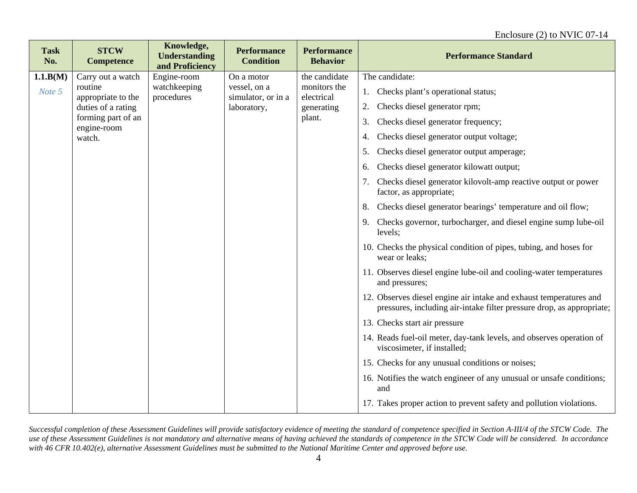| <b>Task</b><br>No. | <b>STCW</b><br><b>Competence</b>  | Knowledge,<br><b>Understanding</b><br>and Proficiency | <b>Performance</b><br><b>Condition</b> | <b>Performance</b><br><b>Behavior</b> | <b>Performance Standard</b>                                                                                                                 |
|--------------------|-----------------------------------|-------------------------------------------------------|----------------------------------------|---------------------------------------|---------------------------------------------------------------------------------------------------------------------------------------------|
| 1.1.B(M)           | Carry out a watch                 | Engine-room                                           | On a motor                             | the candidate                         | The candidate:                                                                                                                              |
| Note 5             | routine<br>appropriate to the     | watchkeeping<br>procedures                            | vessel, on a<br>simulator, or in a     | monitors the<br>electrical            | Checks plant's operational status;                                                                                                          |
|                    | duties of a rating                |                                                       | laboratory,                            | generating                            | Checks diesel generator rpm;<br>2.                                                                                                          |
|                    | forming part of an<br>engine-room |                                                       |                                        | plant.                                | Checks diesel generator frequency;<br>3.                                                                                                    |
|                    | watch.                            |                                                       |                                        |                                       | Checks diesel generator output voltage;<br>4.                                                                                               |
|                    |                                   |                                                       |                                        |                                       | Checks diesel generator output amperage;<br>5.                                                                                              |
|                    |                                   |                                                       |                                        |                                       | Checks diesel generator kilowatt output;<br>6.                                                                                              |
|                    |                                   |                                                       |                                        |                                       | Checks diesel generator kilovolt-amp reactive output or power<br>factor, as appropriate;                                                    |
|                    |                                   |                                                       |                                        |                                       | Checks diesel generator bearings' temperature and oil flow;<br>8.                                                                           |
|                    |                                   |                                                       |                                        |                                       | Checks governor, turbocharger, and diesel engine sump lube-oil<br>9.<br>levels;                                                             |
|                    |                                   |                                                       |                                        |                                       | 10. Checks the physical condition of pipes, tubing, and hoses for<br>wear or leaks;                                                         |
|                    |                                   |                                                       |                                        |                                       | 11. Observes diesel engine lube-oil and cooling-water temperatures<br>and pressures;                                                        |
|                    |                                   |                                                       |                                        |                                       | 12. Observes diesel engine air intake and exhaust temperatures and<br>pressures, including air-intake filter pressure drop, as appropriate; |
|                    |                                   |                                                       |                                        |                                       | 13. Checks start air pressure                                                                                                               |
|                    |                                   |                                                       |                                        |                                       | 14. Reads fuel-oil meter, day-tank levels, and observes operation of<br>viscosimeter, if installed;                                         |
|                    |                                   |                                                       |                                        |                                       | 15. Checks for any unusual conditions or noises;                                                                                            |
|                    |                                   |                                                       |                                        |                                       | 16. Notifies the watch engineer of any unusual or unsafe conditions;<br>and                                                                 |
|                    |                                   |                                                       |                                        |                                       | 17. Takes proper action to prevent safety and pollution violations.                                                                         |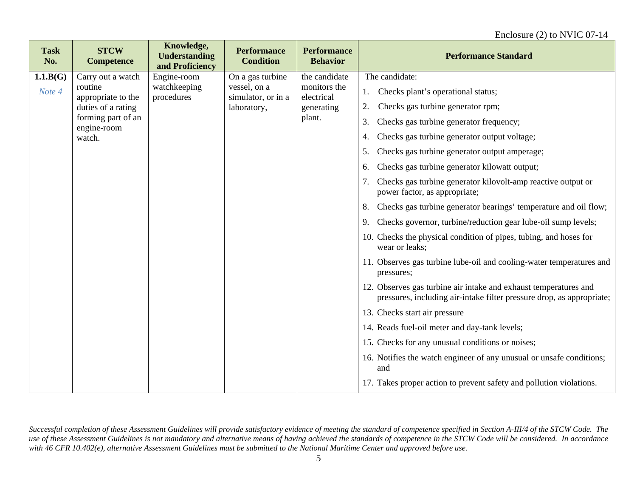| <b>Task</b><br>No. | <b>STCW</b><br><b>Competence</b>  | Knowledge,<br><b>Understanding</b><br>and Proficiency | <b>Performance</b><br><b>Condition</b> | <b>Performance</b><br><b>Behavior</b> | <b>Performance Standard</b>                                                                                                               |
|--------------------|-----------------------------------|-------------------------------------------------------|----------------------------------------|---------------------------------------|-------------------------------------------------------------------------------------------------------------------------------------------|
| 1.1.B(G)           | Carry out a watch                 | Engine-room                                           | On a gas turbine                       | the candidate                         | The candidate:                                                                                                                            |
| Note 4             | routine<br>appropriate to the     | watchkeeping<br>procedures                            | vessel, on a<br>simulator, or in a     | monitors the<br>electrical            | Checks plant's operational status;<br>1.                                                                                                  |
|                    | duties of a rating                |                                                       | laboratory,                            | generating                            | Checks gas turbine generator rpm;                                                                                                         |
|                    | forming part of an<br>engine-room |                                                       |                                        | plant.                                | Checks gas turbine generator frequency;<br>3.                                                                                             |
|                    | watch.                            |                                                       |                                        |                                       | Checks gas turbine generator output voltage;<br>4.                                                                                        |
|                    |                                   |                                                       |                                        |                                       | Checks gas turbine generator output amperage;<br>5.                                                                                       |
|                    |                                   |                                                       |                                        |                                       | Checks gas turbine generator kilowatt output;<br>6.                                                                                       |
|                    |                                   |                                                       |                                        |                                       | Checks gas turbine generator kilovolt-amp reactive output or<br>7.<br>power factor, as appropriate;                                       |
|                    |                                   |                                                       |                                        |                                       | Checks gas turbine generator bearings' temperature and oil flow;<br>8.                                                                    |
|                    |                                   |                                                       |                                        |                                       | Checks governor, turbine/reduction gear lube-oil sump levels;<br>9.                                                                       |
|                    |                                   |                                                       |                                        |                                       | 10. Checks the physical condition of pipes, tubing, and hoses for<br>wear or leaks;                                                       |
|                    |                                   |                                                       |                                        |                                       | 11. Observes gas turbine lube-oil and cooling-water temperatures and<br>pressures;                                                        |
|                    |                                   |                                                       |                                        |                                       | 12. Observes gas turbine air intake and exhaust temperatures and<br>pressures, including air-intake filter pressure drop, as appropriate; |
|                    |                                   |                                                       |                                        |                                       | 13. Checks start air pressure                                                                                                             |
|                    |                                   |                                                       |                                        |                                       | 14. Reads fuel-oil meter and day-tank levels;                                                                                             |
|                    |                                   |                                                       |                                        |                                       | 15. Checks for any unusual conditions or noises;                                                                                          |
|                    |                                   |                                                       |                                        |                                       | 16. Notifies the watch engineer of any unusual or unsafe conditions;<br>and                                                               |
|                    |                                   |                                                       |                                        |                                       | 17. Takes proper action to prevent safety and pollution violations.                                                                       |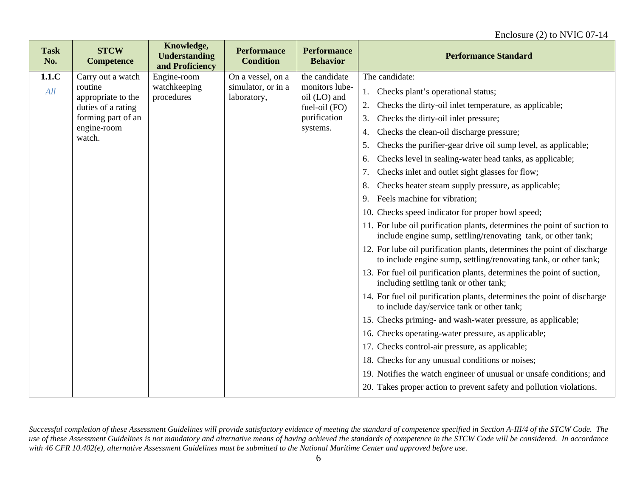| <b>Task</b><br>No. | <b>STCW</b><br><b>Competence</b> | Knowledge,<br><b>Understanding</b><br>and Proficiency | <b>Performance</b><br><b>Condition</b> | <b>Performance</b><br><b>Behavior</b> | <b>Performance Standard</b>                                                                                                                 |
|--------------------|----------------------------------|-------------------------------------------------------|----------------------------------------|---------------------------------------|---------------------------------------------------------------------------------------------------------------------------------------------|
| 1.1.C              | Carry out a watch                | Engine-room                                           | On a vessel, on a                      | the candidate                         | The candidate:                                                                                                                              |
| All                | routine<br>appropriate to the    | watchkeeping<br>procedures                            | simulator, or in a<br>laboratory,      | monitors lube-<br>oil (LO) and        | Checks plant's operational status;<br>1.                                                                                                    |
|                    | duties of a rating               |                                                       |                                        | fuel-oil (FO)                         | Checks the dirty-oil inlet temperature, as applicable;<br>2.                                                                                |
|                    | forming part of an               |                                                       |                                        | purification                          | Checks the dirty-oil inlet pressure;<br>3.                                                                                                  |
|                    | engine-room<br>watch.            |                                                       |                                        | systems.                              | Checks the clean-oil discharge pressure;<br>4.                                                                                              |
|                    |                                  |                                                       |                                        |                                       | Checks the purifier-gear drive oil sump level, as applicable;<br>5.                                                                         |
|                    |                                  |                                                       |                                        |                                       | Checks level in sealing-water head tanks, as applicable;<br>6.                                                                              |
|                    |                                  |                                                       |                                        |                                       | Checks inlet and outlet sight glasses for flow;<br>7.                                                                                       |
|                    |                                  |                                                       |                                        |                                       | Checks heater steam supply pressure, as applicable;<br>8.                                                                                   |
|                    |                                  |                                                       |                                        |                                       | Feels machine for vibration;<br>9.                                                                                                          |
|                    |                                  |                                                       |                                        |                                       | 10. Checks speed indicator for proper bowl speed;                                                                                           |
|                    |                                  |                                                       |                                        |                                       | 11. For lube oil purification plants, determines the point of suction to<br>include engine sump, settling/renovating tank, or other tank;   |
|                    |                                  |                                                       |                                        |                                       | 12. For lube oil purification plants, determines the point of discharge<br>to include engine sump, settling/renovating tank, or other tank; |
|                    |                                  |                                                       |                                        |                                       | 13. For fuel oil purification plants, determines the point of suction,<br>including settling tank or other tank;                            |
|                    |                                  |                                                       |                                        |                                       | 14. For fuel oil purification plants, determines the point of discharge<br>to include day/service tank or other tank;                       |
|                    |                                  |                                                       |                                        |                                       | 15. Checks priming- and wash-water pressure, as applicable;                                                                                 |
|                    |                                  |                                                       |                                        |                                       | 16. Checks operating-water pressure, as applicable;                                                                                         |
|                    |                                  |                                                       |                                        |                                       | 17. Checks control-air pressure, as applicable;                                                                                             |
|                    |                                  |                                                       |                                        |                                       | 18. Checks for any unusual conditions or noises;                                                                                            |
|                    |                                  |                                                       |                                        |                                       | 19. Notifies the watch engineer of unusual or unsafe conditions; and                                                                        |
|                    |                                  |                                                       |                                        |                                       | 20. Takes proper action to prevent safety and pollution violations.                                                                         |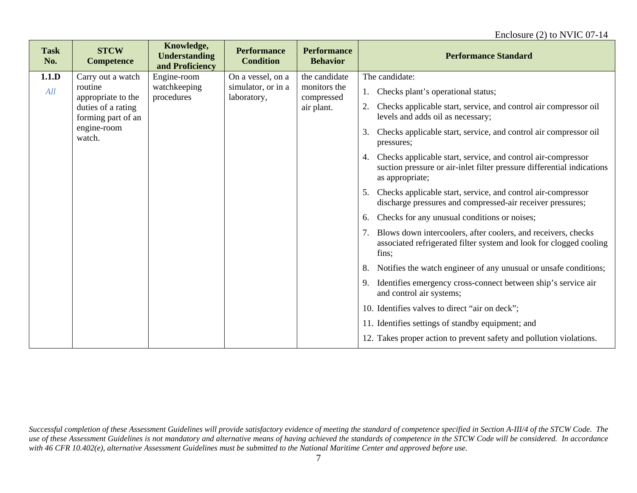| <b>Task</b><br>No. | <b>STCW</b><br><b>Competence</b>         | Knowledge,<br><b>Understanding</b><br>and Proficiency | <b>Performance</b><br><b>Condition</b> | <b>Performance</b><br><b>Behavior</b> | <b>Performance Standard</b>                                                                                                                                     |
|--------------------|------------------------------------------|-------------------------------------------------------|----------------------------------------|---------------------------------------|-----------------------------------------------------------------------------------------------------------------------------------------------------------------|
| 1.1.D              | Carry out a watch                        | Engine-room                                           | On a vessel, on a                      | the candidate                         | The candidate:                                                                                                                                                  |
| All                | routine<br>appropriate to the            | watchkeeping<br>procedures                            | simulator, or in a<br>laboratory,      | monitors the<br>compressed            | Checks plant's operational status;<br>1.                                                                                                                        |
|                    | duties of a rating<br>forming part of an |                                                       |                                        | air plant.                            | Checks applicable start, service, and control air compressor oil<br>2.<br>levels and adds oil as necessary;                                                     |
|                    | engine-room<br>watch.                    |                                                       |                                        |                                       | Checks applicable start, service, and control air compressor oil<br>3.<br>pressures;                                                                            |
|                    |                                          |                                                       |                                        |                                       | Checks applicable start, service, and control air-compressor<br>4.<br>suction pressure or air-inlet filter pressure differential indications<br>as appropriate; |
|                    |                                          |                                                       |                                        |                                       | Checks applicable start, service, and control air-compressor<br>5.<br>discharge pressures and compressed-air receiver pressures;                                |
|                    |                                          |                                                       |                                        |                                       | Checks for any unusual conditions or noises;<br>6.                                                                                                              |
|                    |                                          |                                                       |                                        |                                       | Blows down intercoolers, after coolers, and receivers, checks<br>associated refrigerated filter system and look for clogged cooling<br>fins;                    |
|                    |                                          |                                                       |                                        |                                       | Notifies the watch engineer of any unusual or unsafe conditions;<br>8.                                                                                          |
|                    |                                          |                                                       |                                        |                                       | Identifies emergency cross-connect between ship's service air<br>9.<br>and control air systems;                                                                 |
|                    |                                          |                                                       |                                        |                                       | 10. Identifies valves to direct "air on deck";                                                                                                                  |
|                    |                                          |                                                       |                                        |                                       | 11. Identifies settings of standby equipment; and                                                                                                               |
|                    |                                          |                                                       |                                        |                                       | 12. Takes proper action to prevent safety and pollution violations.                                                                                             |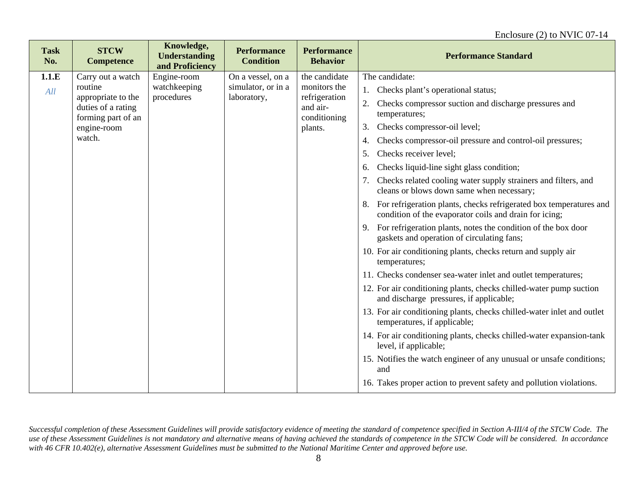| <b>Task</b><br>No. | <b>STCW</b><br><b>Competence</b>         | Knowledge,<br><b>Understanding</b><br>and Proficiency | <b>Performance</b><br><b>Condition</b> | <b>Performance</b><br><b>Behavior</b> | <b>Performance Standard</b>                                                                                                        |
|--------------------|------------------------------------------|-------------------------------------------------------|----------------------------------------|---------------------------------------|------------------------------------------------------------------------------------------------------------------------------------|
| 1.1.E              | Carry out a watch                        | Engine-room                                           | On a vessel, on a                      | the candidate                         | The candidate:                                                                                                                     |
| All                | routine<br>appropriate to the            | watchkeeping<br>procedures                            | simulator, or in a<br>laboratory,      | monitors the<br>refrigeration         | Checks plant's operational status;<br>1.                                                                                           |
|                    | duties of a rating<br>forming part of an |                                                       |                                        | and air-<br>conditioning              | Checks compressor suction and discharge pressures and<br>2.<br>temperatures;                                                       |
|                    | engine-room                              |                                                       |                                        | plants.                               | Checks compressor-oil level;<br>3.                                                                                                 |
|                    | watch.                                   |                                                       |                                        |                                       | Checks compressor-oil pressure and control-oil pressures;<br>4.                                                                    |
|                    |                                          |                                                       |                                        |                                       | Checks receiver level;<br>5.                                                                                                       |
|                    |                                          |                                                       |                                        |                                       | Checks liquid-line sight glass condition;<br>6.                                                                                    |
|                    |                                          |                                                       |                                        |                                       | Checks related cooling water supply strainers and filters, and<br>cleans or blows down same when necessary;                        |
|                    |                                          |                                                       |                                        |                                       | For refrigeration plants, checks refrigerated box temperatures and<br>8.<br>condition of the evaporator coils and drain for icing; |
|                    |                                          |                                                       |                                        |                                       | 9. For refrigeration plants, notes the condition of the box door<br>gaskets and operation of circulating fans;                     |
|                    |                                          |                                                       |                                        |                                       | 10. For air conditioning plants, checks return and supply air<br>temperatures;                                                     |
|                    |                                          |                                                       |                                        |                                       | 11. Checks condenser sea-water inlet and outlet temperatures;                                                                      |
|                    |                                          |                                                       |                                        |                                       | 12. For air conditioning plants, checks chilled-water pump suction<br>and discharge pressures, if applicable;                      |
|                    |                                          |                                                       |                                        |                                       | 13. For air conditioning plants, checks chilled-water inlet and outlet<br>temperatures, if applicable;                             |
|                    |                                          |                                                       |                                        |                                       | 14. For air conditioning plants, checks chilled-water expansion-tank<br>level, if applicable;                                      |
|                    |                                          |                                                       |                                        |                                       | 15. Notifies the watch engineer of any unusual or unsafe conditions;<br>and                                                        |
|                    |                                          |                                                       |                                        |                                       | 16. Takes proper action to prevent safety and pollution violations.                                                                |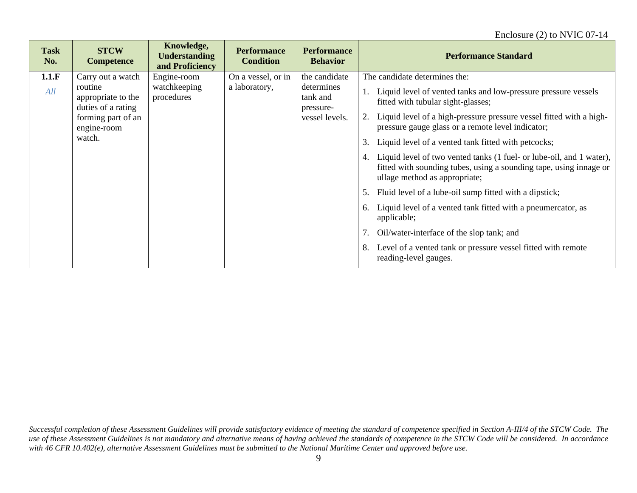| <b>Task</b><br>No. | <b>STCW</b><br><b>Competence</b>                                                                                        | Knowledge,<br><b>Understanding</b><br>and Proficiency | <b>Performance</b><br><b>Condition</b> | <b>Performance</b><br><b>Behavior</b>                                  | <b>Performance Standard</b>                                                                                                                                                                                                                                                                                                                                                                                                                                                                                                                                                                                                                                                                                                                                                                                                |
|--------------------|-------------------------------------------------------------------------------------------------------------------------|-------------------------------------------------------|----------------------------------------|------------------------------------------------------------------------|----------------------------------------------------------------------------------------------------------------------------------------------------------------------------------------------------------------------------------------------------------------------------------------------------------------------------------------------------------------------------------------------------------------------------------------------------------------------------------------------------------------------------------------------------------------------------------------------------------------------------------------------------------------------------------------------------------------------------------------------------------------------------------------------------------------------------|
| 1.1.F<br>All       | Carry out a watch<br>routine<br>appropriate to the<br>duties of a rating<br>forming part of an<br>engine-room<br>watch. | Engine-room<br>watchkeeping<br>procedures             | On a vessel, or in<br>a laboratory,    | the candidate<br>determines<br>tank and<br>pressure-<br>vessel levels. | The candidate determines the:<br>Liquid level of vented tanks and low-pressure pressure vessels<br>fitted with tubular sight-glasses;<br>Liquid level of a high-pressure pressure vessel fitted with a high-<br>2.<br>pressure gauge glass or a remote level indicator;<br>Liquid level of a vented tank fitted with petcocks;<br>3.<br>Liquid level of two vented tanks (1 fuel- or lube-oil, and 1 water),<br>4.<br>fitted with sounding tubes, using a sounding tape, using innage or<br>ullage method as appropriate;<br>Fluid level of a lube-oil sump fitted with a dipstick;<br>5.<br>Liquid level of a vented tank fitted with a pneumercator, as<br>6.<br>applicable;<br>Oil/water-interface of the slop tank; and<br>Level of a vented tank or pressure vessel fitted with remote<br>8.<br>reading-level gauges. |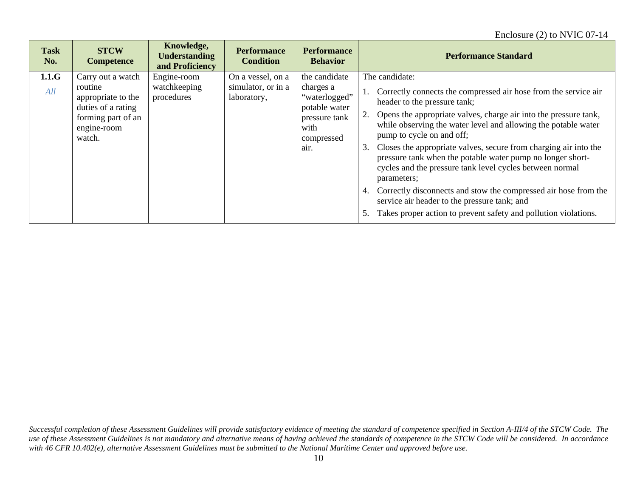| <b>Task</b><br>No. | <b>STCW</b><br><b>Competence</b>                                                                                        | Knowledge,<br><b>Understanding</b><br>and Proficiency | <b>Performance</b><br><b>Condition</b>                 | <b>Performance</b><br><b>Behavior</b>                                                                       | <b>Performance Standard</b>                                                                                                                                                                                                                                                                                                                                                                                                                                                                                                                                                                                                                                                                               |
|--------------------|-------------------------------------------------------------------------------------------------------------------------|-------------------------------------------------------|--------------------------------------------------------|-------------------------------------------------------------------------------------------------------------|-----------------------------------------------------------------------------------------------------------------------------------------------------------------------------------------------------------------------------------------------------------------------------------------------------------------------------------------------------------------------------------------------------------------------------------------------------------------------------------------------------------------------------------------------------------------------------------------------------------------------------------------------------------------------------------------------------------|
| 1.1.G<br>All       | Carry out a watch<br>routine<br>appropriate to the<br>duties of a rating<br>forming part of an<br>engine-room<br>watch. | Engine-room<br>watchkeeping<br>procedures             | On a vessel, on a<br>simulator, or in a<br>laboratory, | the candidate<br>charges a<br>"waterlogged"<br>potable water<br>pressure tank<br>with<br>compressed<br>air. | The candidate:<br>Correctly connects the compressed air hose from the service air<br>1.<br>header to the pressure tank;<br>Opens the appropriate valves, charge air into the pressure tank,<br>while observing the water level and allowing the potable water<br>pump to cycle on and off;<br>Closes the appropriate valves, secure from charging air into the<br>3.<br>pressure tank when the potable water pump no longer short-<br>cycles and the pressure tank level cycles between normal<br>parameters;<br>Correctly disconnects and stow the compressed air hose from the<br>service air header to the pressure tank; and<br>Takes proper action to prevent safety and pollution violations.<br>5. |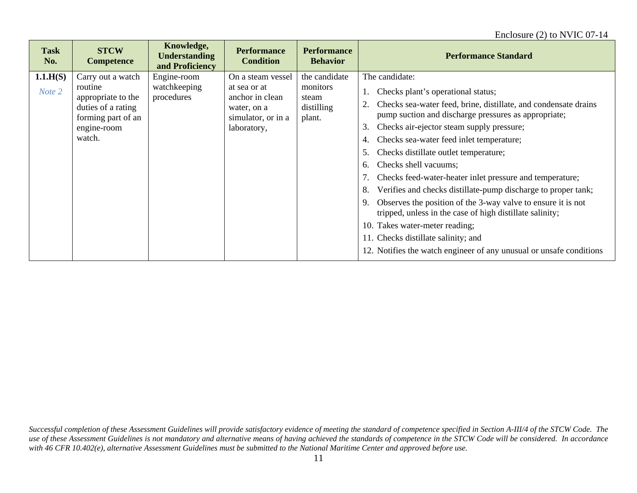#### Enclosure (2) to NVIC 07-14

| <b>Task</b><br>No. | <b>STCW</b><br><b>Competence</b>                                                                                        | Knowledge,<br><b>Understanding</b><br>and Proficiency | <b>Performance</b><br><b>Condition</b>                                                                   | <b>Performance</b><br><b>Behavior</b>                      | <b>Performance Standard</b>                                                                                                                                                                                                                                                                                                                                                                                                                                                                                                                                                                                                                                                                                                                                                             |
|--------------------|-------------------------------------------------------------------------------------------------------------------------|-------------------------------------------------------|----------------------------------------------------------------------------------------------------------|------------------------------------------------------------|-----------------------------------------------------------------------------------------------------------------------------------------------------------------------------------------------------------------------------------------------------------------------------------------------------------------------------------------------------------------------------------------------------------------------------------------------------------------------------------------------------------------------------------------------------------------------------------------------------------------------------------------------------------------------------------------------------------------------------------------------------------------------------------------|
| 1.1.H(S)<br>Note 2 | Carry out a watch<br>routine<br>appropriate to the<br>duties of a rating<br>forming part of an<br>engine-room<br>watch. | Engine-room<br>watchkeeping<br>procedures             | On a steam vessel<br>at sea or at<br>anchor in clean<br>water, on a<br>simulator, or in a<br>laboratory, | the candidate<br>monitors<br>steam<br>distilling<br>plant. | The candidate:<br>Checks plant's operational status;<br>Checks sea-water feed, brine, distillate, and condensate drains<br>pump suction and discharge pressures as appropriate;<br>3.<br>Checks air-ejector steam supply pressure;<br>Checks sea-water feed inlet temperature;<br>4.<br>Checks distillate outlet temperature;<br>5.<br>Checks shell vacuums;<br>6.<br>Checks feed-water-heater inlet pressure and temperature;<br>Verifies and checks distillate-pump discharge to proper tank;<br>8.<br>Observes the position of the 3-way valve to ensure it is not<br>9.<br>tripped, unless in the case of high distillate salinity;<br>10. Takes water-meter reading;<br>11. Checks distillate salinity; and<br>12. Notifies the watch engineer of any unusual or unsafe conditions |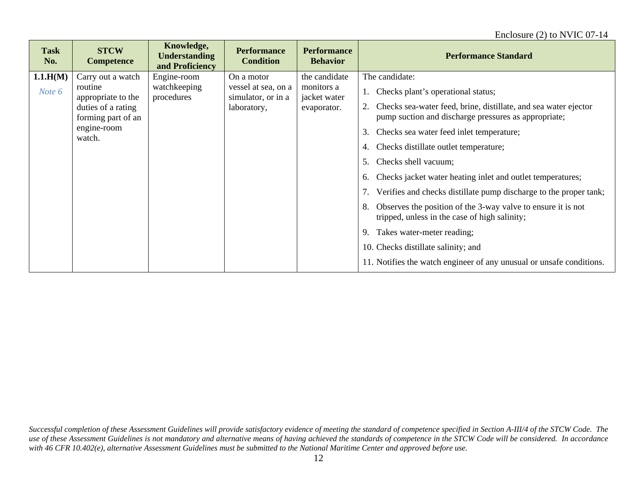| <b>Task</b><br>No. | <b>STCW</b><br><b>Competence</b>         | Knowledge,<br><b>Understanding</b><br>and Proficiency | <b>Performance</b><br><b>Condition</b>    | <b>Performance</b><br><b>Behavior</b> | <b>Performance Standard</b>                                                                                             |
|--------------------|------------------------------------------|-------------------------------------------------------|-------------------------------------------|---------------------------------------|-------------------------------------------------------------------------------------------------------------------------|
| 1.1.H(M)           | Carry out a watch                        | Engine-room                                           | On a motor                                | the candidate                         | The candidate:                                                                                                          |
| Note 6             | routine<br>appropriate to the            | watchkeeping<br>procedures                            | vessel at sea, on a<br>simulator, or in a | monitors a<br>jacket water            | Checks plant's operational status;                                                                                      |
|                    | duties of a rating<br>forming part of an |                                                       | laboratory,                               | evaporator.                           | Checks sea-water feed, brine, distillate, and sea water ejector<br>pump suction and discharge pressures as appropriate; |
|                    | engine-room<br>watch.                    |                                                       |                                           |                                       | Checks sea water feed inlet temperature;<br>3.                                                                          |
|                    |                                          |                                                       |                                           |                                       | Checks distillate outlet temperature;<br>4.                                                                             |
|                    |                                          |                                                       |                                           |                                       | Checks shell vacuum;<br>5.                                                                                              |
|                    |                                          |                                                       |                                           |                                       | Checks jacket water heating inlet and outlet temperatures;<br>6.                                                        |
|                    |                                          |                                                       |                                           |                                       | Verifies and checks distillate pump discharge to the proper tank;                                                       |
|                    |                                          |                                                       |                                           |                                       | Observes the position of the 3-way valve to ensure it is not<br>8.<br>tripped, unless in the case of high salinity;     |
|                    |                                          |                                                       |                                           |                                       | Takes water-meter reading;<br>9.                                                                                        |
|                    |                                          |                                                       |                                           |                                       | 10. Checks distillate salinity; and                                                                                     |
|                    |                                          |                                                       |                                           |                                       | 11. Notifies the watch engineer of any unusual or unsafe conditions.                                                    |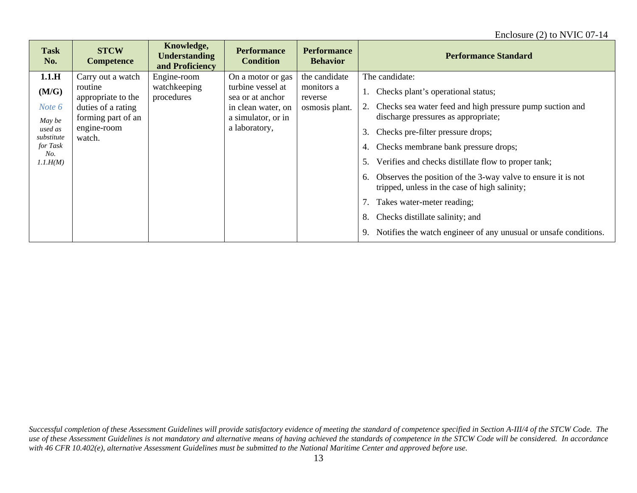| <b>Task</b><br>No.                                                                         | <b>STCW</b><br><b>Competence</b>                                                                                        | Knowledge,<br><b>Understanding</b><br>and Proficiency | <b>Performance</b><br><b>Condition</b>                                                                                  | <b>Performance</b><br><b>Behavior</b>                    | <b>Performance Standard</b>                                                                                                                                                                                                                                                                                                                                                                                                          |
|--------------------------------------------------------------------------------------------|-------------------------------------------------------------------------------------------------------------------------|-------------------------------------------------------|-------------------------------------------------------------------------------------------------------------------------|----------------------------------------------------------|--------------------------------------------------------------------------------------------------------------------------------------------------------------------------------------------------------------------------------------------------------------------------------------------------------------------------------------------------------------------------------------------------------------------------------------|
| 1.1.H<br>(M/G)<br>Note 6<br>May be<br>used as<br>substitute<br>for Task<br>No.<br>1.1.H(M) | Carry out a watch<br>routine<br>appropriate to the<br>duties of a rating<br>forming part of an<br>engine-room<br>watch. | Engine-room<br>watchkeeping<br>procedures             | On a motor or gas<br>turbine vessel at<br>sea or at anchor<br>in clean water, on<br>a simulator, or in<br>a laboratory, | the candidate<br>monitors a<br>reverse<br>osmosis plant. | The candidate:<br>Checks plant's operational status;<br>Checks sea water feed and high pressure pump suction and<br>discharge pressures as appropriate;<br>Checks pre-filter pressure drops;<br>3.<br>Checks membrane bank pressure drops;<br>4.<br>Verifies and checks distillate flow to proper tank;<br>5.<br>Observes the position of the 3-way valve to ensure it is not<br>6.<br>tripped, unless in the case of high salinity; |
|                                                                                            |                                                                                                                         |                                                       |                                                                                                                         |                                                          | Takes water-meter reading;<br>Checks distillate salinity; and<br>8.                                                                                                                                                                                                                                                                                                                                                                  |
|                                                                                            |                                                                                                                         |                                                       |                                                                                                                         |                                                          | Notifies the watch engineer of any unusual or unsafe conditions.<br>9.                                                                                                                                                                                                                                                                                                                                                               |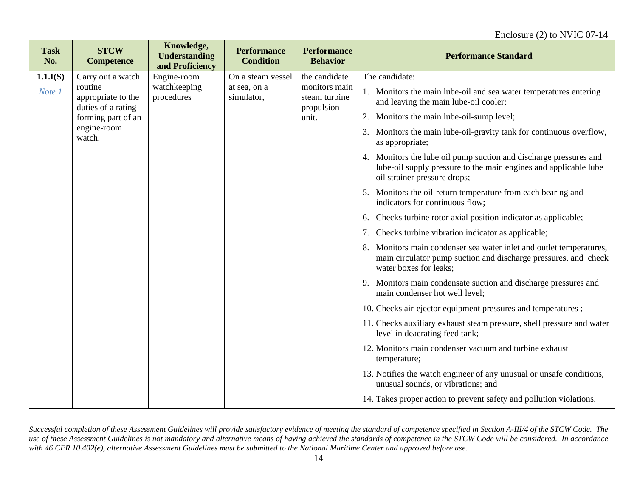| <b>Task</b><br>No. | <b>STCW</b><br><b>Competence</b>                    | Knowledge,<br><b>Understanding</b><br>and Proficiency | <b>Performance</b><br><b>Condition</b> | <b>Performance</b><br><b>Behavior</b>        | <b>Performance Standard</b>                                                                                                                                           |
|--------------------|-----------------------------------------------------|-------------------------------------------------------|----------------------------------------|----------------------------------------------|-----------------------------------------------------------------------------------------------------------------------------------------------------------------------|
| 1.1.I(S)           | Carry out a watch                                   | Engine-room                                           | On a steam vessel                      | the candidate                                | The candidate:                                                                                                                                                        |
| Note 1             | routine<br>appropriate to the<br>duties of a rating | watchkeeping<br>procedures                            | at sea, on a<br>simulator,             | monitors main<br>steam turbine<br>propulsion | 1. Monitors the main lube-oil and sea water temperatures entering<br>and leaving the main lube-oil cooler;                                                            |
|                    | forming part of an                                  |                                                       |                                        | unit.                                        | 2. Monitors the main lube-oil-sump level;                                                                                                                             |
|                    | engine-room<br>watch.                               |                                                       |                                        |                                              | 3. Monitors the main lube-oil-gravity tank for continuous overflow,<br>as appropriate;                                                                                |
|                    |                                                     |                                                       |                                        |                                              | 4. Monitors the lube oil pump suction and discharge pressures and<br>lube-oil supply pressure to the main engines and applicable lube<br>oil strainer pressure drops; |
|                    |                                                     |                                                       |                                        |                                              | 5. Monitors the oil-return temperature from each bearing and<br>indicators for continuous flow;                                                                       |
|                    |                                                     |                                                       |                                        |                                              | Checks turbine rotor axial position indicator as applicable;<br>6.                                                                                                    |
|                    |                                                     |                                                       |                                        |                                              | Checks turbine vibration indicator as applicable;<br>7.                                                                                                               |
|                    |                                                     |                                                       |                                        |                                              | 8. Monitors main condenser sea water inlet and outlet temperatures,<br>main circulator pump suction and discharge pressures, and check<br>water boxes for leaks;      |
|                    |                                                     |                                                       |                                        |                                              | 9. Monitors main condensate suction and discharge pressures and<br>main condenser hot well level;                                                                     |
|                    |                                                     |                                                       |                                        |                                              | 10. Checks air-ejector equipment pressures and temperatures;                                                                                                          |
|                    |                                                     |                                                       |                                        |                                              | 11. Checks auxiliary exhaust steam pressure, shell pressure and water<br>level in deaerating feed tank;                                                               |
|                    |                                                     |                                                       |                                        |                                              | 12. Monitors main condenser vacuum and turbine exhaust<br>temperature;                                                                                                |
|                    |                                                     |                                                       |                                        |                                              | 13. Notifies the watch engineer of any unusual or unsafe conditions,<br>unusual sounds, or vibrations; and                                                            |
|                    |                                                     |                                                       |                                        |                                              | 14. Takes proper action to prevent safety and pollution violations.                                                                                                   |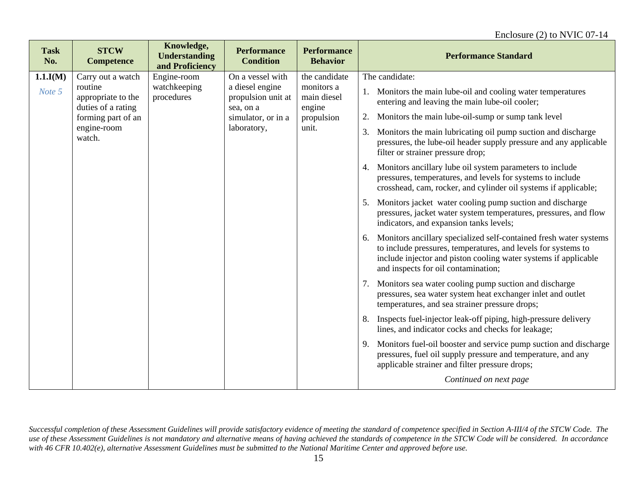| <b>Task</b><br>No. | <b>STCW</b><br><b>Competence</b>                                                                                        | Knowledge,<br><b>Understanding</b><br>and Proficiency | <b>Performance</b><br><b>Condition</b>                                                                      | <b>Performance</b><br><b>Behavior</b>                                       | <b>Performance Standard</b>                                                                                                                                                                                                                                                                                                                                                                                                                                                                                                                                                                                                                                                                                                                                                                                                                                                                                                                                                                                                                                                                                                                                                                                                                                                                                                                                                                                                                                                                                                                             |
|--------------------|-------------------------------------------------------------------------------------------------------------------------|-------------------------------------------------------|-------------------------------------------------------------------------------------------------------------|-----------------------------------------------------------------------------|---------------------------------------------------------------------------------------------------------------------------------------------------------------------------------------------------------------------------------------------------------------------------------------------------------------------------------------------------------------------------------------------------------------------------------------------------------------------------------------------------------------------------------------------------------------------------------------------------------------------------------------------------------------------------------------------------------------------------------------------------------------------------------------------------------------------------------------------------------------------------------------------------------------------------------------------------------------------------------------------------------------------------------------------------------------------------------------------------------------------------------------------------------------------------------------------------------------------------------------------------------------------------------------------------------------------------------------------------------------------------------------------------------------------------------------------------------------------------------------------------------------------------------------------------------|
| 1.1.I(M)<br>Note 5 | Carry out a watch<br>routine<br>appropriate to the<br>duties of a rating<br>forming part of an<br>engine-room<br>watch. | Engine-room<br>watchkeeping<br>procedures             | On a vessel with<br>a diesel engine<br>propulsion unit at<br>sea, on a<br>simulator, or in a<br>laboratory, | the candidate<br>monitors a<br>main diesel<br>engine<br>propulsion<br>unit. | The candidate:<br>1. Monitors the main lube-oil and cooling water temperatures<br>entering and leaving the main lube-oil cooler;<br>Monitors the main lube-oil-sump or sump tank level<br>2.<br>Monitors the main lubricating oil pump suction and discharge<br>3.<br>pressures, the lube-oil header supply pressure and any applicable<br>filter or strainer pressure drop;<br>Monitors ancillary lube oil system parameters to include<br>4.<br>pressures, temperatures, and levels for systems to include<br>crosshead, cam, rocker, and cylinder oil systems if applicable;<br>Monitors jacket water cooling pump suction and discharge<br>5.<br>pressures, jacket water system temperatures, pressures, and flow<br>indicators, and expansion tanks levels;<br>Monitors ancillary specialized self-contained fresh water systems<br>6.<br>to include pressures, temperatures, and levels for systems to<br>include injector and piston cooling water systems if applicable<br>and inspects for oil contamination;<br>7. Monitors sea water cooling pump suction and discharge<br>pressures, sea water system heat exchanger inlet and outlet<br>temperatures, and sea strainer pressure drops;<br>Inspects fuel-injector leak-off piping, high-pressure delivery<br>8.<br>lines, and indicator cocks and checks for leakage;<br>Monitors fuel-oil booster and service pump suction and discharge<br>9.<br>pressures, fuel oil supply pressure and temperature, and any<br>applicable strainer and filter pressure drops;<br>Continued on next page |
|                    |                                                                                                                         |                                                       |                                                                                                             |                                                                             |                                                                                                                                                                                                                                                                                                                                                                                                                                                                                                                                                                                                                                                                                                                                                                                                                                                                                                                                                                                                                                                                                                                                                                                                                                                                                                                                                                                                                                                                                                                                                         |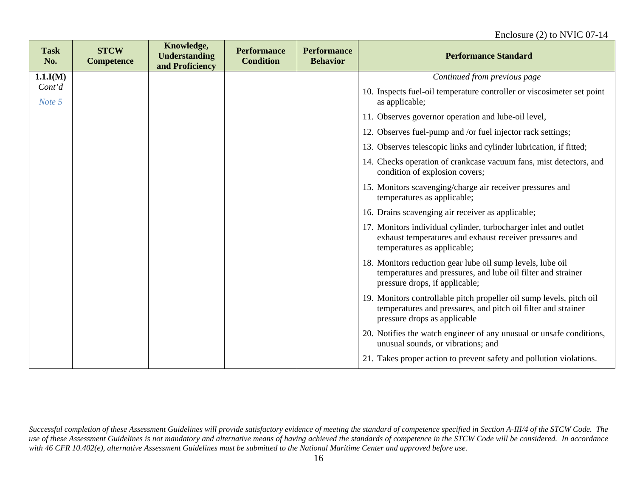| <b>Task</b><br>No. | <b>STCW</b><br><b>Competence</b> | Knowledge,<br><b>Understanding</b><br>and Proficiency | <b>Performance</b><br><b>Condition</b> | <b>Performance</b><br><b>Behavior</b> | <b>Performance Standard</b>                                                                                                                                           |
|--------------------|----------------------------------|-------------------------------------------------------|----------------------------------------|---------------------------------------|-----------------------------------------------------------------------------------------------------------------------------------------------------------------------|
| 1.1.I(M)           |                                  |                                                       |                                        |                                       | Continued from previous page                                                                                                                                          |
| Cont'd<br>Note 5   |                                  |                                                       |                                        |                                       | 10. Inspects fuel-oil temperature controller or viscosimeter set point<br>as applicable;                                                                              |
|                    |                                  |                                                       |                                        |                                       | 11. Observes governor operation and lube-oil level,                                                                                                                   |
|                    |                                  |                                                       |                                        |                                       | 12. Observes fuel-pump and /or fuel injector rack settings;                                                                                                           |
|                    |                                  |                                                       |                                        |                                       | 13. Observes telescopic links and cylinder lubrication, if fitted;                                                                                                    |
|                    |                                  |                                                       |                                        |                                       | 14. Checks operation of crankcase vacuum fans, mist detectors, and<br>condition of explosion covers;                                                                  |
|                    |                                  |                                                       |                                        |                                       | 15. Monitors scavenging/charge air receiver pressures and<br>temperatures as applicable;                                                                              |
|                    |                                  |                                                       |                                        |                                       | 16. Drains scavenging air receiver as applicable;                                                                                                                     |
|                    |                                  |                                                       |                                        |                                       | 17. Monitors individual cylinder, turbocharger inlet and outlet<br>exhaust temperatures and exhaust receiver pressures and<br>temperatures as applicable;             |
|                    |                                  |                                                       |                                        |                                       | 18. Monitors reduction gear lube oil sump levels, lube oil<br>temperatures and pressures, and lube oil filter and strainer<br>pressure drops, if applicable;          |
|                    |                                  |                                                       |                                        |                                       | 19. Monitors controllable pitch propeller oil sump levels, pitch oil<br>temperatures and pressures, and pitch oil filter and strainer<br>pressure drops as applicable |
|                    |                                  |                                                       |                                        |                                       | 20. Notifies the watch engineer of any unusual or unsafe conditions,<br>unusual sounds, or vibrations; and                                                            |
|                    |                                  |                                                       |                                        |                                       | 21. Takes proper action to prevent safety and pollution violations.                                                                                                   |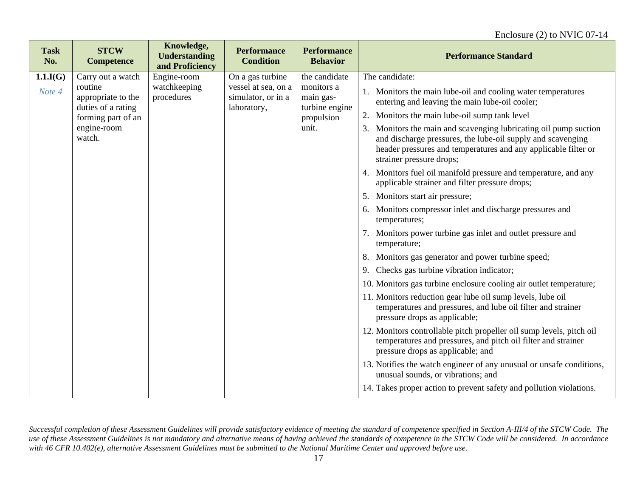| <b>Task</b><br>No.          | <b>STCW</b><br><b>Competence</b>                                                                                        | Knowledge,<br><b>Understanding</b><br>and Proficiency | <b>Performance</b><br><b>Condition</b>                                       | <b>Performance</b><br><b>Behavior</b>                                             | <b>Performance Standard</b>                                                                                                                                                                                                                                                                                                                                                                                                                                                                                                                                                                                                                                                                                                                                                                                                                                                                                                                                                                                                                                                                                                                                                                                                                                                                                                                                                                                                                                 |
|-----------------------------|-------------------------------------------------------------------------------------------------------------------------|-------------------------------------------------------|------------------------------------------------------------------------------|-----------------------------------------------------------------------------------|-------------------------------------------------------------------------------------------------------------------------------------------------------------------------------------------------------------------------------------------------------------------------------------------------------------------------------------------------------------------------------------------------------------------------------------------------------------------------------------------------------------------------------------------------------------------------------------------------------------------------------------------------------------------------------------------------------------------------------------------------------------------------------------------------------------------------------------------------------------------------------------------------------------------------------------------------------------------------------------------------------------------------------------------------------------------------------------------------------------------------------------------------------------------------------------------------------------------------------------------------------------------------------------------------------------------------------------------------------------------------------------------------------------------------------------------------------------|
| $1.1 \text{J}(G)$<br>Note 4 | Carry out a watch<br>routine<br>appropriate to the<br>duties of a rating<br>forming part of an<br>engine-room<br>watch. | Engine-room<br>watchkeeping<br>procedures             | On a gas turbine<br>vessel at sea, on a<br>simulator, or in a<br>laboratory, | the candidate<br>monitors a<br>main gas-<br>turbine engine<br>propulsion<br>unit. | The candidate:<br>1. Monitors the main lube-oil and cooling water temperatures<br>entering and leaving the main lube-oil cooler;<br>Monitors the main lube-oil sump tank level<br>2.<br>3. Monitors the main and scavenging lubricating oil pump suction<br>and discharge pressures, the lube-oil supply and scavenging<br>header pressures and temperatures and any applicable filter or<br>strainer pressure drops;<br>4. Monitors fuel oil manifold pressure and temperature, and any<br>applicable strainer and filter pressure drops;<br>Monitors start air pressure;<br>5.<br>6. Monitors compressor inlet and discharge pressures and<br>temperatures;<br>7. Monitors power turbine gas inlet and outlet pressure and<br>temperature;<br>8. Monitors gas generator and power turbine speed;<br>Checks gas turbine vibration indicator;<br>9.<br>10. Monitors gas turbine enclosure cooling air outlet temperature;<br>11. Monitors reduction gear lube oil sump levels, lube oil<br>temperatures and pressures, and lube oil filter and strainer<br>pressure drops as applicable;<br>12. Monitors controllable pitch propeller oil sump levels, pitch oil<br>temperatures and pressures, and pitch oil filter and strainer<br>pressure drops as applicable; and<br>13. Notifies the watch engineer of any unusual or unsafe conditions,<br>unusual sounds, or vibrations; and<br>14. Takes proper action to prevent safety and pollution violations. |
|                             |                                                                                                                         |                                                       |                                                                              |                                                                                   |                                                                                                                                                                                                                                                                                                                                                                                                                                                                                                                                                                                                                                                                                                                                                                                                                                                                                                                                                                                                                                                                                                                                                                                                                                                                                                                                                                                                                                                             |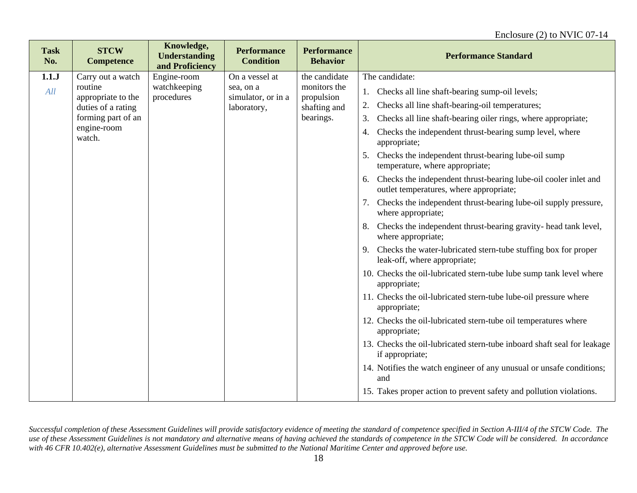#### Enclosure (2) to NVIC 07-14

| <b>Task</b><br>No. | <b>STCW</b><br><b>Competence</b> | Knowledge,<br><b>Understanding</b><br>and Proficiency | <b>Performance</b><br><b>Condition</b> | <b>Performance</b><br><b>Behavior</b> | <b>Performance Standard</b>                                                                                      |
|--------------------|----------------------------------|-------------------------------------------------------|----------------------------------------|---------------------------------------|------------------------------------------------------------------------------------------------------------------|
| 1.1J               | Carry out a watch                | Engine-room                                           | On a vessel at                         | the candidate                         | The candidate:                                                                                                   |
| All                | routine<br>appropriate to the    | watchkeeping<br>procedures                            | sea, on a<br>simulator, or in a        | monitors the<br>propulsion            | Checks all line shaft-bearing sump-oil levels;<br>1.                                                             |
|                    | duties of a rating               |                                                       | laboratory,                            | shafting and                          | Checks all line shaft-bearing-oil temperatures;<br>2.                                                            |
|                    | forming part of an               |                                                       |                                        | bearings.                             | Checks all line shaft-bearing oiler rings, where appropriate;<br>3.                                              |
|                    | engine-room<br>watch.            |                                                       |                                        |                                       | Checks the independent thrust-bearing sump level, where<br>appropriate;                                          |
|                    |                                  |                                                       |                                        |                                       | Checks the independent thrust-bearing lube-oil sump<br>5.<br>temperature, where appropriate;                     |
|                    |                                  |                                                       |                                        |                                       | Checks the independent thrust-bearing lube-oil cooler inlet and<br>6.<br>outlet temperatures, where appropriate; |
|                    |                                  |                                                       |                                        |                                       | Checks the independent thrust-bearing lube-oil supply pressure,<br>7.<br>where appropriate;                      |
|                    |                                  |                                                       |                                        |                                       | Checks the independent thrust-bearing gravity- head tank level,<br>8.<br>where appropriate;                      |
|                    |                                  |                                                       |                                        |                                       | Checks the water-lubricated stern-tube stuffing box for proper<br>9.<br>leak-off, where appropriate;             |
|                    |                                  |                                                       |                                        |                                       | 10. Checks the oil-lubricated stern-tube lube sump tank level where<br>appropriate;                              |
|                    |                                  |                                                       |                                        |                                       | 11. Checks the oil-lubricated stern-tube lube-oil pressure where<br>appropriate;                                 |
|                    |                                  |                                                       |                                        |                                       | 12. Checks the oil-lubricated stern-tube oil temperatures where<br>appropriate;                                  |
|                    |                                  |                                                       |                                        |                                       | 13. Checks the oil-lubricated stern-tube inboard shaft seal for leakage<br>if appropriate;                       |
|                    |                                  |                                                       |                                        |                                       | 14. Notifies the watch engineer of any unusual or unsafe conditions;<br>and                                      |
|                    |                                  |                                                       |                                        |                                       | 15. Takes proper action to prevent safety and pollution violations.                                              |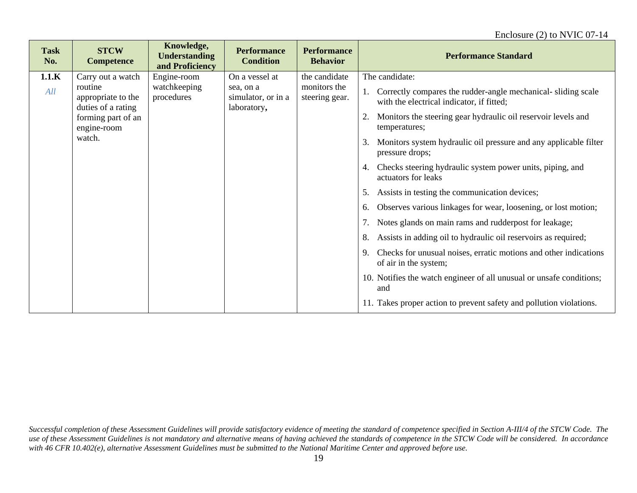| <b>Task</b><br>No. | <b>STCW</b><br><b>Competence</b>                    | Knowledge,<br><b>Understanding</b><br>and Proficiency | <b>Performance</b><br><b>Condition</b>         | <b>Performance</b><br><b>Behavior</b> | <b>Performance Standard</b>                                                                               |
|--------------------|-----------------------------------------------------|-------------------------------------------------------|------------------------------------------------|---------------------------------------|-----------------------------------------------------------------------------------------------------------|
| 1.1.K              | Carry out a watch                                   | Engine-room                                           | On a vessel at                                 | the candidate                         | The candidate:                                                                                            |
| All                | routine<br>appropriate to the<br>duties of a rating | watchkeeping<br>procedures                            | sea, on a<br>simulator, or in a<br>laboratory, | monitors the<br>steering gear.        | Correctly compares the rudder-angle mechanical-sliding scale<br>with the electrical indicator, if fitted; |
|                    | forming part of an<br>engine-room                   |                                                       |                                                |                                       | Monitors the steering gear hydraulic oil reservoir levels and<br>2.<br>temperatures;                      |
|                    | watch.                                              |                                                       |                                                |                                       | Monitors system hydraulic oil pressure and any applicable filter<br>3.<br>pressure drops;                 |
|                    |                                                     |                                                       |                                                |                                       | Checks steering hydraulic system power units, piping, and<br>4.<br>actuators for leaks                    |
|                    |                                                     |                                                       |                                                |                                       | Assists in testing the communication devices;<br>5.                                                       |
|                    |                                                     |                                                       |                                                |                                       | Observes various linkages for wear, loosening, or lost motion;<br>6.                                      |
|                    |                                                     |                                                       |                                                |                                       | Notes glands on main rams and rudderpost for leakage;<br>7.                                               |
|                    |                                                     |                                                       |                                                |                                       | Assists in adding oil to hydraulic oil reservoirs as required;<br>8.                                      |
|                    |                                                     |                                                       |                                                |                                       | Checks for unusual noises, erratic motions and other indications<br>of air in the system;                 |
|                    |                                                     |                                                       |                                                |                                       | 10. Notifies the watch engineer of all unusual or unsafe conditions;<br>and                               |
|                    |                                                     |                                                       |                                                |                                       | 11. Takes proper action to prevent safety and pollution violations.                                       |

*Successful completion of these Assessment Guidelines will provide satisfactory evidence of meeting the standard of competence specified in Section A-III/4 of the STCW Code. The use of these Assessment Guidelines is not mandatory and alternative means of having achieved the standards of competence in the STCW Code will be considered. In accordance with 46 CFR 10.402(e), alternative Assessment Guidelines must be submitted to the National Maritime Center and approved before use.*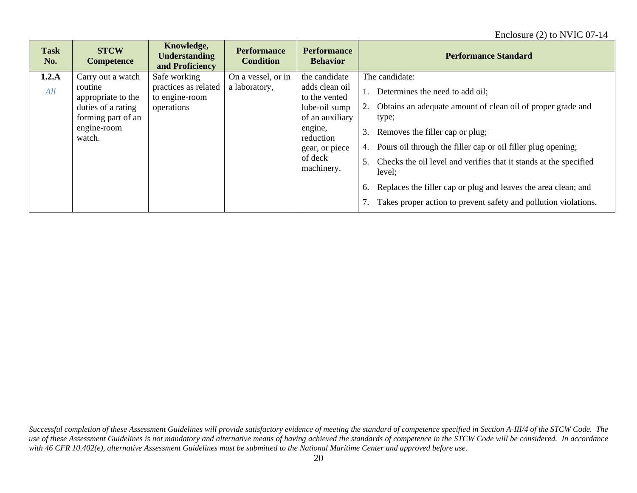| <b>STCW</b><br><b>Task</b><br><b>Understanding</b><br>No.<br><b>Competence</b><br>and Proficiency                                                                                                               | <b>Performance</b><br><b>Condition</b> | <b>Performance</b><br><b>Behavior</b>                                                                                                                   | <b>Performance Standard</b>                                                                                                                                                                                                                                                                                                                                                                                                                                                    |
|-----------------------------------------------------------------------------------------------------------------------------------------------------------------------------------------------------------------|----------------------------------------|---------------------------------------------------------------------------------------------------------------------------------------------------------|--------------------------------------------------------------------------------------------------------------------------------------------------------------------------------------------------------------------------------------------------------------------------------------------------------------------------------------------------------------------------------------------------------------------------------------------------------------------------------|
| 1.2.A<br>Safe working<br>Carry out a watch<br>practices as related<br>routine<br>All<br>appropriate to the<br>to engine-room<br>duties of a rating<br>operations<br>forming part of an<br>engine-room<br>watch. | On a vessel, or in<br>a laboratory,    | the candidate<br>adds clean oil<br>to the vented<br>lube-oil sump<br>of an auxiliary<br>engine,<br>reduction<br>gear, or piece<br>of deck<br>machinery. | The candidate:<br>Determines the need to add oil;<br>Obtains an adequate amount of clean oil of proper grade and<br>2.<br>type;<br>Removes the filler cap or plug;<br>3.<br>Pours oil through the filler cap or oil filler plug opening;<br>4.<br>Checks the oil level and verifies that it stands at the specified<br>5.<br>level;<br>Replaces the filler cap or plug and leaves the area clean; and<br>6.<br>Takes proper action to prevent safety and pollution violations. |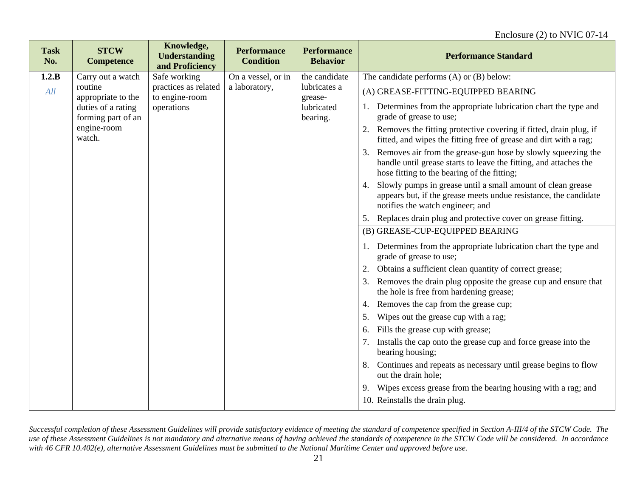| <b>Task</b><br>No. | <b>STCW</b><br><b>Competence</b>         | Knowledge,<br><b>Understanding</b><br>and Proficiency | <b>Performance</b><br><b>Condition</b> | <b>Performance</b><br><b>Behavior</b> | <b>Performance Standard</b>                                                                                                                                                      |
|--------------------|------------------------------------------|-------------------------------------------------------|----------------------------------------|---------------------------------------|----------------------------------------------------------------------------------------------------------------------------------------------------------------------------------|
| 1.2.B              | Carry out a watch                        | Safe working                                          | On a vessel, or in                     | the candidate                         | The candidate performs $(A)$ or $(B)$ below:                                                                                                                                     |
| All                | routine<br>appropriate to the            | practices as related<br>to engine-room                | a laboratory,                          | lubricates a<br>grease-               | (A) GREASE-FITTING-EQUIPPED BEARING                                                                                                                                              |
|                    | duties of a rating<br>forming part of an | operations                                            |                                        | lubricated<br>bearing.                | 1. Determines from the appropriate lubrication chart the type and<br>grade of grease to use;                                                                                     |
|                    | engine-room<br>watch.                    |                                                       |                                        |                                       | Removes the fitting protective covering if fitted, drain plug, if<br>2.<br>fitted, and wipes the fitting free of grease and dirt with a rag;                                     |
|                    |                                          |                                                       |                                        |                                       | Removes air from the grease-gun hose by slowly squeezing the<br>handle until grease starts to leave the fitting, and attaches the<br>hose fitting to the bearing of the fitting; |
|                    |                                          |                                                       |                                        |                                       | Slowly pumps in grease until a small amount of clean grease<br>4.<br>appears but, if the grease meets undue resistance, the candidate<br>notifies the watch engineer; and        |
|                    |                                          |                                                       |                                        |                                       | Replaces drain plug and protective cover on grease fitting.                                                                                                                      |
|                    |                                          |                                                       |                                        |                                       | (B) GREASE-CUP-EQUIPPED BEARING                                                                                                                                                  |
|                    |                                          |                                                       |                                        |                                       | 1. Determines from the appropriate lubrication chart the type and<br>grade of grease to use;                                                                                     |
|                    |                                          |                                                       |                                        |                                       | Obtains a sufficient clean quantity of correct grease;                                                                                                                           |
|                    |                                          |                                                       |                                        |                                       | Removes the drain plug opposite the grease cup and ensure that<br>the hole is free from hardening grease;                                                                        |
|                    |                                          |                                                       |                                        |                                       | Removes the cap from the grease cup;<br>4.                                                                                                                                       |
|                    |                                          |                                                       |                                        |                                       | Wipes out the grease cup with a rag;<br>5.                                                                                                                                       |
|                    |                                          |                                                       |                                        |                                       | Fills the grease cup with grease;<br>6.                                                                                                                                          |
|                    |                                          |                                                       |                                        |                                       | Installs the cap onto the grease cup and force grease into the<br>7.<br>bearing housing;                                                                                         |
|                    |                                          |                                                       |                                        |                                       | Continues and repeats as necessary until grease begins to flow<br>8.<br>out the drain hole;                                                                                      |
|                    |                                          |                                                       |                                        |                                       | 9. Wipes excess grease from the bearing housing with a rag; and                                                                                                                  |
|                    |                                          |                                                       |                                        |                                       | 10. Reinstalls the drain plug.                                                                                                                                                   |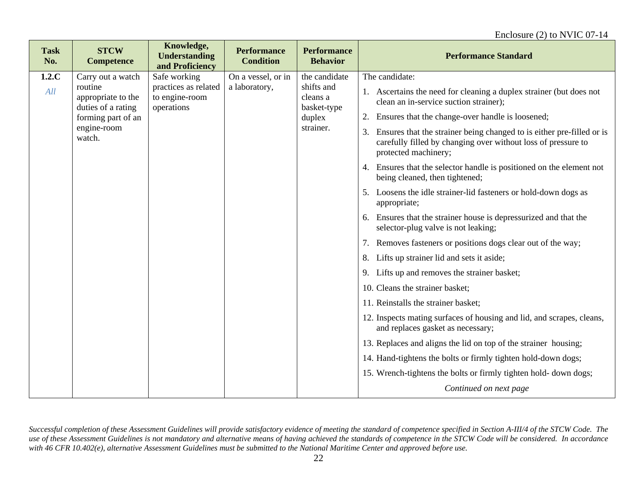#### Enclosure (2) to NVIC 07-14

| <b>Task</b><br>No. | <b>STCW</b><br><b>Competence</b>                                                                                        | Knowledge,<br><b>Understanding</b><br>and Proficiency                | <b>Performance</b><br><b>Condition</b> | <b>Performance</b><br><b>Behavior</b>                                         | <b>Performance Standard</b>                                                                                                                                                                                                                                                                                                                                                                                                                                                                                                                                                                                                                                                                                                                                                                                                                                                                                                                                                                                                                                                                                                                                                                                                                                 |
|--------------------|-------------------------------------------------------------------------------------------------------------------------|----------------------------------------------------------------------|----------------------------------------|-------------------------------------------------------------------------------|-------------------------------------------------------------------------------------------------------------------------------------------------------------------------------------------------------------------------------------------------------------------------------------------------------------------------------------------------------------------------------------------------------------------------------------------------------------------------------------------------------------------------------------------------------------------------------------------------------------------------------------------------------------------------------------------------------------------------------------------------------------------------------------------------------------------------------------------------------------------------------------------------------------------------------------------------------------------------------------------------------------------------------------------------------------------------------------------------------------------------------------------------------------------------------------------------------------------------------------------------------------|
| 1.2.C<br>All       | Carry out a watch<br>routine<br>appropriate to the<br>duties of a rating<br>forming part of an<br>engine-room<br>watch. | Safe working<br>practices as related<br>to engine-room<br>operations | On a vessel, or in<br>a laboratory,    | the candidate<br>shifts and<br>cleans a<br>basket-type<br>duplex<br>strainer. | The candidate:<br>1. Ascertains the need for cleaning a duplex strainer (but does not<br>clean an in-service suction strainer);<br>2. Ensures that the change-over handle is loosened;<br>3. Ensures that the strainer being changed to is either pre-filled or is<br>carefully filled by changing over without loss of pressure to<br>protected machinery;<br>4. Ensures that the selector handle is positioned on the element not<br>being cleaned, then tightened;<br>5. Loosens the idle strainer-lid fasteners or hold-down dogs as<br>appropriate;<br>6. Ensures that the strainer house is depressurized and that the<br>selector-plug valve is not leaking;<br>7. Removes fasteners or positions dogs clear out of the way;<br>8. Lifts up strainer lid and sets it aside;<br>9. Lifts up and removes the strainer basket;<br>10. Cleans the strainer basket;<br>11. Reinstalls the strainer basket;<br>12. Inspects mating surfaces of housing and lid, and scrapes, cleans,<br>and replaces gasket as necessary;<br>13. Replaces and aligns the lid on top of the strainer housing;<br>14. Hand-tightens the bolts or firmly tighten hold-down dogs;<br>15. Wrench-tightens the bolts or firmly tighten hold-down dogs;<br>Continued on next page |
|                    |                                                                                                                         |                                                                      |                                        |                                                                               |                                                                                                                                                                                                                                                                                                                                                                                                                                                                                                                                                                                                                                                                                                                                                                                                                                                                                                                                                                                                                                                                                                                                                                                                                                                             |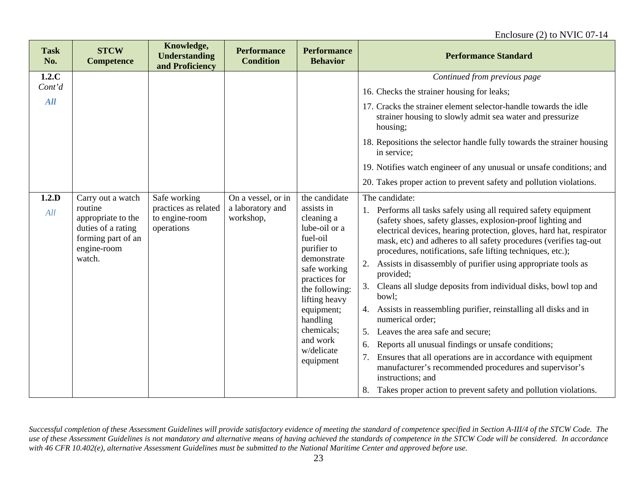| <b>Task</b><br>No. | <b>STCW</b><br><b>Competence</b>                                                                                        | Knowledge,<br><b>Understanding</b><br>and Proficiency                | <b>Performance</b><br><b>Condition</b>              | <b>Performance</b><br><b>Behavior</b>                                                                                                                                                                                                                   | <b>Performance Standard</b>                                                                                                                                                                                                                                                                                                                                                                                                                                                                                                                                                                                                                                                                                                                                                                                                                                                                                                                                     |
|--------------------|-------------------------------------------------------------------------------------------------------------------------|----------------------------------------------------------------------|-----------------------------------------------------|---------------------------------------------------------------------------------------------------------------------------------------------------------------------------------------------------------------------------------------------------------|-----------------------------------------------------------------------------------------------------------------------------------------------------------------------------------------------------------------------------------------------------------------------------------------------------------------------------------------------------------------------------------------------------------------------------------------------------------------------------------------------------------------------------------------------------------------------------------------------------------------------------------------------------------------------------------------------------------------------------------------------------------------------------------------------------------------------------------------------------------------------------------------------------------------------------------------------------------------|
| 1.2.C              |                                                                                                                         |                                                                      |                                                     |                                                                                                                                                                                                                                                         | Continued from previous page                                                                                                                                                                                                                                                                                                                                                                                                                                                                                                                                                                                                                                                                                                                                                                                                                                                                                                                                    |
| Cont'd             |                                                                                                                         |                                                                      |                                                     |                                                                                                                                                                                                                                                         | 16. Checks the strainer housing for leaks;                                                                                                                                                                                                                                                                                                                                                                                                                                                                                                                                                                                                                                                                                                                                                                                                                                                                                                                      |
| All                |                                                                                                                         |                                                                      |                                                     |                                                                                                                                                                                                                                                         | 17. Cracks the strainer element selector-handle towards the idle<br>strainer housing to slowly admit sea water and pressurize<br>housing;                                                                                                                                                                                                                                                                                                                                                                                                                                                                                                                                                                                                                                                                                                                                                                                                                       |
|                    |                                                                                                                         |                                                                      |                                                     |                                                                                                                                                                                                                                                         | 18. Repositions the selector handle fully towards the strainer housing<br>in service;                                                                                                                                                                                                                                                                                                                                                                                                                                                                                                                                                                                                                                                                                                                                                                                                                                                                           |
|                    |                                                                                                                         |                                                                      |                                                     |                                                                                                                                                                                                                                                         | 19. Notifies watch engineer of any unusual or unsafe conditions; and                                                                                                                                                                                                                                                                                                                                                                                                                                                                                                                                                                                                                                                                                                                                                                                                                                                                                            |
|                    |                                                                                                                         |                                                                      |                                                     |                                                                                                                                                                                                                                                         | 20. Takes proper action to prevent safety and pollution violations.                                                                                                                                                                                                                                                                                                                                                                                                                                                                                                                                                                                                                                                                                                                                                                                                                                                                                             |
| 1.2.D<br>All       | Carry out a watch<br>routine<br>appropriate to the<br>duties of a rating<br>forming part of an<br>engine-room<br>watch. | Safe working<br>practices as related<br>to engine-room<br>operations | On a vessel, or in<br>a laboratory and<br>workshop, | the candidate<br>assists in<br>cleaning a<br>lube-oil or a<br>fuel-oil<br>purifier to<br>demonstrate<br>safe working<br>practices for<br>the following:<br>lifting heavy<br>equipment;<br>handling<br>chemicals;<br>and work<br>w/delicate<br>equipment | The candidate:<br>Performs all tasks safely using all required safety equipment<br>1.<br>(safety shoes, safety glasses, explosion-proof lighting and<br>electrical devices, hearing protection, gloves, hard hat, respirator<br>mask, etc) and adheres to all safety procedures (verifies tag-out<br>procedures, notifications, safe lifting techniques, etc.);<br>Assists in disassembly of purifier using appropriate tools as<br>provided;<br>Cleans all sludge deposits from individual disks, bowl top and<br>3.<br>bowl;<br>Assists in reassembling purifier, reinstalling all disks and in<br>4.<br>numerical order;<br>Leaves the area safe and secure;<br>5.<br>Reports all unusual findings or unsafe conditions;<br>6.<br>Ensures that all operations are in accordance with equipment<br>7.<br>manufacturer's recommended procedures and supervisor's<br>instructions; and<br>Takes proper action to prevent safety and pollution violations.<br>8. |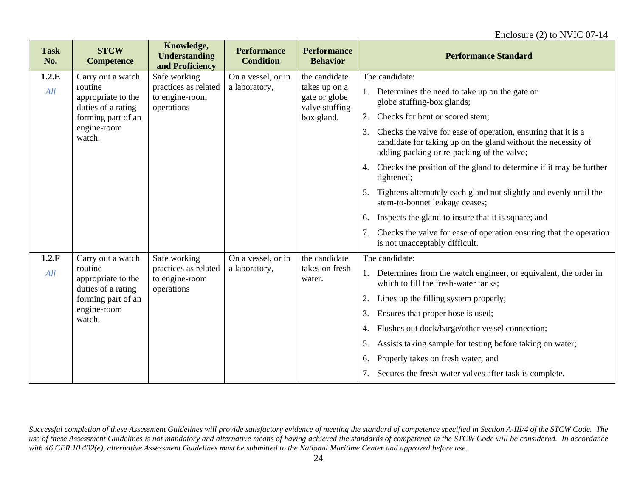| <b>Task</b><br>No. | <b>STCW</b><br><b>Competence</b>                    | Knowledge,<br><b>Understanding</b><br>and Proficiency | <b>Performance</b><br><b>Condition</b> | <b>Performance</b><br><b>Behavior</b>             | <b>Performance Standard</b>                                                                                                                                                        |
|--------------------|-----------------------------------------------------|-------------------------------------------------------|----------------------------------------|---------------------------------------------------|------------------------------------------------------------------------------------------------------------------------------------------------------------------------------------|
| 1.2.E              | Carry out a watch                                   | Safe working                                          | On a vessel, or in                     | the candidate                                     | The candidate:                                                                                                                                                                     |
| All                | routine<br>appropriate to the<br>duties of a rating | practices as related<br>to engine-room<br>operations  | a laboratory,                          | takes up on a<br>gate or globe<br>valve stuffing- | Determines the need to take up on the gate or<br>1.<br>globe stuffing-box glands;                                                                                                  |
|                    | forming part of an                                  |                                                       |                                        | box gland.                                        | Checks for bent or scored stem;<br>2.                                                                                                                                              |
|                    | engine-room<br>watch.                               |                                                       |                                        |                                                   | Checks the valve for ease of operation, ensuring that it is a<br>3.<br>candidate for taking up on the gland without the necessity of<br>adding packing or re-packing of the valve; |
|                    |                                                     |                                                       |                                        |                                                   | Checks the position of the gland to determine if it may be further<br>4.<br>tightened;                                                                                             |
|                    |                                                     |                                                       |                                        |                                                   | Tightens alternately each gland nut slightly and evenly until the<br>5.<br>stem-to-bonnet leakage ceases;                                                                          |
|                    |                                                     |                                                       |                                        |                                                   | Inspects the gland to insure that it is square; and<br>6.                                                                                                                          |
|                    |                                                     |                                                       |                                        |                                                   | Checks the valve for ease of operation ensuring that the operation<br>7.<br>is not unacceptably difficult.                                                                         |
| 1.2.F              | Carry out a watch                                   | Safe working                                          | On a vessel, or in                     | the candidate                                     | The candidate:                                                                                                                                                                     |
| All                | routine<br>appropriate to the<br>duties of a rating | practices as related<br>to engine-room<br>operations  | a laboratory,                          | takes on fresh<br>water.                          | Determines from the watch engineer, or equivalent, the order in<br>1.<br>which to fill the fresh-water tanks;                                                                      |
|                    | forming part of an                                  |                                                       |                                        |                                                   | Lines up the filling system properly;<br>2.                                                                                                                                        |
|                    | engine-room<br>watch.                               |                                                       |                                        |                                                   | Ensures that proper hose is used;<br>3.                                                                                                                                            |
|                    |                                                     |                                                       |                                        |                                                   | Flushes out dock/barge/other vessel connection;<br>4.                                                                                                                              |
|                    |                                                     |                                                       |                                        |                                                   | Assists taking sample for testing before taking on water;<br>5.                                                                                                                    |
|                    |                                                     |                                                       |                                        |                                                   | Properly takes on fresh water; and<br>6.                                                                                                                                           |
|                    |                                                     |                                                       |                                        |                                                   | Secures the fresh-water valves after task is complete.<br>7.                                                                                                                       |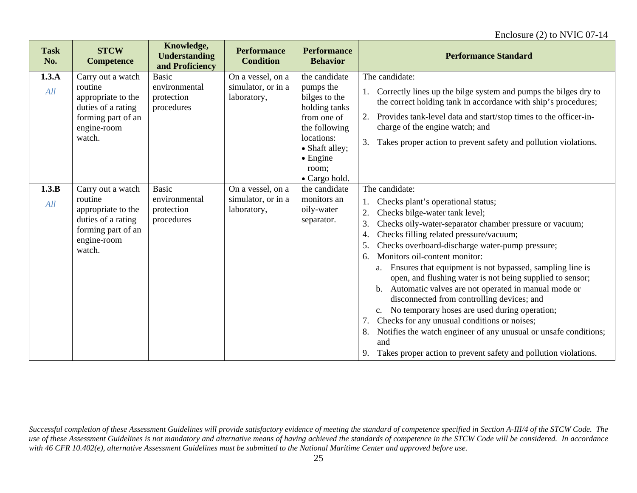| <b>Task</b><br>No. | <b>STCW</b><br><b>Competence</b>                                                                                        | Knowledge,<br><b>Understanding</b><br>and Proficiency     | <b>Performance</b><br><b>Condition</b>                 | <b>Performance</b><br><b>Behavior</b>                                                                                                                                      | <b>Performance Standard</b>                                                                                                                                                                                                                                                                                                                                                                                                                                                                                                                                                                                                                                                                                                                                                                                                  |
|--------------------|-------------------------------------------------------------------------------------------------------------------------|-----------------------------------------------------------|--------------------------------------------------------|----------------------------------------------------------------------------------------------------------------------------------------------------------------------------|------------------------------------------------------------------------------------------------------------------------------------------------------------------------------------------------------------------------------------------------------------------------------------------------------------------------------------------------------------------------------------------------------------------------------------------------------------------------------------------------------------------------------------------------------------------------------------------------------------------------------------------------------------------------------------------------------------------------------------------------------------------------------------------------------------------------------|
| 1.3.A<br>All       | Carry out a watch<br>routine<br>appropriate to the<br>duties of a rating<br>forming part of an<br>engine-room<br>watch. | <b>Basic</b><br>environmental<br>protection<br>procedures | On a vessel, on a<br>simulator, or in a<br>laboratory, | the candidate<br>pumps the<br>bilges to the<br>holding tanks<br>from one of<br>the following<br>locations:<br>• Shaft alley;<br>$\bullet$ Engine<br>room:<br>• Cargo hold. | The candidate:<br>1. Correctly lines up the bilge system and pumps the bilges dry to<br>the correct holding tank in accordance with ship's procedures;<br>Provides tank-level data and start/stop times to the officer-in-<br>2.<br>charge of the engine watch; and<br>3.<br>Takes proper action to prevent safety and pollution violations.                                                                                                                                                                                                                                                                                                                                                                                                                                                                                 |
| 1.3.B<br>All       | Carry out a watch<br>routine<br>appropriate to the<br>duties of a rating<br>forming part of an<br>engine-room<br>watch. | <b>Basic</b><br>environmental<br>protection<br>procedures | On a vessel, on a<br>simulator, or in a<br>laboratory, | the candidate<br>monitors an<br>oily-water<br>separator.                                                                                                                   | The candidate:<br>Checks plant's operational status;<br>Checks bilge-water tank level;<br>2.<br>3.<br>Checks oily-water-separator chamber pressure or vacuum;<br>Checks filling related pressure/vacuum;<br>4.<br>Checks overboard-discharge water-pump pressure;<br>5.<br>Monitors oil-content monitor:<br>6.<br>Ensures that equipment is not bypassed, sampling line is<br>a.<br>open, and flushing water is not being supplied to sensor;<br>Automatic valves are not operated in manual mode or<br>b.<br>disconnected from controlling devices; and<br>c. No temporary hoses are used during operation;<br>Checks for any unusual conditions or noises;<br>7.<br>Notifies the watch engineer of any unusual or unsafe conditions;<br>8.<br>and<br>Takes proper action to prevent safety and pollution violations.<br>9. |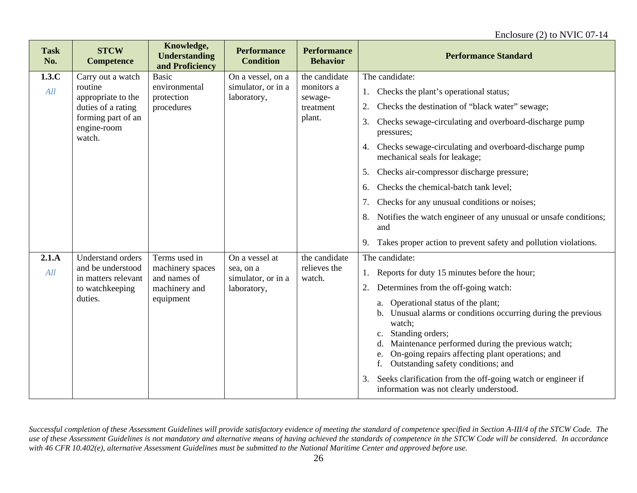| <b>Task</b><br>No. | <b>STCW</b><br><b>Competence</b>                                                                                        | Knowledge,<br><b>Understanding</b><br>and Proficiency                           | <b>Performance</b><br><b>Condition</b>                           | <b>Performance</b><br><b>Behavior</b>                         | <b>Performance Standard</b>                                                                                                                                                                                                                                                                                                                                                                                                                                                                                                                                                                                              |
|--------------------|-------------------------------------------------------------------------------------------------------------------------|---------------------------------------------------------------------------------|------------------------------------------------------------------|---------------------------------------------------------------|--------------------------------------------------------------------------------------------------------------------------------------------------------------------------------------------------------------------------------------------------------------------------------------------------------------------------------------------------------------------------------------------------------------------------------------------------------------------------------------------------------------------------------------------------------------------------------------------------------------------------|
| 1.3.C<br>All       | Carry out a watch<br>routine<br>appropriate to the<br>duties of a rating<br>forming part of an<br>engine-room<br>watch. | <b>Basic</b><br>environmental<br>protection<br>procedures                       | On a vessel, on a<br>simulator, or in a<br>laboratory,           | the candidate<br>monitors a<br>sewage-<br>treatment<br>plant. | The candidate:<br>Checks the plant's operational status;<br>1.<br>Checks the destination of "black water" sewage;<br>2.<br>Checks sewage-circulating and overboard-discharge pump<br>3.<br>pressures;<br>Checks sewage-circulating and overboard-discharge pump<br>4.<br>mechanical seals for leakage;<br>Checks air-compressor discharge pressure;<br>5.<br>Checks the chemical-batch tank level;<br>6.<br>Checks for any unusual conditions or noises;<br>7.<br>Notifies the watch engineer of any unusual or unsafe conditions;<br>8.<br>and<br>Takes proper action to prevent safety and pollution violations.<br>9. |
| 2.1.A<br>All       | <b>Understand orders</b><br>and be understood<br>in matters relevant<br>to watchkeeping<br>duties.                      | Terms used in<br>machinery spaces<br>and names of<br>machinery and<br>equipment | On a vessel at<br>sea, on a<br>simulator, or in a<br>laboratory, | the candidate<br>relieves the<br>watch.                       | The candidate:<br>Reports for duty 15 minutes before the hour;<br>1.<br>Determines from the off-going watch:<br>2.<br>a. Operational status of the plant;<br>Unusual alarms or conditions occurring during the previous<br>b.<br>watch;<br>Standing orders;<br>$\mathbf{c}$ .<br>Maintenance performed during the previous watch;<br>d.<br>On-going repairs affecting plant operations; and<br>e.<br>Outstanding safety conditions; and<br>Seeks clarification from the off-going watch or engineer if<br>3.<br>information was not clearly understood.                                                                  |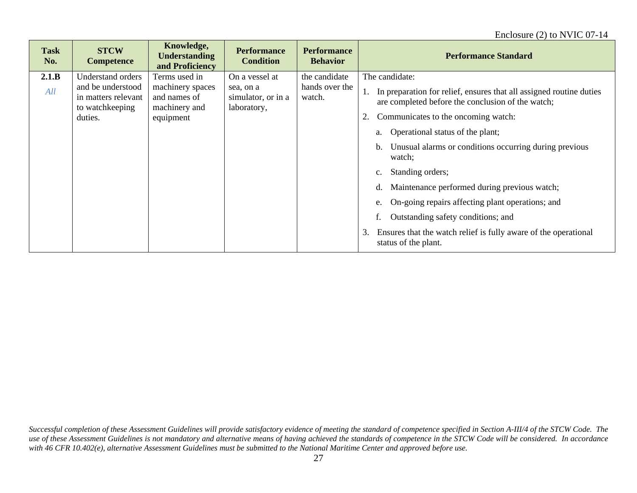#### Enclosure (2) to NVIC 07-14

| <b>Task</b><br>No. | <b>STCW</b><br><b>Competence</b>                                                            | Knowledge,<br><b>Understanding</b><br>and Proficiency                           | <b>Performance</b><br><b>Condition</b>                           | <b>Performance</b><br><b>Behavior</b>     | <b>Performance Standard</b>                                                                                                                                                                                                                                                                                                                                                                                                                                                                                                                                                                                    |
|--------------------|---------------------------------------------------------------------------------------------|---------------------------------------------------------------------------------|------------------------------------------------------------------|-------------------------------------------|----------------------------------------------------------------------------------------------------------------------------------------------------------------------------------------------------------------------------------------------------------------------------------------------------------------------------------------------------------------------------------------------------------------------------------------------------------------------------------------------------------------------------------------------------------------------------------------------------------------|
| 2.1.B<br>All       | Understand orders<br>and be understood<br>in matters relevant<br>to watchkeeping<br>duties. | Terms used in<br>machinery spaces<br>and names of<br>machinery and<br>equipment | On a vessel at<br>sea, on a<br>simulator, or in a<br>laboratory, | the candidate<br>hands over the<br>watch. | The candidate:<br>In preparation for relief, ensures that all assigned routine duties<br>are completed before the conclusion of the watch;<br>Communicates to the oncoming watch:<br>2.<br>Operational status of the plant;<br>a.<br>Unusual alarms or conditions occurring during previous<br>b.<br>watch:<br>Standing orders;<br>$\mathbf{c}$ .<br>Maintenance performed during previous watch;<br>d.<br>On-going repairs affecting plant operations; and<br>e.<br>Outstanding safety conditions; and<br>f.<br>Ensures that the watch relief is fully aware of the operational<br>3.<br>status of the plant. |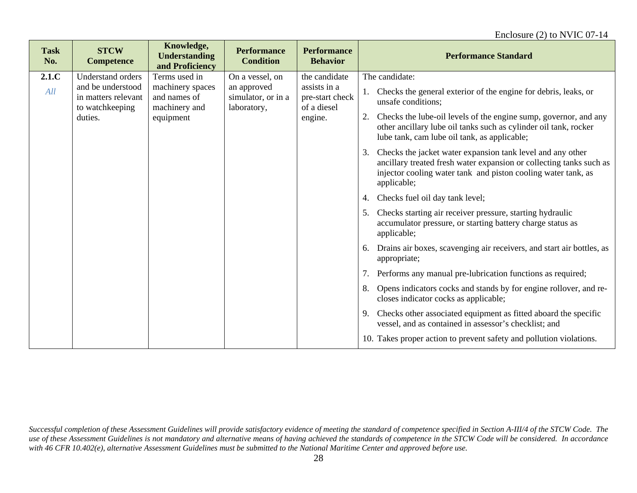| <b>Task</b><br>No. | <b>STCW</b><br><b>Competence</b>                            | Knowledge,<br><b>Understanding</b><br>and Proficiency | <b>Performance</b><br><b>Condition</b>           | <b>Performance</b><br><b>Behavior</b>          | <b>Performance Standard</b>                                                                                                                                                                                             |
|--------------------|-------------------------------------------------------------|-------------------------------------------------------|--------------------------------------------------|------------------------------------------------|-------------------------------------------------------------------------------------------------------------------------------------------------------------------------------------------------------------------------|
| 2.1.C              | <b>Understand orders</b>                                    | Terms used in                                         | On a vessel, on                                  | the candidate                                  | The candidate:                                                                                                                                                                                                          |
| All                | and be understood<br>in matters relevant<br>to watchkeeping | machinery spaces<br>and names of<br>machinery and     | an approved<br>simulator, or in a<br>laboratory, | assists in a<br>pre-start check<br>of a diesel | 1. Checks the general exterior of the engine for debris, leaks, or<br>unsafe conditions;                                                                                                                                |
|                    | duties.                                                     | equipment                                             |                                                  | engine.                                        | Checks the lube-oil levels of the engine sump, governor, and any<br>2.<br>other ancillary lube oil tanks such as cylinder oil tank, rocker<br>lube tank, cam lube oil tank, as applicable;                              |
|                    |                                                             |                                                       |                                                  |                                                | Checks the jacket water expansion tank level and any other<br>3.<br>ancillary treated fresh water expansion or collecting tanks such as<br>injector cooling water tank and piston cooling water tank, as<br>applicable; |
|                    |                                                             |                                                       |                                                  |                                                | Checks fuel oil day tank level;<br>4.                                                                                                                                                                                   |
|                    |                                                             |                                                       |                                                  |                                                | Checks starting air receiver pressure, starting hydraulic<br>5.<br>accumulator pressure, or starting battery charge status as<br>applicable;                                                                            |
|                    |                                                             |                                                       |                                                  |                                                | Drains air boxes, scavenging air receivers, and start air bottles, as<br>6.<br>appropriate;                                                                                                                             |
|                    |                                                             |                                                       |                                                  |                                                | Performs any manual pre-lubrication functions as required;<br>7.                                                                                                                                                        |
|                    |                                                             |                                                       |                                                  |                                                | Opens indicators cocks and stands by for engine rollover, and re-<br>8.<br>closes indicator cocks as applicable;                                                                                                        |
|                    |                                                             |                                                       |                                                  |                                                | Checks other associated equipment as fitted aboard the specific<br>9.<br>vessel, and as contained in assessor's checklist; and                                                                                          |
|                    |                                                             |                                                       |                                                  |                                                | 10. Takes proper action to prevent safety and pollution violations.                                                                                                                                                     |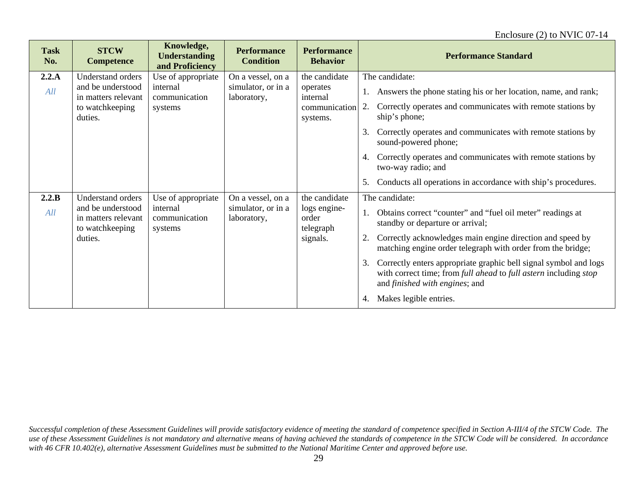#### Enclosure (2) to NVIC 07-14

| <b>Task</b><br>No. | <b>STCW</b><br><b>Competence</b>                            | Knowledge,<br><b>Understanding</b><br>and Proficiency | <b>Performance</b><br><b>Condition</b>                                                                                         | <b>Performance</b><br><b>Behavior</b> | <b>Performance Standard</b>                                                                                                                                                                 |
|--------------------|-------------------------------------------------------------|-------------------------------------------------------|--------------------------------------------------------------------------------------------------------------------------------|---------------------------------------|---------------------------------------------------------------------------------------------------------------------------------------------------------------------------------------------|
| 2.2.A              | <b>Understand orders</b>                                    | Use of appropriate                                    | On a vessel, on a                                                                                                              | the candidate                         | The candidate:                                                                                                                                                                              |
| All                | and be understood<br>in matters relevant                    | internal<br>communication                             | simulator, or in a<br>laboratory,                                                                                              | operates<br>internal                  | Answers the phone stating his or her location, name, and rank;                                                                                                                              |
|                    | to watchkeeping<br>duties.                                  | systems                                               |                                                                                                                                | communication<br>systems.             | Correctly operates and communicates with remote stations by<br>2.<br>ship's phone;                                                                                                          |
|                    |                                                             |                                                       |                                                                                                                                |                                       | Correctly operates and communicates with remote stations by<br>3.<br>sound-powered phone;                                                                                                   |
|                    |                                                             |                                                       |                                                                                                                                |                                       | Correctly operates and communicates with remote stations by<br>4.<br>two-way radio; and                                                                                                     |
|                    |                                                             |                                                       |                                                                                                                                |                                       | Conducts all operations in accordance with ship's procedures.<br>5.                                                                                                                         |
| 2.2.B              | <b>Understand orders</b>                                    | Use of appropriate                                    | On a vessel, on a                                                                                                              | the candidate                         | The candidate:                                                                                                                                                                              |
| All                | and be understood<br>in matters relevant<br>to watchkeeping | internal<br>communication<br>systems                  | simulator, or in a<br>laboratory,                                                                                              | logs engine-<br>order<br>telegraph    | Obtains correct "counter" and "fuel oil meter" readings at<br>standby or departure or arrival;                                                                                              |
|                    | duties.                                                     | signals.                                              | Correctly acknowledges main engine direction and speed by<br>2.<br>matching engine order telegraph with order from the bridge; |                                       |                                                                                                                                                                                             |
|                    |                                                             |                                                       |                                                                                                                                |                                       | Correctly enters appropriate graphic bell signal symbol and logs<br>3.<br>with correct time; from full ahead to full astern including stop<br>and <i>finished</i> with <i>engines</i> ; and |
|                    |                                                             |                                                       |                                                                                                                                |                                       | Makes legible entries.<br>4.                                                                                                                                                                |

*Successful completion of these Assessment Guidelines will provide satisfactory evidence of meeting the standard of competence specified in Section A-III/4 of the STCW Code. The use of these Assessment Guidelines is not mandatory and alternative means of having achieved the standards of competence in the STCW Code will be considered. In accordance with 46 CFR 10.402(e), alternative Assessment Guidelines must be submitted to the National Maritime Center and approved before use.*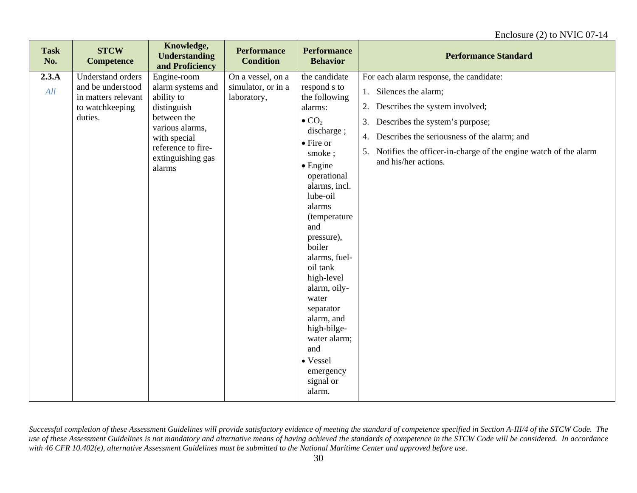| <b>Task</b><br>No. | <b>STCW</b><br><b>Competence</b>                                                            | Knowledge,<br><b>Understanding</b><br>and Proficiency                                                                                                                | <b>Performance</b><br><b>Condition</b>                 | <b>Performance</b><br><b>Behavior</b>                                                                                                                                                                                                                                                                                                                                                                                                     | <b>Performance Standard</b>                                                                                                                                                                                                                                                                              |
|--------------------|---------------------------------------------------------------------------------------------|----------------------------------------------------------------------------------------------------------------------------------------------------------------------|--------------------------------------------------------|-------------------------------------------------------------------------------------------------------------------------------------------------------------------------------------------------------------------------------------------------------------------------------------------------------------------------------------------------------------------------------------------------------------------------------------------|----------------------------------------------------------------------------------------------------------------------------------------------------------------------------------------------------------------------------------------------------------------------------------------------------------|
| 2.3.A<br>All       | Understand orders<br>and be understood<br>in matters relevant<br>to watchkeeping<br>duties. | Engine-room<br>alarm systems and<br>ability to<br>distinguish<br>between the<br>various alarms,<br>with special<br>reference to fire-<br>extinguishing gas<br>alarms | On a vessel, on a<br>simulator, or in a<br>laboratory, | the candidate<br>respond s to<br>the following<br>alarms:<br>$\bullet$ CO <sub>2</sub><br>discharge;<br>• Fire or<br>smoke;<br>$\bullet$ Engine<br>operational<br>alarms, incl.<br>lube-oil<br>alarms<br>(temperature<br>and<br>pressure),<br>boiler<br>alarms, fuel-<br>oil tank<br>high-level<br>alarm, oily-<br>water<br>separator<br>alarm, and<br>high-bilge-<br>water alarm;<br>and<br>• Vessel<br>emergency<br>signal or<br>alarm. | For each alarm response, the candidate:<br>1. Silences the alarm;<br>Describes the system involved;<br>2.<br>Describes the system's purpose;<br>3.<br>Describes the seriousness of the alarm; and<br>4.<br>Notifies the officer-in-charge of the engine watch of the alarm<br>5.<br>and his/her actions. |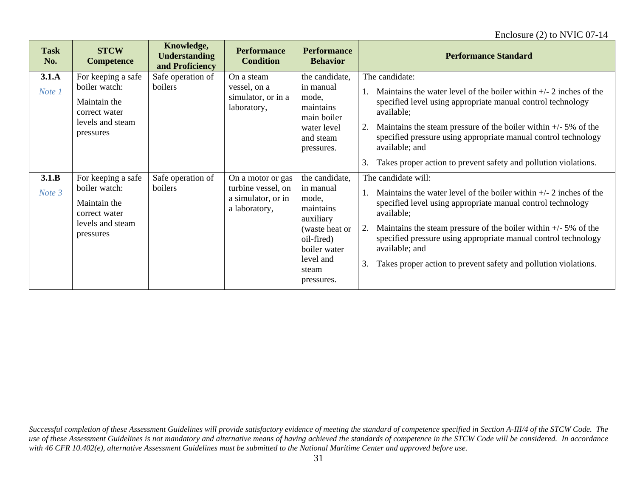| <b>Task</b><br>No. | <b>STCW</b><br><b>Competence</b>                                                                      | Knowledge,<br><b>Understanding</b><br>and Proficiency | <b>Performance</b><br><b>Condition</b>                                         | <b>Performance</b><br><b>Behavior</b>                                                                                                              | <b>Performance Standard</b>                                                                                                                                                                                                                                                                                                                                                                                      |
|--------------------|-------------------------------------------------------------------------------------------------------|-------------------------------------------------------|--------------------------------------------------------------------------------|----------------------------------------------------------------------------------------------------------------------------------------------------|------------------------------------------------------------------------------------------------------------------------------------------------------------------------------------------------------------------------------------------------------------------------------------------------------------------------------------------------------------------------------------------------------------------|
| 3.1.A<br>Note 1    | For keeping a safe<br>boiler watch:<br>Maintain the<br>correct water<br>levels and steam<br>pressures | Safe operation of<br>boilers                          | On a steam<br>vessel, on a<br>simulator, or in a<br>laboratory,                | the candidate,<br>in manual<br>mode,<br>maintains<br>main boiler<br>water level<br>and steam<br>pressures.                                         | The candidate:<br>Maintains the water level of the boiler within $+/- 2$ inches of the<br>specified level using appropriate manual control technology<br>available;<br>Maintains the steam pressure of the boiler within $+/-5\%$ of the<br>2.<br>specified pressure using appropriate manual control technology<br>available; and<br>3.<br>Takes proper action to prevent safety and pollution violations.      |
| 3.1.B<br>Note 3    | For keeping a safe<br>boiler watch:<br>Maintain the<br>correct water<br>levels and steam<br>pressures | Safe operation of<br>boilers                          | On a motor or gas<br>turbine vessel, on<br>a simulator, or in<br>a laboratory, | the candidate,<br>in manual<br>mode,<br>maintains<br>auxiliary<br>(waste heat or<br>oil-fired)<br>boiler water<br>level and<br>steam<br>pressures. | The candidate will:<br>Maintains the water level of the boiler within $+/- 2$ inches of the<br>specified level using appropriate manual control technology<br>available;<br>Maintains the steam pressure of the boiler within $+/-5\%$ of the<br>2.<br>specified pressure using appropriate manual control technology<br>available; and<br>Takes proper action to prevent safety and pollution violations.<br>3. |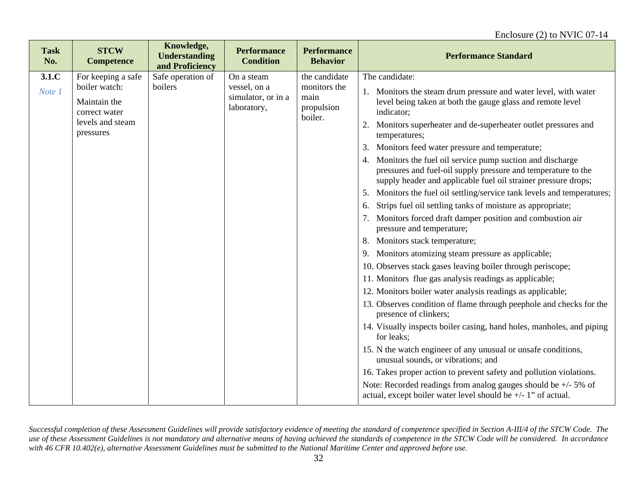#### Enclosure (2) to NVIC 07-14

| <b>Task</b><br>No. | <b>STCW</b><br><b>Competence</b>               | Knowledge,<br><b>Understanding</b><br>and Proficiency | <b>Performance</b><br><b>Condition</b>            | <b>Performance</b><br><b>Behavior</b>         | <b>Performance Standard</b>                                                                                                                                                                    |
|--------------------|------------------------------------------------|-------------------------------------------------------|---------------------------------------------------|-----------------------------------------------|------------------------------------------------------------------------------------------------------------------------------------------------------------------------------------------------|
| 3.1.C              | For keeping a safe                             | Safe operation of                                     | On a steam                                        | the candidate                                 | The candidate:                                                                                                                                                                                 |
| Note 1             | boiler watch:<br>Maintain the<br>correct water | boilers                                               | vessel, on a<br>simulator, or in a<br>laboratory, | monitors the<br>main<br>propulsion<br>boiler. | 1. Monitors the steam drum pressure and water level, with water<br>level being taken at both the gauge glass and remote level<br>indicator;                                                    |
|                    | levels and steam<br>pressures                  |                                                       |                                                   |                                               | Monitors superheater and de-superheater outlet pressures and<br>2.<br>temperatures;                                                                                                            |
|                    |                                                |                                                       |                                                   |                                               | Monitors feed water pressure and temperature;<br>3.                                                                                                                                            |
|                    |                                                |                                                       |                                                   |                                               | 4. Monitors the fuel oil service pump suction and discharge<br>pressures and fuel-oil supply pressure and temperature to the<br>supply header and applicable fuel oil strainer pressure drops; |
|                    |                                                |                                                       |                                                   |                                               | Monitors the fuel oil settling/service tank levels and temperatures;<br>5.                                                                                                                     |
|                    |                                                |                                                       |                                                   |                                               | Strips fuel oil settling tanks of moisture as appropriate;<br>6.                                                                                                                               |
|                    |                                                |                                                       |                                                   |                                               | Monitors forced draft damper position and combustion air<br>7.<br>pressure and temperature;                                                                                                    |
|                    |                                                |                                                       |                                                   |                                               | Monitors stack temperature;<br>8.                                                                                                                                                              |
|                    |                                                |                                                       |                                                   |                                               | 9. Monitors atomizing steam pressure as applicable;                                                                                                                                            |
|                    |                                                |                                                       |                                                   |                                               | 10. Observes stack gases leaving boiler through periscope;                                                                                                                                     |
|                    |                                                |                                                       |                                                   |                                               | 11. Monitors flue gas analysis readings as applicable;                                                                                                                                         |
|                    |                                                |                                                       |                                                   |                                               | 12. Monitors boiler water analysis readings as applicable;                                                                                                                                     |
|                    |                                                |                                                       |                                                   |                                               | 13. Observes condition of flame through peephole and checks for the<br>presence of clinkers;                                                                                                   |
|                    |                                                |                                                       |                                                   |                                               | 14. Visually inspects boiler casing, hand holes, manholes, and piping<br>for leaks;                                                                                                            |
|                    |                                                |                                                       |                                                   |                                               | 15. N the watch engineer of any unusual or unsafe conditions,<br>unusual sounds, or vibrations; and                                                                                            |
|                    |                                                |                                                       |                                                   |                                               | 16. Takes proper action to prevent safety and pollution violations.                                                                                                                            |
|                    |                                                |                                                       |                                                   |                                               | Note: Recorded readings from analog gauges should be $+/-5\%$ of<br>actual, except boiler water level should be $+/-1$ " of actual.                                                            |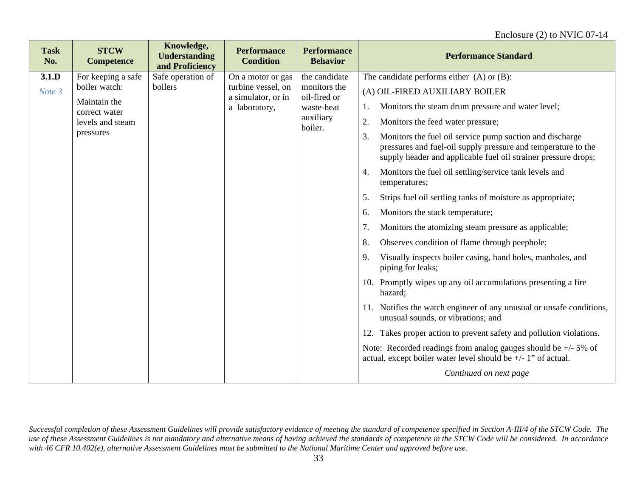| <b>Task</b><br>No. | <b>STCW</b><br><b>Competence</b> | Knowledge,<br><b>Understanding</b><br>and Proficiency | <b>Performance</b><br><b>Condition</b>   | <b>Performance</b><br><b>Behavior</b> | <b>Performance Standard</b>                                                                                                                                                                       |
|--------------------|----------------------------------|-------------------------------------------------------|------------------------------------------|---------------------------------------|---------------------------------------------------------------------------------------------------------------------------------------------------------------------------------------------------|
| 3.1.D              | For keeping a safe               | Safe operation of                                     | On a motor or gas                        | the candidate                         | The candidate performs $\frac{\text{either}}{\text{either}}$ (A) or (B):                                                                                                                          |
| Note 3             | boiler watch:                    | boilers                                               | turbine vessel, on<br>a simulator, or in | monitors the<br>oil-fired or          | (A) OIL-FIRED AUXILIARY BOILER                                                                                                                                                                    |
|                    | Maintain the<br>correct water    |                                                       | a laboratory,                            | waste-heat                            | Monitors the steam drum pressure and water level;<br>1.                                                                                                                                           |
|                    | levels and steam                 |                                                       |                                          | auxiliary<br>boiler.                  | 2.<br>Monitors the feed water pressure;                                                                                                                                                           |
|                    | pressures                        |                                                       |                                          |                                       | Monitors the fuel oil service pump suction and discharge<br>3.<br>pressures and fuel-oil supply pressure and temperature to the<br>supply header and applicable fuel oil strainer pressure drops; |
|                    |                                  |                                                       |                                          |                                       | Monitors the fuel oil settling/service tank levels and<br>4.<br>temperatures;                                                                                                                     |
|                    |                                  |                                                       |                                          |                                       | Strips fuel oil settling tanks of moisture as appropriate;<br>5.                                                                                                                                  |
|                    |                                  |                                                       |                                          |                                       | Monitors the stack temperature;<br>6.                                                                                                                                                             |
|                    |                                  |                                                       |                                          |                                       | Monitors the atomizing steam pressure as applicable;<br>7.                                                                                                                                        |
|                    |                                  |                                                       |                                          |                                       | Observes condition of flame through peephole;<br>8.                                                                                                                                               |
|                    |                                  |                                                       |                                          |                                       | Visually inspects boiler casing, hand holes, manholes, and<br>9.<br>piping for leaks;                                                                                                             |
|                    |                                  |                                                       |                                          |                                       | 10. Promptly wipes up any oil accumulations presenting a fire<br>hazard;                                                                                                                          |
|                    |                                  |                                                       |                                          |                                       | 11. Notifies the watch engineer of any unusual or unsafe conditions,<br>unusual sounds, or vibrations; and                                                                                        |
|                    |                                  |                                                       |                                          |                                       | 12. Takes proper action to prevent safety and pollution violations.                                                                                                                               |
|                    |                                  |                                                       |                                          |                                       | Note: Recorded readings from analog gauges should be $+/-5\%$ of<br>actual, except boiler water level should be +/- 1" of actual.                                                                 |
|                    |                                  |                                                       |                                          |                                       | Continued on next page                                                                                                                                                                            |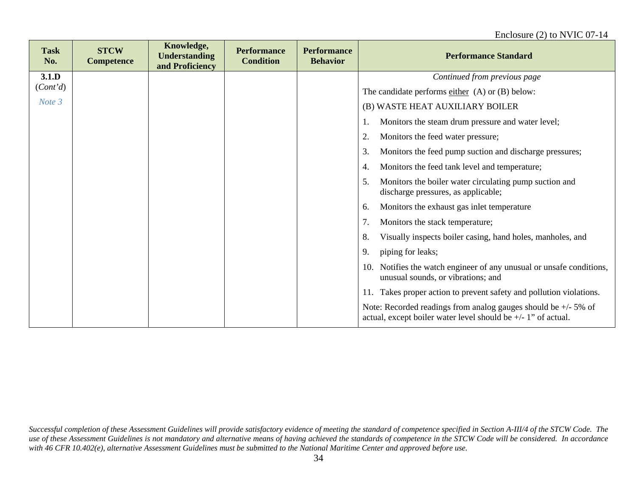| <b>Task</b><br>No. | <b>STCW</b><br><b>Competence</b> | Knowledge,<br><b>Understanding</b><br>and Proficiency | <b>Performance</b><br><b>Condition</b> | <b>Performance</b><br><b>Behavior</b> | <b>Performance Standard</b>                                                                                                          |
|--------------------|----------------------------------|-------------------------------------------------------|----------------------------------------|---------------------------------------|--------------------------------------------------------------------------------------------------------------------------------------|
| 3.1.D              |                                  |                                                       |                                        |                                       | Continued from previous page                                                                                                         |
| (Cont'd)           |                                  |                                                       |                                        |                                       | The candidate performs either $(A)$ or $(B)$ below:                                                                                  |
| Note 3             |                                  |                                                       |                                        |                                       | (B) WASTE HEAT AUXILIARY BOILER                                                                                                      |
|                    |                                  |                                                       |                                        |                                       | Monitors the steam drum pressure and water level;<br>1.                                                                              |
|                    |                                  |                                                       |                                        |                                       | 2.<br>Monitors the feed water pressure;                                                                                              |
|                    |                                  |                                                       |                                        |                                       | 3.<br>Monitors the feed pump suction and discharge pressures;                                                                        |
|                    |                                  |                                                       |                                        |                                       | Monitors the feed tank level and temperature;<br>4.                                                                                  |
|                    |                                  |                                                       |                                        |                                       | 5.<br>Monitors the boiler water circulating pump suction and<br>discharge pressures, as applicable;                                  |
|                    |                                  |                                                       |                                        |                                       | Monitors the exhaust gas inlet temperature<br>6.                                                                                     |
|                    |                                  |                                                       |                                        |                                       | 7.<br>Monitors the stack temperature;                                                                                                |
|                    |                                  |                                                       |                                        |                                       | 8.<br>Visually inspects boiler casing, hand holes, manholes, and                                                                     |
|                    |                                  |                                                       |                                        |                                       | piping for leaks;<br>9.                                                                                                              |
|                    |                                  |                                                       |                                        |                                       | Notifies the watch engineer of any unusual or unsafe conditions,<br>10.<br>unusual sounds, or vibrations; and                        |
|                    |                                  |                                                       |                                        |                                       | Takes proper action to prevent safety and pollution violations.<br>11.                                                               |
|                    |                                  |                                                       |                                        |                                       | Note: Recorded readings from analog gauges should be $+/-5\%$ of<br>actual, except boiler water level should be $+/- 1$ " of actual. |

*Successful completion of these Assessment Guidelines will provide satisfactory evidence of meeting the standard of competence specified in Section A-III/4 of the STCW Code. The*  use of these Assessment Guidelines is not mandatory and alternative means of having achieved the standards of competence in the STCW Code will be considered. In accordance *with 46 CFR 10.402(e), alternative Assessment Guidelines must be submitted to the National Maritime Center and approved before use.*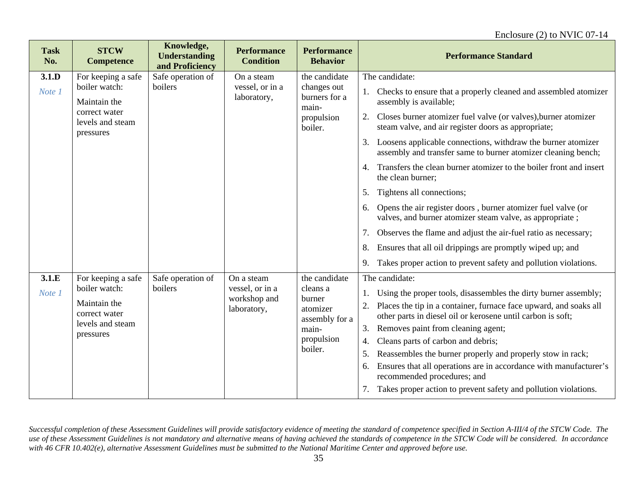| <b>Task</b><br>No. | <b>STCW</b><br><b>Competence</b>                                                                      | Knowledge,<br><b>Understanding</b><br>and Proficiency | <b>Performance</b><br><b>Condition</b>                       | <b>Performance</b><br><b>Behavior</b>                                                               | <b>Performance Standard</b>                                                                                                                                                                                                                                                                                                                                                                                                                                                                                                                                                                                                                                                                                                                                                                                                                                              |
|--------------------|-------------------------------------------------------------------------------------------------------|-------------------------------------------------------|--------------------------------------------------------------|-----------------------------------------------------------------------------------------------------|--------------------------------------------------------------------------------------------------------------------------------------------------------------------------------------------------------------------------------------------------------------------------------------------------------------------------------------------------------------------------------------------------------------------------------------------------------------------------------------------------------------------------------------------------------------------------------------------------------------------------------------------------------------------------------------------------------------------------------------------------------------------------------------------------------------------------------------------------------------------------|
| 3.1.D<br>Note 1    | For keeping a safe<br>boiler watch:<br>Maintain the<br>correct water<br>levels and steam<br>pressures | Safe operation of<br>boilers                          | On a steam<br>vessel, or in a<br>laboratory,                 | the candidate<br>changes out<br>burners for a<br>main-<br>propulsion<br>boiler.                     | The candidate:<br>Checks to ensure that a properly cleaned and assembled atomizer<br>assembly is available;<br>Closes burner atomizer fuel valve (or valves), burner atomizer<br>2.<br>steam valve, and air register doors as appropriate;<br>3.<br>Loosens applicable connections, withdraw the burner atomizer<br>assembly and transfer same to burner atomizer cleaning bench;<br>4. Transfers the clean burner atomizer to the boiler front and insert<br>the clean burner;<br>Tightens all connections;<br>5.<br>Opens the air register doors, burner atomizer fuel valve (or<br>6.<br>valves, and burner atomizer steam valve, as appropriate;<br>7.<br>Observes the flame and adjust the air-fuel ratio as necessary;<br>Ensures that all oil drippings are promptly wiped up; and<br>8.<br>Takes proper action to prevent safety and pollution violations.<br>9. |
| 3.1.E<br>Note 1    | For keeping a safe<br>boiler watch:<br>Maintain the<br>correct water<br>levels and steam<br>pressures | Safe operation of<br>boilers                          | On a steam<br>vessel, or in a<br>workshop and<br>laboratory, | the candidate<br>cleans a<br>burner<br>atomizer<br>assembly for a<br>main-<br>propulsion<br>boiler. | The candidate:<br>Using the proper tools, disassembles the dirty burner assembly;<br>1.<br>Places the tip in a container, furnace face upward, and soaks all<br>2.<br>other parts in diesel oil or kerosene until carbon is soft;<br>3.<br>Removes paint from cleaning agent;<br>Cleans parts of carbon and debris;<br>4.<br>Reassembles the burner properly and properly stow in rack;<br>5.<br>Ensures that all operations are in accordance with manufacturer's<br>6.<br>recommended procedures; and<br>Takes proper action to prevent safety and pollution violations.                                                                                                                                                                                                                                                                                               |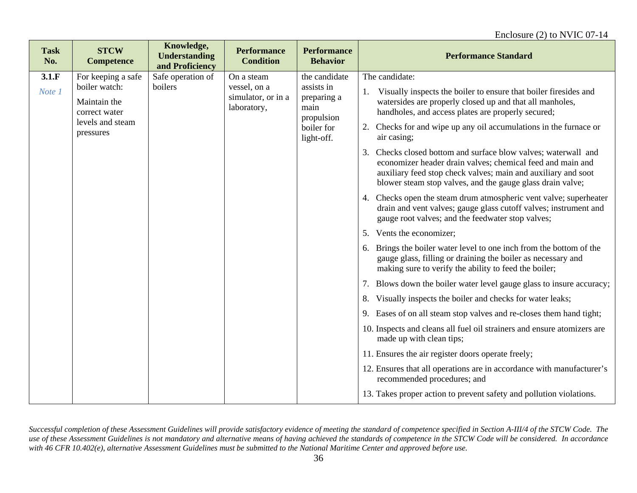| <b>Task</b><br>No. | <b>STCW</b><br><b>Competence</b>                                                                      | Knowledge,<br><b>Understanding</b><br>and Proficiency | <b>Performance</b><br><b>Condition</b>                          | <b>Performance</b><br><b>Behavior</b>                                                        | <b>Performance Standard</b>                                                                                                                                                                                                                                                              |
|--------------------|-------------------------------------------------------------------------------------------------------|-------------------------------------------------------|-----------------------------------------------------------------|----------------------------------------------------------------------------------------------|------------------------------------------------------------------------------------------------------------------------------------------------------------------------------------------------------------------------------------------------------------------------------------------|
| 3.1.F<br>Note 1    | For keeping a safe<br>boiler watch:<br>Maintain the<br>correct water<br>levels and steam<br>pressures | Safe operation of<br>boilers                          | On a steam<br>vessel, on a<br>simulator, or in a<br>laboratory, | the candidate<br>assists in<br>preparing a<br>main<br>propulsion<br>boiler for<br>light-off. | The candidate:<br>Visually inspects the boiler to ensure that boiler firesides and<br>watersides are properly closed up and that all manholes,<br>handholes, and access plates are properly secured;<br>2. Checks for and wipe up any oil accumulations in the furnace or<br>air casing; |
|                    |                                                                                                       |                                                       |                                                                 |                                                                                              | Checks closed bottom and surface blow valves; waterwall and<br>3.<br>economizer header drain valves; chemical feed and main and<br>auxiliary feed stop check valves; main and auxiliary and soot<br>blower steam stop valves, and the gauge glass drain valve;                           |
|                    |                                                                                                       |                                                       |                                                                 |                                                                                              | 4. Checks open the steam drum atmospheric vent valve; superheater<br>drain and vent valves; gauge glass cutoff valves; instrument and<br>gauge root valves; and the feedwater stop valves;                                                                                               |
|                    |                                                                                                       |                                                       |                                                                 |                                                                                              | 5. Vents the economizer;                                                                                                                                                                                                                                                                 |
|                    |                                                                                                       |                                                       |                                                                 |                                                                                              | 6. Brings the boiler water level to one inch from the bottom of the<br>gauge glass, filling or draining the boiler as necessary and<br>making sure to verify the ability to feed the boiler;                                                                                             |
|                    |                                                                                                       |                                                       |                                                                 |                                                                                              | 7. Blows down the boiler water level gauge glass to insure accuracy;                                                                                                                                                                                                                     |
|                    |                                                                                                       |                                                       |                                                                 |                                                                                              | Visually inspects the boiler and checks for water leaks;<br>8.                                                                                                                                                                                                                           |
|                    |                                                                                                       |                                                       |                                                                 |                                                                                              | 9. Eases of on all steam stop valves and re-closes them hand tight;                                                                                                                                                                                                                      |
|                    |                                                                                                       |                                                       |                                                                 |                                                                                              | 10. Inspects and cleans all fuel oil strainers and ensure atomizers are<br>made up with clean tips;                                                                                                                                                                                      |
|                    |                                                                                                       |                                                       |                                                                 |                                                                                              | 11. Ensures the air register doors operate freely;                                                                                                                                                                                                                                       |
|                    |                                                                                                       |                                                       |                                                                 |                                                                                              | 12. Ensures that all operations are in accordance with manufacturer's<br>recommended procedures; and                                                                                                                                                                                     |
|                    |                                                                                                       |                                                       |                                                                 |                                                                                              | 13. Takes proper action to prevent safety and pollution violations.                                                                                                                                                                                                                      |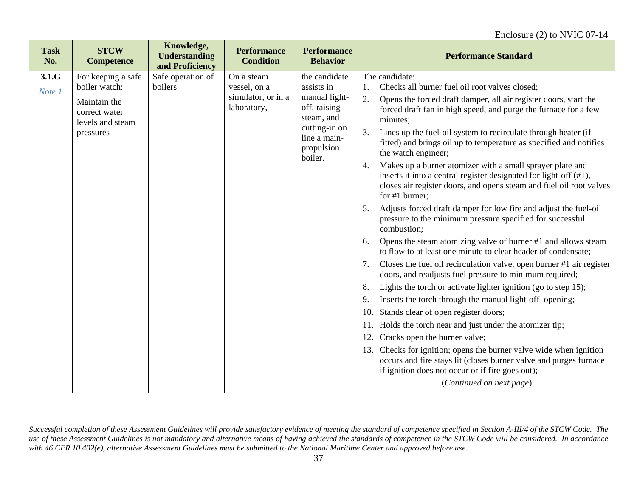| <b>Task</b><br>No. | <b>STCW</b><br><b>Competence</b>                  | Knowledge,<br><b>Understanding</b><br>and Proficiency | <b>Performance</b><br><b>Condition</b> | <b>Performance</b><br><b>Behavior</b>                  | <b>Performance Standard</b>                                                                                                                                                                                                   |
|--------------------|---------------------------------------------------|-------------------------------------------------------|----------------------------------------|--------------------------------------------------------|-------------------------------------------------------------------------------------------------------------------------------------------------------------------------------------------------------------------------------|
| 3.1.G              | For keeping a safe                                | Safe operation of                                     | On a steam                             | the candidate                                          | The candidate:                                                                                                                                                                                                                |
| Note 1             | boiler watch:                                     | boilers                                               | vessel, on a                           | assists in                                             | Checks all burner fuel oil root valves closed;<br>1.                                                                                                                                                                          |
|                    | Maintain the<br>correct water<br>levels and steam |                                                       | simulator, or in a<br>laboratory,      | manual light-<br>off, raising<br>steam, and            | Opens the forced draft damper, all air register doors, start the<br>2.<br>forced draft fan in high speed, and purge the furnace for a few<br>minutes;                                                                         |
|                    | pressures                                         |                                                       |                                        | cutting-in on<br>line a main-<br>propulsion<br>boiler. | Lines up the fuel-oil system to recirculate through heater (if<br>3.<br>fitted) and brings oil up to temperature as specified and notifies<br>the watch engineer;                                                             |
|                    |                                                   |                                                       |                                        |                                                        | Makes up a burner atomizer with a small sprayer plate and<br>4.<br>inserts it into a central register designated for light-off (#1),<br>closes air register doors, and opens steam and fuel oil root valves<br>for #1 burner; |
|                    |                                                   |                                                       |                                        |                                                        | Adjusts forced draft damper for low fire and adjust the fuel-oil<br>5.<br>pressure to the minimum pressure specified for successful<br>combustion;                                                                            |
|                    |                                                   |                                                       |                                        |                                                        | Opens the steam atomizing valve of burner #1 and allows steam<br>6.<br>to flow to at least one minute to clear header of condensate;                                                                                          |
|                    |                                                   |                                                       |                                        |                                                        | Closes the fuel oil recirculation valve, open burner #1 air register<br>7.<br>doors, and readjusts fuel pressure to minimum required;                                                                                         |
|                    |                                                   |                                                       |                                        |                                                        | Lights the torch or activate lighter ignition (go to step 15);<br>8.                                                                                                                                                          |
|                    |                                                   |                                                       |                                        |                                                        | Inserts the torch through the manual light-off opening;<br>9.                                                                                                                                                                 |
|                    |                                                   |                                                       |                                        |                                                        | Stands clear of open register doors;<br>10.                                                                                                                                                                                   |
|                    |                                                   |                                                       |                                        |                                                        | Holds the torch near and just under the atomizer tip;<br>11.                                                                                                                                                                  |
|                    |                                                   |                                                       |                                        |                                                        | Cracks open the burner valve;<br>12.                                                                                                                                                                                          |
|                    |                                                   |                                                       |                                        |                                                        | Checks for ignition; opens the burner valve wide when ignition<br>13.<br>occurs and fire stays lit (closes burner valve and purges furnace<br>if ignition does not occur or if fire goes out);                                |
|                    |                                                   |                                                       |                                        |                                                        | (Continued on next page)                                                                                                                                                                                                      |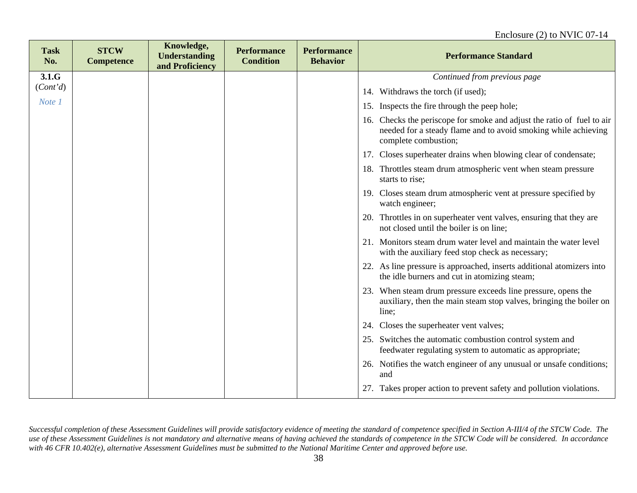| <b>Task</b><br>No. | <b>STCW</b><br><b>Competence</b> | Knowledge,<br><b>Understanding</b><br>and Proficiency | <b>Performance</b><br><b>Condition</b> | <b>Performance</b><br><b>Behavior</b> | <b>Performance Standard</b>                                                                                                                                      |
|--------------------|----------------------------------|-------------------------------------------------------|----------------------------------------|---------------------------------------|------------------------------------------------------------------------------------------------------------------------------------------------------------------|
| 3.1.G              |                                  |                                                       |                                        |                                       | Continued from previous page                                                                                                                                     |
| (Cont'd)           |                                  |                                                       |                                        |                                       | Withdraws the torch (if used);<br>14.                                                                                                                            |
| Note 1             |                                  |                                                       |                                        |                                       | Inspects the fire through the peep hole;<br>15.                                                                                                                  |
|                    |                                  |                                                       |                                        |                                       | 16. Checks the periscope for smoke and adjust the ratio of fuel to air<br>needed for a steady flame and to avoid smoking while achieving<br>complete combustion; |
|                    |                                  |                                                       |                                        |                                       | Closes superheater drains when blowing clear of condensate;<br>17.                                                                                               |
|                    |                                  |                                                       |                                        |                                       | Throttles steam drum atmospheric vent when steam pressure<br>18.<br>starts to rise;                                                                              |
|                    |                                  |                                                       |                                        |                                       | 19. Closes steam drum atmospheric vent at pressure specified by<br>watch engineer;                                                                               |
|                    |                                  |                                                       |                                        |                                       | 20. Throttles in on superheater vent valves, ensuring that they are<br>not closed until the boiler is on line;                                                   |
|                    |                                  |                                                       |                                        |                                       | 21. Monitors steam drum water level and maintain the water level<br>with the auxiliary feed stop check as necessary;                                             |
|                    |                                  |                                                       |                                        |                                       | 22. As line pressure is approached, inserts additional atomizers into<br>the idle burners and cut in atomizing steam;                                            |
|                    |                                  |                                                       |                                        |                                       | 23. When steam drum pressure exceeds line pressure, opens the<br>auxiliary, then the main steam stop valves, bringing the boiler on<br>line;                     |
|                    |                                  |                                                       |                                        |                                       | Closes the superheater vent valves;<br>24.                                                                                                                       |
|                    |                                  |                                                       |                                        |                                       | 25. Switches the automatic combustion control system and<br>feedwater regulating system to automatic as appropriate;                                             |
|                    |                                  |                                                       |                                        |                                       | 26. Notifies the watch engineer of any unusual or unsafe conditions;<br>and                                                                                      |
|                    |                                  |                                                       |                                        |                                       | 27. Takes proper action to prevent safety and pollution violations.                                                                                              |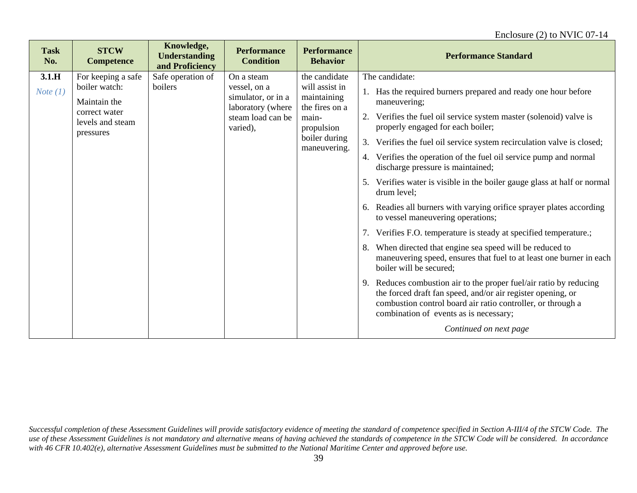| <b>STCW</b><br><b>Task</b><br>No.<br><b>Competence</b>                                                                       | Knowledge,<br><b>Understanding</b><br>and Proficiency | <b>Performance</b><br><b>Condition</b>                                                                 | <b>Performance</b><br><b>Behavior</b>                                                                                    | <b>Performance Standard</b>                                                                                                                                                                                                                                                                                                                                                                                                                                                                                                                                                                                                                                                                                                                                                                                                                                                                                                                                                                                                                                                                                            |
|------------------------------------------------------------------------------------------------------------------------------|-------------------------------------------------------|--------------------------------------------------------------------------------------------------------|--------------------------------------------------------------------------------------------------------------------------|------------------------------------------------------------------------------------------------------------------------------------------------------------------------------------------------------------------------------------------------------------------------------------------------------------------------------------------------------------------------------------------------------------------------------------------------------------------------------------------------------------------------------------------------------------------------------------------------------------------------------------------------------------------------------------------------------------------------------------------------------------------------------------------------------------------------------------------------------------------------------------------------------------------------------------------------------------------------------------------------------------------------------------------------------------------------------------------------------------------------|
| 3.1.H<br>For keeping a safe<br>boiler watch:<br>Note $(1)$<br>Maintain the<br>correct water<br>levels and steam<br>pressures | Safe operation of<br>boilers                          | On a steam<br>vessel, on a<br>simulator, or in a<br>laboratory (where<br>steam load can be<br>varied), | the candidate<br>will assist in<br>maintaining<br>the fires on a<br>main-<br>propulsion<br>boiler during<br>maneuvering. | The candidate:<br>1. Has the required burners prepared and ready one hour before<br>maneuvering;<br>2. Verifies the fuel oil service system master (solenoid) valve is<br>properly engaged for each boiler;<br>3. Verifies the fuel oil service system recirculation valve is closed;<br>4. Verifies the operation of the fuel oil service pump and normal<br>discharge pressure is maintained;<br>Verifies water is visible in the boiler gauge glass at half or normal<br>5.<br>drum level:<br>6. Readies all burners with varying orifice sprayer plates according<br>to vessel maneuvering operations;<br>7. Verifies F.O. temperature is steady at specified temperature.;<br>8. When directed that engine sea speed will be reduced to<br>maneuvering speed, ensures that fuel to at least one burner in each<br>boiler will be secured;<br>9. Reduces combustion air to the proper fuel/air ratio by reducing<br>the forced draft fan speed, and/or air register opening, or<br>combustion control board air ratio controller, or through a<br>combination of events as is necessary;<br>Continued on next page |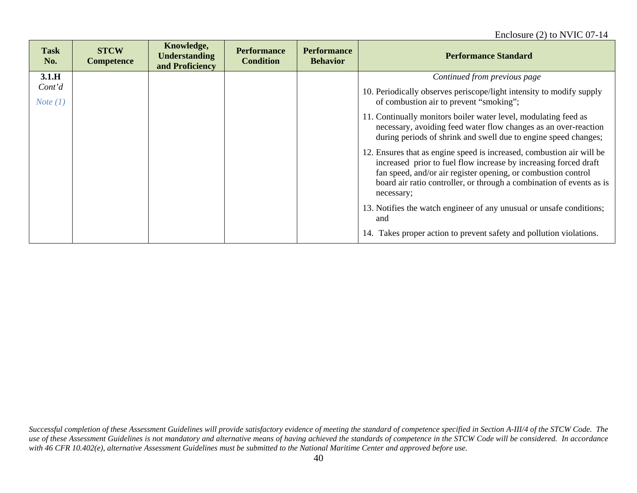| <b>Task</b><br>No.          | <b>STCW</b><br><b>Competence</b> | Knowledge,<br><b>Understanding</b><br>and Proficiency | <b>Performance</b><br><b>Condition</b> | <b>Performance</b><br><b>Behavior</b> | <b>Performance Standard</b>                                                                                                                                                                                                                                                                      |
|-----------------------------|----------------------------------|-------------------------------------------------------|----------------------------------------|---------------------------------------|--------------------------------------------------------------------------------------------------------------------------------------------------------------------------------------------------------------------------------------------------------------------------------------------------|
| 3.1.H                       |                                  |                                                       |                                        |                                       | Continued from previous page                                                                                                                                                                                                                                                                     |
| Cont'd<br><i>Note</i> $(1)$ |                                  |                                                       |                                        |                                       | 10. Periodically observes periscope/light intensity to modify supply<br>of combustion air to prevent "smoking";                                                                                                                                                                                  |
|                             |                                  |                                                       |                                        |                                       | 11. Continually monitors boiler water level, modulating feed as<br>necessary, avoiding feed water flow changes as an over-reaction<br>during periods of shrink and swell due to engine speed changes;                                                                                            |
|                             |                                  |                                                       |                                        |                                       | 12. Ensures that as engine speed is increased, combustion air will be<br>increased prior to fuel flow increase by increasing forced draft<br>fan speed, and/or air register opening, or combustion control<br>board air ratio controller, or through a combination of events as is<br>necessary; |
|                             |                                  |                                                       |                                        |                                       | 13. Notifies the watch engineer of any unusual or unsafe conditions;<br>and                                                                                                                                                                                                                      |
|                             |                                  |                                                       |                                        |                                       | 14. Takes proper action to prevent safety and pollution violations.                                                                                                                                                                                                                              |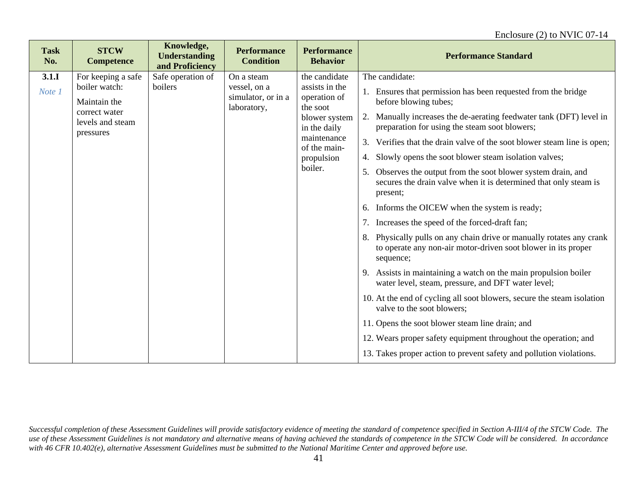| <b>Task</b><br>No. | <b>STCW</b><br><b>Competence</b>                                                                      | Knowledge,<br><b>Understanding</b><br>and Proficiency | <b>Performance</b><br><b>Condition</b>                          | <b>Performance</b><br><b>Behavior</b>                                                                                                                | <b>Performance Standard</b>                                                                                                                                                                                                                                                                                                                                                                                                                                                                                                                                                                                                                                                                                                                                                                                                                                                                                                                                                                                                                                                                                                                                                                                         |
|--------------------|-------------------------------------------------------------------------------------------------------|-------------------------------------------------------|-----------------------------------------------------------------|------------------------------------------------------------------------------------------------------------------------------------------------------|---------------------------------------------------------------------------------------------------------------------------------------------------------------------------------------------------------------------------------------------------------------------------------------------------------------------------------------------------------------------------------------------------------------------------------------------------------------------------------------------------------------------------------------------------------------------------------------------------------------------------------------------------------------------------------------------------------------------------------------------------------------------------------------------------------------------------------------------------------------------------------------------------------------------------------------------------------------------------------------------------------------------------------------------------------------------------------------------------------------------------------------------------------------------------------------------------------------------|
| 3.1.1<br>Note 1    | For keeping a safe<br>boiler watch:<br>Maintain the<br>correct water<br>levels and steam<br>pressures | Safe operation of<br>boilers                          | On a steam<br>vessel, on a<br>simulator, or in a<br>laboratory, | the candidate<br>assists in the<br>operation of<br>the soot<br>blower system<br>in the daily<br>maintenance<br>of the main-<br>propulsion<br>boiler. | The candidate:<br>1. Ensures that permission has been requested from the bridge<br>before blowing tubes;<br>2. Manually increases the de-aerating feedwater tank (DFT) level in<br>preparation for using the steam soot blowers;<br>3. Verifies that the drain valve of the soot blower steam line is open;<br>4. Slowly opens the soot blower steam isolation valves;<br>Observes the output from the soot blower system drain, and<br>5.<br>secures the drain valve when it is determined that only steam is<br>present;<br>6. Informs the OICEW when the system is ready;<br>7. Increases the speed of the forced-draft fan;<br>8. Physically pulls on any chain drive or manually rotates any crank<br>to operate any non-air motor-driven soot blower in its proper<br>sequence;<br>9. Assists in maintaining a watch on the main propulsion boiler<br>water level, steam, pressure, and DFT water level;<br>10. At the end of cycling all soot blowers, secure the steam isolation<br>valve to the soot blowers;<br>11. Opens the soot blower steam line drain; and<br>12. Wears proper safety equipment throughout the operation; and<br>13. Takes proper action to prevent safety and pollution violations. |
|                    |                                                                                                       |                                                       |                                                                 |                                                                                                                                                      |                                                                                                                                                                                                                                                                                                                                                                                                                                                                                                                                                                                                                                                                                                                                                                                                                                                                                                                                                                                                                                                                                                                                                                                                                     |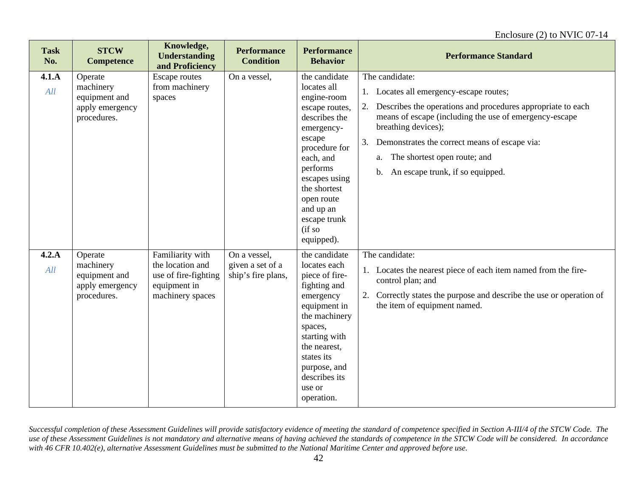| <b>Task</b><br>No. | <b>STCW</b><br><b>Competence</b>                                        | Knowledge,<br><b>Understanding</b><br>and Proficiency                                            | <b>Performance</b><br><b>Condition</b>                 | <b>Performance</b><br><b>Behavior</b>                                                                                                                                                                                                                 | <b>Performance Standard</b>                                                                                                                                                                                                                                                                                                                |
|--------------------|-------------------------------------------------------------------------|--------------------------------------------------------------------------------------------------|--------------------------------------------------------|-------------------------------------------------------------------------------------------------------------------------------------------------------------------------------------------------------------------------------------------------------|--------------------------------------------------------------------------------------------------------------------------------------------------------------------------------------------------------------------------------------------------------------------------------------------------------------------------------------------|
| 4.1.A<br>All       | Operate<br>machinery<br>equipment and<br>apply emergency<br>procedures. | Escape routes<br>from machinery<br>spaces                                                        | On a vessel,                                           | the candidate<br>locates all<br>engine-room<br>escape routes,<br>describes the<br>emergency-<br>escape<br>procedure for<br>each, and<br>performs<br>escapes using<br>the shortest<br>open route<br>and up an<br>escape trunk<br>(i f so<br>equipped). | The candidate:<br>1. Locates all emergency-escape routes;<br>Describes the operations and procedures appropriate to each<br>means of escape (including the use of emergency-escape<br>breathing devices);<br>3.<br>Demonstrates the correct means of escape via:<br>a. The shortest open route; and<br>b. An escape trunk, if so equipped. |
| 4.2.A<br>All       | Operate<br>machinery<br>equipment and<br>apply emergency<br>procedures. | Familiarity with<br>the location and<br>use of fire-fighting<br>equipment in<br>machinery spaces | On a vessel,<br>given a set of a<br>ship's fire plans, | the candidate<br>locates each<br>piece of fire-<br>fighting and<br>emergency<br>equipment in<br>the machinery<br>spaces,<br>starting with<br>the nearest,<br>states its<br>purpose, and<br>describes its<br>use or<br>operation.                      | The candidate:<br>1. Locates the nearest piece of each item named from the fire-<br>control plan; and<br>2. Correctly states the purpose and describe the use or operation of<br>the item of equipment named.                                                                                                                              |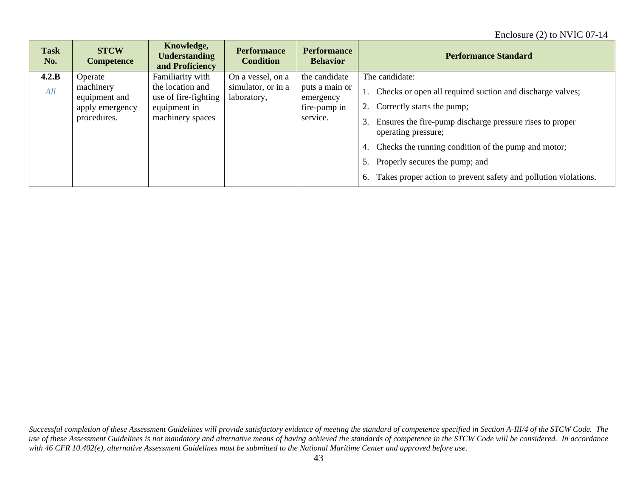| <b>Task</b><br>No. | <b>STCW</b><br><b>Competence</b> | Knowledge,<br><b>Understanding</b><br>and Proficiency | <b>Performance</b><br><b>Condition</b> | <b>Performance</b><br><b>Behavior</b> | <b>Performance Standard</b>                                                           |
|--------------------|----------------------------------|-------------------------------------------------------|----------------------------------------|---------------------------------------|---------------------------------------------------------------------------------------|
| 4.2.B              | Operate                          | Familiarity with                                      | On a vessel, on a                      | the candidate                         | The candidate:                                                                        |
| All                | machinery<br>equipment and       | the location and<br>use of fire-fighting              | simulator, or in a<br>laboratory,      | puts a main or<br>emergency           | 1. Checks or open all required suction and discharge valves;                          |
|                    | apply emergency                  | equipment in                                          |                                        | fire-pump in                          | 2. Correctly starts the pump;                                                         |
|                    | procedures.                      | machinery spaces                                      |                                        | service.                              | Ensures the fire-pump discharge pressure rises to proper<br>3.<br>operating pressure; |
|                    |                                  |                                                       |                                        |                                       | Checks the running condition of the pump and motor;<br>4.                             |
|                    |                                  |                                                       |                                        |                                       | Properly secures the pump; and<br>5.                                                  |
|                    |                                  |                                                       |                                        |                                       | Takes proper action to prevent safety and pollution violations.<br>6.                 |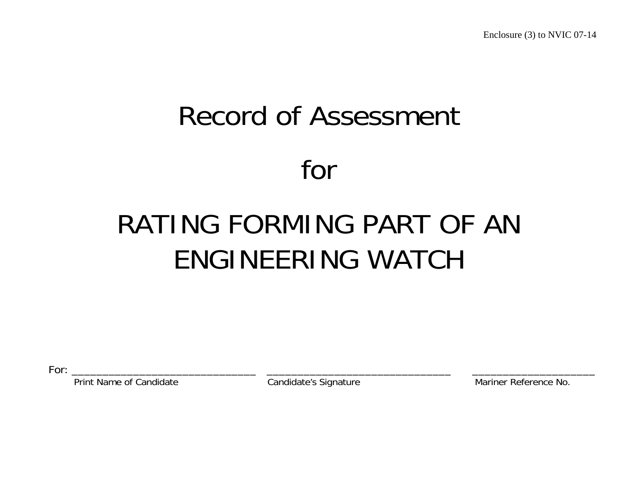# Record of Assessment for

# RATING FORMING PART OF AN ENGINEERING WATCH

For: \_\_\_\_\_\_\_\_\_\_\_\_\_\_\_\_\_\_\_\_\_\_\_\_\_\_\_\_\_\_ \_\_\_\_\_\_\_\_\_\_\_\_\_\_\_\_\_\_\_\_\_\_\_\_\_\_\_\_\_\_ \_\_\_\_\_\_\_\_\_\_\_\_\_\_\_\_\_\_\_\_

Print Name of Candidate **Candidate's Signature** Candidate's Signature Mariner Reference No.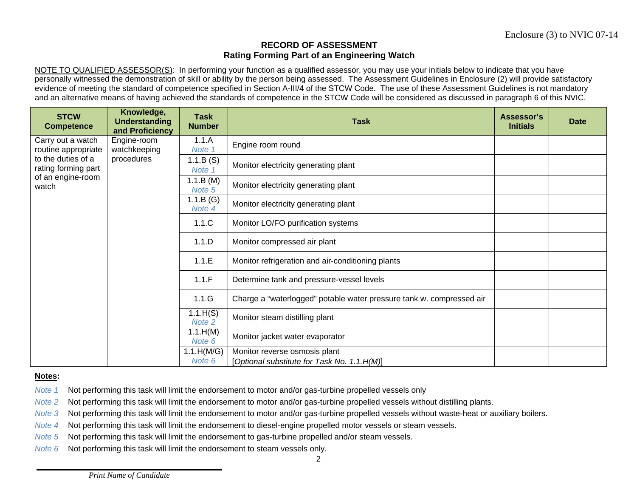NOTE TO QUALIFIED ASSESSOR(S): In performing your function as a qualified assessor, you may use your initials below to indicate that you have personally witnessed the demonstration of skill or ability by the person being assessed. The Assessment Guidelines in Enclosure (2) will provide satisfactory evidence of meeting the standard of competence specified in Section A-III/4 of the STCW Code. The use of these Assessment Guidelines is not mandatory and an alternative means of having achieved the standards of competence in the STCW Code will be considered as discussed in paragraph 6 of this NVIC.

| <b>STCW</b><br><b>Competence</b>                                        | Knowledge,<br><b>Understanding</b><br>and Proficiency | <b>Task</b><br><b>Number</b> | <b>Task</b>                                                                  | Assessor's<br><b>Initials</b> | Date |
|-------------------------------------------------------------------------|-------------------------------------------------------|------------------------------|------------------------------------------------------------------------------|-------------------------------|------|
| Carry out a watch<br>routine appropriate                                | Engine-room<br>watchkeeping                           | 1.1.A<br>Note 1              | Engine room round                                                            |                               |      |
| to the duties of a<br>rating forming part<br>of an engine-room<br>watch | procedures                                            | 1.1.B(S)<br>Note 1           | Monitor electricity generating plant                                         |                               |      |
|                                                                         |                                                       | 1.1.B (M)<br>Note 5          | Monitor electricity generating plant                                         |                               |      |
|                                                                         |                                                       | 1.1.B(G)<br>Note 4           | Monitor electricity generating plant                                         |                               |      |
|                                                                         |                                                       | 1.1.C                        | Monitor LO/FO purification systems                                           |                               |      |
|                                                                         |                                                       | 1.1.D                        | Monitor compressed air plant                                                 |                               |      |
|                                                                         |                                                       | 1.1.E                        | Monitor refrigeration and air-conditioning plants                            |                               |      |
|                                                                         |                                                       | 1.1.F                        | Determine tank and pressure-vessel levels                                    |                               |      |
|                                                                         |                                                       | 1.1.G                        | Charge a "waterlogged" potable water pressure tank w. compressed air         |                               |      |
|                                                                         |                                                       | 1.1.H(S)<br>Note 2           | Monitor steam distilling plant                                               |                               |      |
|                                                                         |                                                       | 1.1.H(M)<br>Note 6           | Monitor jacket water evaporator                                              |                               |      |
|                                                                         |                                                       | 1.1.H(M/G)<br>Note 6         | Monitor reverse osmosis plant<br>[Optional substitute for Task No. 1.1.H(M)] |                               |      |

#### **Notes:**

- *Note 1*Not performing this task will limit the endorsement to motor and/or gas-turbine propelled vessels only
- *Note 2*Not performing this task will limit the endorsement to motor and/or gas-turbine propelled vessels without distilling plants.
- *Note 3*Not performing this task will limit the endorsement to motor and/or gas-turbine propelled vessels without waste-heat or auxiliary boilers.
- *Note 4*Not performing this task will limit the endorsement to diesel-engine propelled motor vessels or steam vessels.
- *Note 5*Not performing this task will limit the endorsement to gas-turbine propelled and/or steam vessels.
- *Note 6*Not performing this task will limit the endorsement to steam vessels only.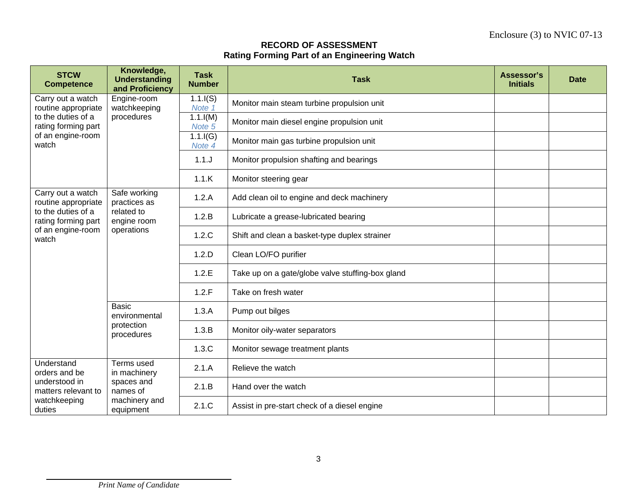| <b>STCW</b><br><b>Competence</b>                                        | Knowledge,<br><b>Understanding</b><br>and Proficiency | <b>Task</b><br><b>Number</b> | <b>Task</b>                                      | Assessor's<br><b>Initials</b> | <b>Date</b> |
|-------------------------------------------------------------------------|-------------------------------------------------------|------------------------------|--------------------------------------------------|-------------------------------|-------------|
| Carry out a watch<br>routine appropriate                                | Engine-room<br>watchkeeping                           | $1.1$ . $I(S)$<br>Note 1     | Monitor main steam turbine propulsion unit       |                               |             |
| to the duties of a<br>rating forming part<br>of an engine-room<br>watch | procedures                                            | $1.1$ . $I(M)$<br>Note 5     | Monitor main diesel engine propulsion unit       |                               |             |
|                                                                         |                                                       | $1.1$ .I(G)<br>Note 4        | Monitor main gas turbine propulsion unit         |                               |             |
|                                                                         |                                                       | 1.1J                         | Monitor propulsion shafting and bearings         |                               |             |
|                                                                         |                                                       | 1.1.K                        | Monitor steering gear                            |                               |             |
| Carry out a watch<br>routine appropriate                                | Safe working<br>practices as                          | 1.2.A                        | Add clean oil to engine and deck machinery       |                               |             |
| to the duties of a<br>rating forming part                               | related to<br>engine room<br>operations               | 1.2.B                        | Lubricate a grease-lubricated bearing            |                               |             |
| of an engine-room<br>watch                                              |                                                       | 1.2.C                        | Shift and clean a basket-type duplex strainer    |                               |             |
|                                                                         |                                                       | 1.2.D                        | Clean LO/FO purifier                             |                               |             |
|                                                                         |                                                       | 1.2.E                        | Take up on a gate/globe valve stuffing-box gland |                               |             |
|                                                                         |                                                       | 1.2.F                        | Take on fresh water                              |                               |             |
|                                                                         | <b>Basic</b><br>environmental                         | 1.3.A                        | Pump out bilges                                  |                               |             |
|                                                                         | protection<br>procedures                              | 1.3.B                        | Monitor oily-water separators                    |                               |             |
|                                                                         |                                                       | 1.3.C                        | Monitor sewage treatment plants                  |                               |             |
| Understand<br>orders and be                                             | Terms used<br>in machinery                            | 2.1.A                        | Relieve the watch                                |                               |             |
| understood in<br>matters relevant to                                    | spaces and<br>names of                                | 2.1.B                        | Hand over the watch                              |                               |             |
| watchkeeping<br>duties                                                  | machinery and<br>equipment                            | 2.1.C                        | Assist in pre-start check of a diesel engine     |                               |             |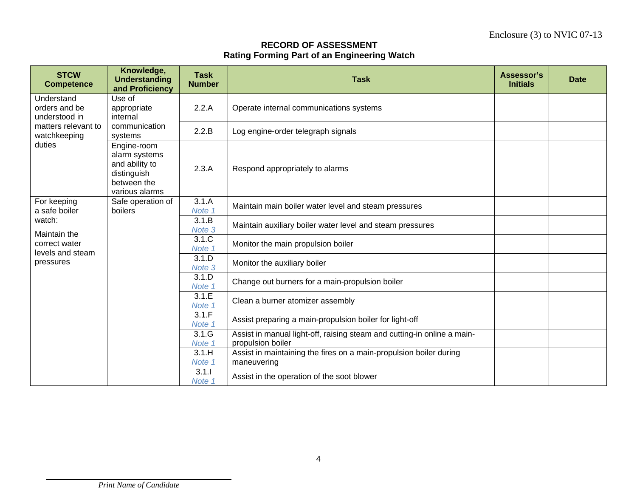| <b>STCW</b><br><b>Competence</b>                                                              | Knowledge,<br><b>Understanding</b><br>and Proficiency                                          | <b>Task</b><br><b>Number</b> | <b>Task</b>                                                                                  | Assessor's<br><b>Initials</b> | <b>Date</b> |
|-----------------------------------------------------------------------------------------------|------------------------------------------------------------------------------------------------|------------------------------|----------------------------------------------------------------------------------------------|-------------------------------|-------------|
| Understand<br>orders and be<br>understood in<br>matters relevant to<br>watchkeeping<br>duties | Use of<br>appropriate<br>internal                                                              | 2.2.A                        | Operate internal communications systems                                                      |                               |             |
|                                                                                               | communication<br>systems                                                                       | 2.2.B                        | Log engine-order telegraph signals                                                           |                               |             |
|                                                                                               | Engine-room<br>alarm systems<br>and ability to<br>distinguish<br>between the<br>various alarms | 2.3.A                        | Respond appropriately to alarms                                                              |                               |             |
| For keeping<br>a safe boiler                                                                  | Safe operation of<br>boilers                                                                   | 3.1.A<br>Note 1              | Maintain main boiler water level and steam pressures                                         |                               |             |
| watch:<br>Maintain the                                                                        |                                                                                                | 3.1.B<br>Note 3              | Maintain auxiliary boiler water level and steam pressures                                    |                               |             |
| correct water<br>levels and steam                                                             |                                                                                                | 3.1.C<br>Note 1              | Monitor the main propulsion boiler                                                           |                               |             |
| pressures                                                                                     |                                                                                                | 3.1.D<br>Note 3              | Monitor the auxiliary boiler                                                                 |                               |             |
|                                                                                               |                                                                                                | 3.1.D<br>Note 1              | Change out burners for a main-propulsion boiler                                              |                               |             |
|                                                                                               |                                                                                                | 3.1.E<br>Note 1              | Clean a burner atomizer assembly                                                             |                               |             |
|                                                                                               |                                                                                                | 3.1.F<br>Note 1              | Assist preparing a main-propulsion boiler for light-off                                      |                               |             |
|                                                                                               |                                                                                                | 3.1.G<br>Note 1              | Assist in manual light-off, raising steam and cutting-in online a main-<br>propulsion boiler |                               |             |
|                                                                                               |                                                                                                | 3.1.H<br>Note 1              | Assist in maintaining the fires on a main-propulsion boiler during<br>maneuvering            |                               |             |
|                                                                                               |                                                                                                | 3.1.1<br>Note 1              | Assist in the operation of the soot blower                                                   |                               |             |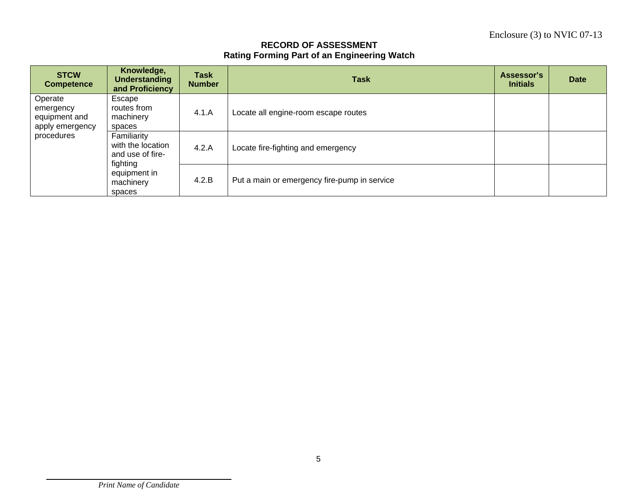| <b>STCW</b><br><b>Competence</b>                                       | Knowledge,<br><b>Understanding</b><br>and Proficiency                                                   | <b>Task</b><br><b>Number</b> | <b>Task</b>                                  | Assessor's<br><b>Initials</b> | <b>Date</b> |
|------------------------------------------------------------------------|---------------------------------------------------------------------------------------------------------|------------------------------|----------------------------------------------|-------------------------------|-------------|
| Operate<br>emergency<br>equipment and<br>apply emergency<br>procedures | Escape<br>routes from<br>machinery<br>spaces                                                            | 4.1.A                        | Locate all engine-room escape routes         |                               |             |
|                                                                        | Familiarity<br>with the location<br>and use of fire-<br>fighting<br>equipment in<br>machinery<br>spaces | 4.2.A                        | Locate fire-fighting and emergency           |                               |             |
|                                                                        |                                                                                                         | 4.2.B                        | Put a main or emergency fire-pump in service |                               |             |

*Print Name of Candidate*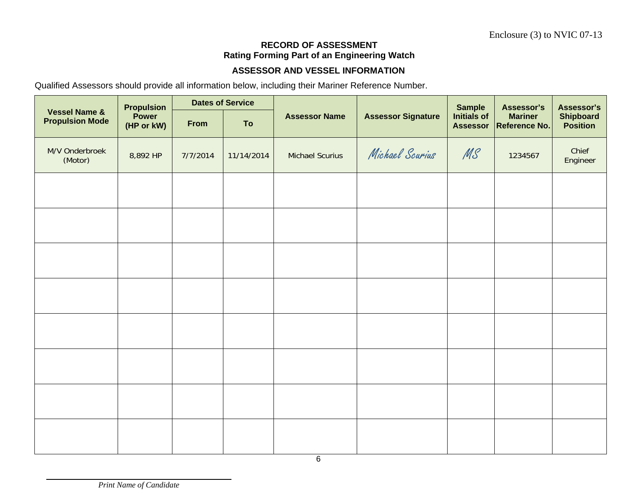#### **ASSESSOR AND VESSEL INFORMATION**

Qualified Assessors should provide all information below, including their Mariner Reference Number.

|                                                    | <b>Propulsion</b>   |          | <b>Dates of Service</b> |                        | <b>Sample</b>             | Assessor's<br><b>Mariner</b><br>1234567 | Assessor's    |                                     |
|----------------------------------------------------|---------------------|----------|-------------------------|------------------------|---------------------------|-----------------------------------------|---------------|-------------------------------------|
| <b>Vessel Name &amp;</b><br><b>Propulsion Mode</b> | Power<br>(HP or kW) | From     | To                      | <b>Assessor Name</b>   | <b>Assessor Signature</b> | Initials of<br><b>Assessor</b>          | Reference No. | <b>Shipboard</b><br><b>Position</b> |
| M/V Onderbroek<br>(Motor)                          | 8,892 HP            | 7/7/2014 | 11/14/2014              | <b>Michael Scurius</b> | Michael Scurius           | MS                                      |               | Chief<br>Engineer                   |
|                                                    |                     |          |                         |                        |                           |                                         |               |                                     |
|                                                    |                     |          |                         |                        |                           |                                         |               |                                     |
|                                                    |                     |          |                         |                        |                           |                                         |               |                                     |
|                                                    |                     |          |                         |                        |                           |                                         |               |                                     |
|                                                    |                     |          |                         |                        |                           |                                         |               |                                     |
|                                                    |                     |          |                         |                        |                           |                                         |               |                                     |
|                                                    |                     |          |                         |                        |                           |                                         |               |                                     |
|                                                    |                     |          |                         |                        |                           |                                         |               |                                     |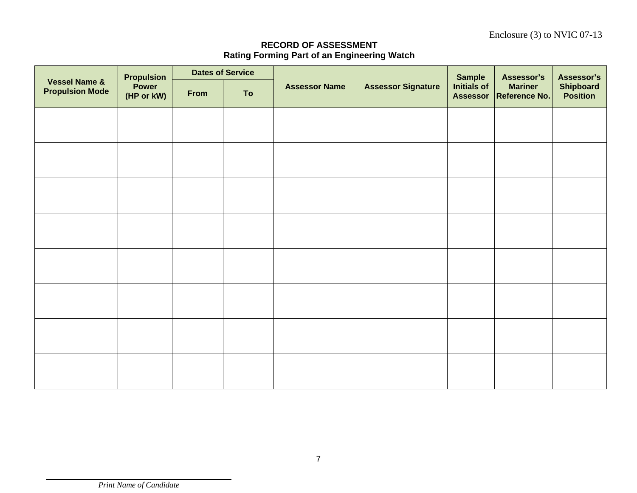Enclosure (3) to NVIC 07-13

| <b>Vessel Name &amp;</b><br><b>Propulsion Mode</b> | <b>Propulsion</b><br>Power<br>(HP or kW) | <b>Dates of Service</b> |    |                      |                           | <b>Sample</b>                  | Assessor's                      | Assessor's                          |
|----------------------------------------------------|------------------------------------------|-------------------------|----|----------------------|---------------------------|--------------------------------|---------------------------------|-------------------------------------|
|                                                    |                                          | From                    | To | <b>Assessor Name</b> | <b>Assessor Signature</b> | Initials of<br><b>Assessor</b> | <b>Mariner</b><br>Reference No. | <b>Shipboard</b><br><b>Position</b> |
|                                                    |                                          |                         |    |                      |                           |                                |                                 |                                     |
|                                                    |                                          |                         |    |                      |                           |                                |                                 |                                     |
|                                                    |                                          |                         |    |                      |                           |                                |                                 |                                     |
|                                                    |                                          |                         |    |                      |                           |                                |                                 |                                     |
|                                                    |                                          |                         |    |                      |                           |                                |                                 |                                     |
|                                                    |                                          |                         |    |                      |                           |                                |                                 |                                     |
|                                                    |                                          |                         |    |                      |                           |                                |                                 |                                     |
|                                                    |                                          |                         |    |                      |                           |                                |                                 |                                     |
|                                                    |                                          |                         |    |                      |                           |                                |                                 |                                     |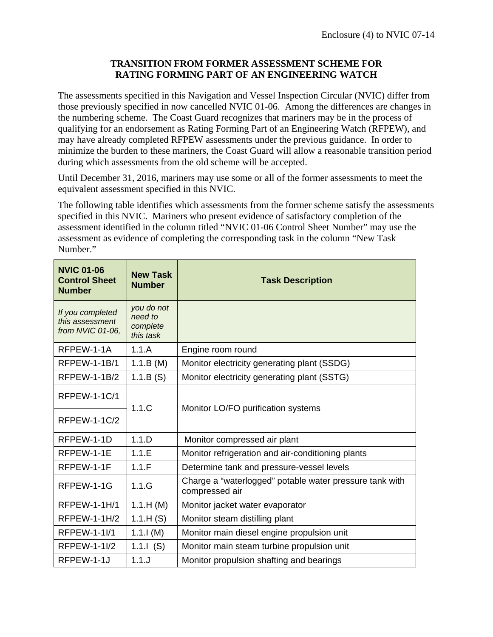#### **TRANSITION FROM FORMER ASSESSMENT SCHEME FOR RATING FORMING PART OF AN ENGINEERING WATCH**

The assessments specified in this Navigation and Vessel Inspection Circular (NVIC) differ from those previously specified in now cancelled NVIC 01-06. Among the differences are changes in the numbering scheme. The Coast Guard recognizes that mariners may be in the process of qualifying for an endorsement as Rating Forming Part of an Engineering Watch (RFPEW), and may have already completed RFPEW assessments under the previous guidance. In order to minimize the burden to these mariners, the Coast Guard will allow a reasonable transition period during which assessments from the old scheme will be accepted.

Until December 31, 2016, mariners may use some or all of the former assessments to meet the equivalent assessment specified in this NVIC.

The following table identifies which assessments from the former scheme satisfy the assessments specified in this NVIC. Mariners who present evidence of satisfactory completion of the assessment identified in the column titled "NVIC 01-06 Control Sheet Number" may use the assessment as evidence of completing the corresponding task in the column "New Task Number."

| <b>NVIC 01-06</b><br><b>Control Sheet</b><br><b>Number</b> | <b>New Task</b><br><b>Number</b>               | <b>Task Description</b>                                                   |  |  |
|------------------------------------------------------------|------------------------------------------------|---------------------------------------------------------------------------|--|--|
| If you completed<br>this assessment<br>from NVIC 01-06,    | you do not<br>need to<br>complete<br>this task |                                                                           |  |  |
| RFPEW-1-1A                                                 | 1.1.A                                          | Engine room round                                                         |  |  |
| <b>RFPEW-1-1B/1</b>                                        | 1.1.B (M)                                      | Monitor electricity generating plant (SSDG)                               |  |  |
| <b>RFPEW-1-1B/2</b>                                        | 1.1.B(S)                                       | Monitor electricity generating plant (SSTG)                               |  |  |
| <b>RFPEW-1-1C/1</b>                                        | 1.1.C                                          | Monitor LO/FO purification systems                                        |  |  |
| <b>RFPEW-1-1C/2</b>                                        |                                                |                                                                           |  |  |
| RFPEW-1-1D                                                 | 1.1.D                                          | Monitor compressed air plant                                              |  |  |
| RFPEW-1-1E                                                 | 1.1.E                                          | Monitor refrigeration and air-conditioning plants                         |  |  |
| RFPEW-1-1F                                                 | 1.1.F                                          | Determine tank and pressure-vessel levels                                 |  |  |
| RFPEW-1-1G<br>1.1.G                                        |                                                | Charge a "waterlogged" potable water pressure tank with<br>compressed air |  |  |
| <b>RFPEW-1-1H/1</b>                                        | 1.1.H (M)                                      | Monitor jacket water evaporator                                           |  |  |
| RFPEW-1-1H/2                                               | 1.1.H(S)                                       | Monitor steam distilling plant                                            |  |  |
| RFPEW-1-1I/1                                               | 1.1.1(M)                                       | Monitor main diesel engine propulsion unit                                |  |  |
| <b>RFPEW-1-1I/2</b>                                        | 1.1. $(S)$                                     | Monitor main steam turbine propulsion unit                                |  |  |
| 1.1.<br>RFPEW-1-1J                                         |                                                | Monitor propulsion shafting and bearings                                  |  |  |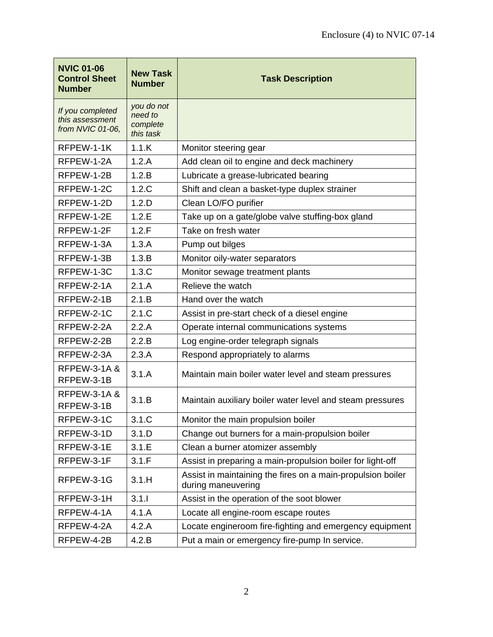| <b>NVIC 01-06</b><br><b>Control Sheet</b><br><b>Number</b> | <b>New Task</b><br><b>Number</b>               | <b>Task Description</b>                                                           |  |
|------------------------------------------------------------|------------------------------------------------|-----------------------------------------------------------------------------------|--|
| If you completed<br>this assessment<br>from NVIC 01-06,    | you do not<br>need to<br>complete<br>this task |                                                                                   |  |
| RFPEW-1-1K                                                 | 1.1.K                                          | Monitor steering gear                                                             |  |
| RFPEW-1-2A                                                 | 1.2.A                                          | Add clean oil to engine and deck machinery                                        |  |
| RFPEW-1-2B                                                 | 1.2.B                                          | Lubricate a grease-lubricated bearing                                             |  |
| RFPEW-1-2C                                                 | 1.2.C                                          | Shift and clean a basket-type duplex strainer                                     |  |
| RFPEW-1-2D                                                 | 1.2.D                                          | Clean LO/FO purifier                                                              |  |
| RFPEW-1-2E                                                 | 1.2.E                                          | Take up on a gate/globe valve stuffing-box gland                                  |  |
| RFPEW-1-2F                                                 | 1.2.F                                          | Take on fresh water                                                               |  |
| RFPEW-1-3A                                                 | 1.3.A                                          | Pump out bilges                                                                   |  |
| RFPEW-1-3B                                                 | 1.3.B                                          | Monitor oily-water separators                                                     |  |
| RFPEW-1-3C                                                 | 1.3.C                                          | Monitor sewage treatment plants                                                   |  |
| RFPEW-2-1A                                                 | 2.1.A                                          | Relieve the watch                                                                 |  |
| RFPEW-2-1B                                                 | 2.1.B                                          | Hand over the watch                                                               |  |
| RFPEW-2-1C                                                 | 2.1.C                                          | Assist in pre-start check of a diesel engine                                      |  |
| RFPEW-2-2A                                                 | 2.2.A                                          | Operate internal communications systems                                           |  |
| RFPEW-2-2B                                                 | 2.2.B                                          | Log engine-order telegraph signals                                                |  |
| RFPEW-2-3A                                                 | 2.3.A                                          | Respond appropriately to alarms                                                   |  |
| <b>RFPEW-3-1A &amp;</b><br>RFPEW-3-1B                      | 3.1.A                                          | Maintain main boiler water level and steam pressures                              |  |
| <b>RFPEW-3-1A &amp;</b><br>RFPEW-3-1B                      | 3.1.B                                          | Maintain auxiliary boiler water level and steam pressures                         |  |
| RFPEW-3-1C                                                 | 3.1.C                                          | Monitor the main propulsion boiler                                                |  |
| RFPEW-3-1D                                                 | 3.1.D                                          | Change out burners for a main-propulsion boiler                                   |  |
| RFPEW-3-1E                                                 | 3.1.E                                          | Clean a burner atomizer assembly                                                  |  |
| RFPEW-3-1F                                                 | 3.1.F                                          | Assist in preparing a main-propulsion boiler for light-off                        |  |
| RFPEW-3-1G                                                 | 3.1.H                                          | Assist in maintaining the fires on a main-propulsion boiler<br>during maneuvering |  |
| RFPEW-3-1H                                                 | 3.1.1                                          | Assist in the operation of the soot blower                                        |  |
| RFPEW-4-1A                                                 | 4.1.A                                          | Locate all engine-room escape routes                                              |  |
| RFPEW-4-2A                                                 | 4.2.A                                          | Locate engineroom fire-fighting and emergency equipment                           |  |
| RFPEW-4-2B                                                 | 4.2.B                                          | Put a main or emergency fire-pump In service.                                     |  |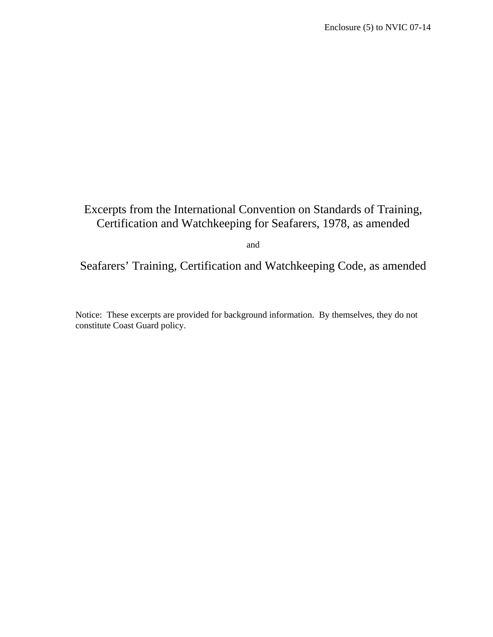# Excerpts from the International Convention on Standards of Training, Certification and Watchkeeping for Seafarers, 1978, as amended

and

Seafarers' Training, Certification and Watchkeeping Code, as amended

Notice: These excerpts are provided for background information. By themselves, they do not constitute Coast Guard policy.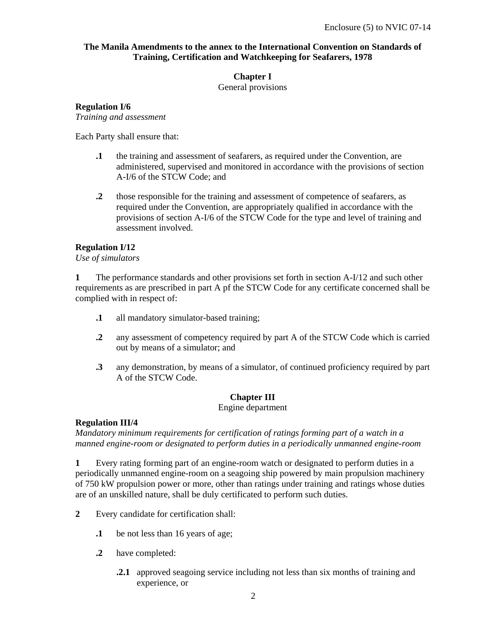#### **The Manila Amendments to the annex to the International Convention on Standards of Training, Certification and Watchkeeping for Seafarers, 1978**

#### **Chapter I**

General provisions

#### **Regulation I/6**

*Training and assessment* 

Each Party shall ensure that:

- **.1** the training and assessment of seafarers, as required under the Convention, are administered, supervised and monitored in accordance with the provisions of section A-I/6 of the STCW Code; and
- **.2** those responsible for the training and assessment of competence of seafarers, as required under the Convention, are appropriately qualified in accordance with the provisions of section A-I/6 of the STCW Code for the type and level of training and assessment involved.

#### **Regulation I/12**

*Use of simulators* 

**1** The performance standards and other provisions set forth in section A-I/12 and such other requirements as are prescribed in part A pf the STCW Code for any certificate concerned shall be complied with in respect of:

- **.1** all mandatory simulator-based training;
- **.2** any assessment of competency required by part A of the STCW Code which is carried out by means of a simulator; and
- **.3** any demonstration, by means of a simulator, of continued proficiency required by part A of the STCW Code.

#### **Chapter III**

#### Engine department

#### **Regulation III/4**

*Mandatory minimum requirements for certification of ratings forming part of a watch in a manned engine-room or designated to perform duties in a periodically unmanned engine-room* 

**1** Every rating forming part of an engine-room watch or designated to perform duties in a periodically unmanned engine-room on a seagoing ship powered by main propulsion machinery of 750 kW propulsion power or more, other than ratings under training and ratings whose duties are of an unskilled nature, shall be duly certificated to perform such duties.

- **2** Every candidate for certification shall:
	- **.1** be not less than 16 years of age;
	- **.2** have completed:
		- **.2.1** approved seagoing service including not less than six months of training and experience, or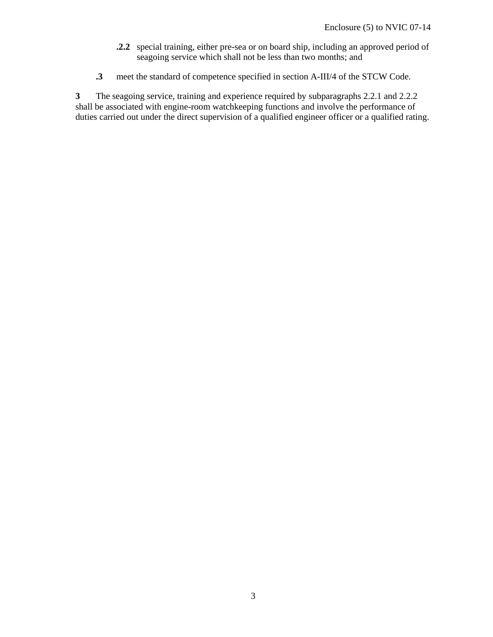- **.2.2** special training, either pre-sea or on board ship, including an approved period of seagoing service which shall not be less than two months; and
- **.3** meet the standard of competence specified in section A-III/4 of the STCW Code.

**3** The seagoing service, training and experience required by subparagraphs 2.2.1 and 2.2.2 shall be associated with engine-room watchkeeping functions and involve the performance of duties carried out under the direct supervision of a qualified engineer officer or a qualified rating.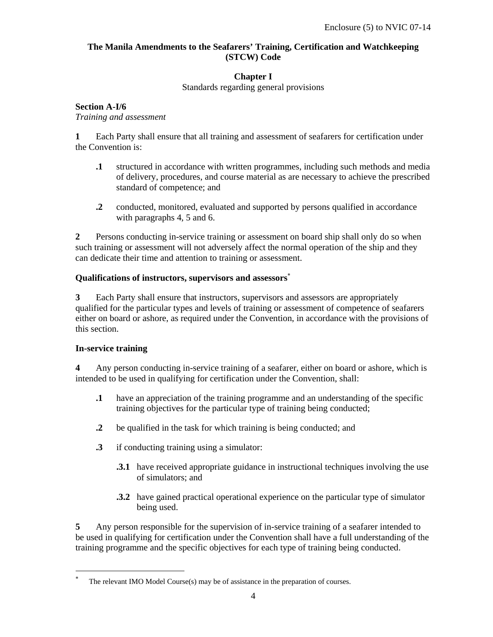#### **The Manila Amendments to the Seafarers' Training, Certification and Watchkeeping (STCW) Code**

#### **Chapter I**

Standards regarding general provisions

#### **Section A-I/6**

*Training and assessment* 

**1** Each Party shall ensure that all training and assessment of seafarers for certification under the Convention is:

- **.1** structured in accordance with written programmes, including such methods and media of delivery, procedures, and course material as are necessary to achieve the prescribed standard of competence; and
- **.2** conducted, monitored, evaluated and supported by persons qualified in accordance with paragraphs 4, 5 and 6.

**2** Persons conducting in-service training or assessment on board ship shall only do so when such training or assessment will not adversely affect the normal operation of the ship and they can dedicate their time and attention to training or assessment.

#### **Qualifications of instructors, supervisors and assessors**<sup>∗</sup>

**3** Each Party shall ensure that instructors, supervisors and assessors are appropriately qualified for the particular types and levels of training or assessment of competence of seafarers either on board or ashore, as required under the Convention, in accordance with the provisions of this section.

#### **In-service training**

-

**4** Any person conducting in-service training of a seafarer, either on board or ashore, which is intended to be used in qualifying for certification under the Convention, shall:

- **.1** have an appreciation of the training programme and an understanding of the specific training objectives for the particular type of training being conducted;
- **.2** be qualified in the task for which training is being conducted; and
- **.3** if conducting training using a simulator:
	- **3.1** have received appropriate guidance in instructional techniques involving the use of simulators; and
	- **.3.2** have gained practical operational experience on the particular type of simulator being used.

**5** Any person responsible for the supervision of in-service training of a seafarer intended to be used in qualifying for certification under the Convention shall have a full understanding of the training programme and the specific objectives for each type of training being conducted.

<sup>∗</sup> The relevant IMO Model Course(s) may be of assistance in the preparation of courses.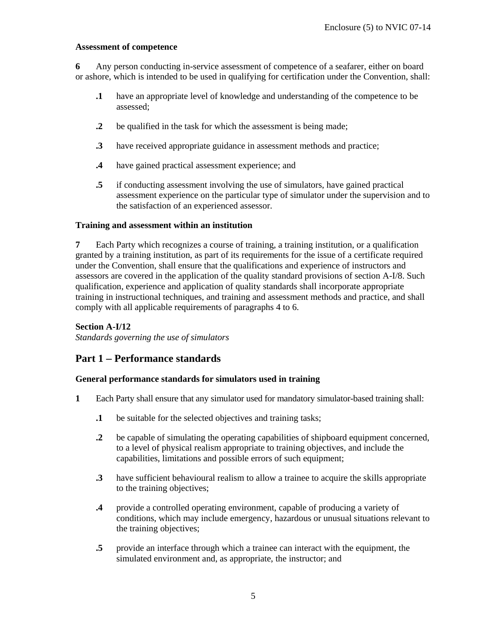#### **Assessment of competence**

**6** Any person conducting in-service assessment of competence of a seafarer, either on board or ashore, which is intended to be used in qualifying for certification under the Convention, shall:

- **.1** have an appropriate level of knowledge and understanding of the competence to be assessed;
- **.2** be qualified in the task for which the assessment is being made;
- **.3** have received appropriate guidance in assessment methods and practice;
- **.4** have gained practical assessment experience; and
- **.5** if conducting assessment involving the use of simulators, have gained practical assessment experience on the particular type of simulator under the supervision and to the satisfaction of an experienced assessor.

#### **Training and assessment within an institution**

**7** Each Party which recognizes a course of training, a training institution, or a qualification granted by a training institution, as part of its requirements for the issue of a certificate required under the Convention, shall ensure that the qualifications and experience of instructors and assessors are covered in the application of the quality standard provisions of section A-I/8. Such qualification, experience and application of quality standards shall incorporate appropriate training in instructional techniques, and training and assessment methods and practice, and shall comply with all applicable requirements of paragraphs 4 to 6.

#### **Section A-I/12**

*Standards governing the use of simulators* 

#### **Part 1** − **Performance standards**

#### **General performance standards for simulators used in training**

- **1** Each Party shall ensure that any simulator used for mandatory simulator-based training shall:
	- **.1** be suitable for the selected objectives and training tasks;
	- **.2** be capable of simulating the operating capabilities of shipboard equipment concerned, to a level of physical realism appropriate to training objectives, and include the capabilities, limitations and possible errors of such equipment;
	- **.3** have sufficient behavioural realism to allow a trainee to acquire the skills appropriate to the training objectives;
	- **.4** provide a controlled operating environment, capable of producing a variety of conditions, which may include emergency, hazardous or unusual situations relevant to the training objectives;
	- **.5** provide an interface through which a trainee can interact with the equipment, the simulated environment and, as appropriate, the instructor; and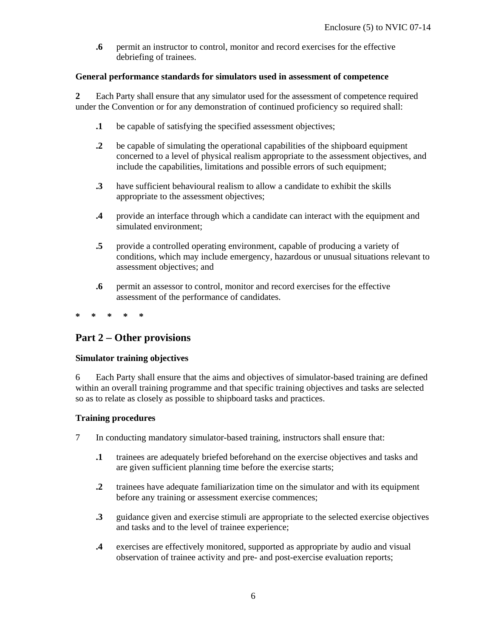**.6** permit an instructor to control, monitor and record exercises for the effective debriefing of trainees.

#### **General performance standards for simulators used in assessment of competence**

**2** Each Party shall ensure that any simulator used for the assessment of competence required under the Convention or for any demonstration of continued proficiency so required shall:

- **.1** be capable of satisfying the specified assessment objectives;
- **.2** be capable of simulating the operational capabilities of the shipboard equipment concerned to a level of physical realism appropriate to the assessment objectives, and include the capabilities, limitations and possible errors of such equipment;
- **.3** have sufficient behavioural realism to allow a candidate to exhibit the skills appropriate to the assessment objectives;
- **.4** provide an interface through which a candidate can interact with the equipment and simulated environment;
- **.5** provide a controlled operating environment, capable of producing a variety of conditions, which may include emergency, hazardous or unusual situations relevant to assessment objectives; and
- **.6** permit an assessor to control, monitor and record exercises for the effective assessment of the performance of candidates.
- **\* \* \* \* \***

# **Part 2** − **Other provisions**

#### **Simulator training objectives**

6 Each Party shall ensure that the aims and objectives of simulator-based training are defined within an overall training programme and that specific training objectives and tasks are selected so as to relate as closely as possible to shipboard tasks and practices.

#### **Training procedures**

- 7 In conducting mandatory simulator-based training, instructors shall ensure that:
	- **.1** trainees are adequately briefed beforehand on the exercise objectives and tasks and are given sufficient planning time before the exercise starts;
	- **.2** trainees have adequate familiarization time on the simulator and with its equipment before any training or assessment exercise commences;
	- **.3** guidance given and exercise stimuli are appropriate to the selected exercise objectives and tasks and to the level of trainee experience;
	- **.4** exercises are effectively monitored, supported as appropriate by audio and visual observation of trainee activity and pre- and post-exercise evaluation reports;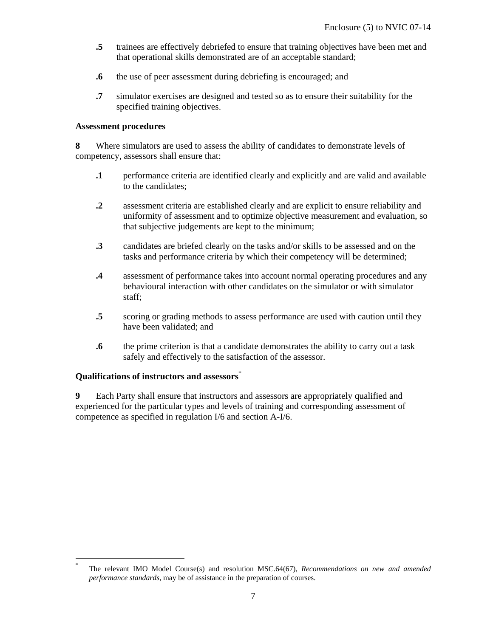- **.5** trainees are effectively debriefed to ensure that training objectives have been met and that operational skills demonstrated are of an acceptable standard;
- **.6** the use of peer assessment during debriefing is encouraged; and
- **.7** simulator exercises are designed and tested so as to ensure their suitability for the specified training objectives.

#### **Assessment procedures**

**8** Where simulators are used to assess the ability of candidates to demonstrate levels of competency, assessors shall ensure that:

- **.1** performance criteria are identified clearly and explicitly and are valid and available to the candidates;
- **.2** assessment criteria are established clearly and are explicit to ensure reliability and uniformity of assessment and to optimize objective measurement and evaluation, so that subjective judgements are kept to the minimum;
- **.3** candidates are briefed clearly on the tasks and/or skills to be assessed and on the tasks and performance criteria by which their competency will be determined;
- **.4** assessment of performance takes into account normal operating procedures and any behavioural interaction with other candidates on the simulator or with simulator staff;
- **.5** scoring or grading methods to assess performance are used with caution until they have been validated; and
- **.6** the prime criterion is that a candidate demonstrates the ability to carry out a task safely and effectively to the satisfaction of the assessor.

#### **Qualifications of instructors and assessors**\*

-

**9** Each Party shall ensure that instructors and assessors are appropriately qualified and experienced for the particular types and levels of training and corresponding assessment of competence as specified in regulation I/6 and section A-I/6.

<sup>\*</sup> The relevant IMO Model Course(s) and resolution MSC.64(67), *Recommendations on new and amended performance standards*, may be of assistance in the preparation of courses.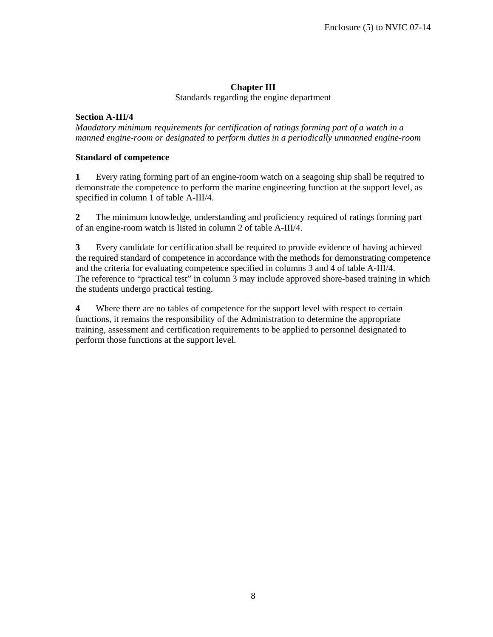# **Chapter III**

Standards regarding the engine department

#### **Section A-III/4**

*Mandatory minimum requirements for certification of ratings forming part of a watch in a manned engine-room or designated to perform duties in a periodically unmanned engine-room* 

#### **Standard of competence**

**1** Every rating forming part of an engine-room watch on a seagoing ship shall be required to demonstrate the competence to perform the marine engineering function at the support level, as specified in column 1 of table A-III/4.

**2** The minimum knowledge, understanding and proficiency required of ratings forming part of an engine-room watch is listed in column 2 of table A-III/4.

**3** Every candidate for certification shall be required to provide evidence of having achieved the required standard of competence in accordance with the methods for demonstrating competence and the criteria for evaluating competence specified in columns 3 and 4 of table A-III/4. The reference to "practical test" in column 3 may include approved shore-based training in which the students undergo practical testing.

**4** Where there are no tables of competence for the support level with respect to certain functions, it remains the responsibility of the Administration to determine the appropriate training, assessment and certification requirements to be applied to personnel designated to perform those functions at the support level.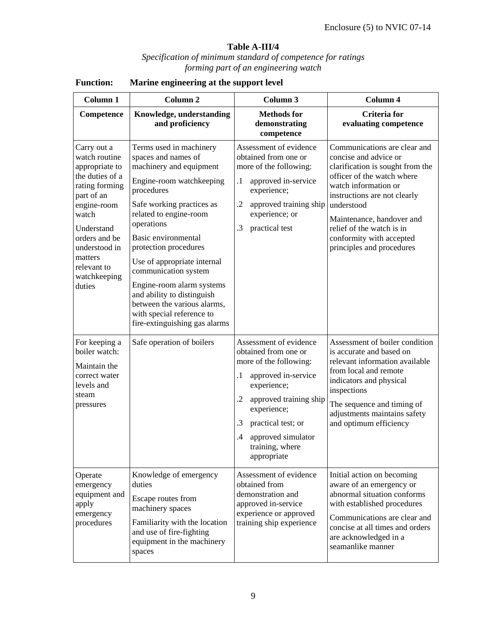# **Table A-III/4**

#### *Specification of minimum standard of competence for ratings forming part of an engineering watch*

| Column 1                                                                                                                                                                                                                      | Column <sub>2</sub>                                                                                                                                                                                                                                                                                                                                                                                                                                     | Column 3                                                                                                                                                                                                                                                      | Column 4                                                                                                                                                                                                                                                                                                         |  |
|-------------------------------------------------------------------------------------------------------------------------------------------------------------------------------------------------------------------------------|---------------------------------------------------------------------------------------------------------------------------------------------------------------------------------------------------------------------------------------------------------------------------------------------------------------------------------------------------------------------------------------------------------------------------------------------------------|---------------------------------------------------------------------------------------------------------------------------------------------------------------------------------------------------------------------------------------------------------------|------------------------------------------------------------------------------------------------------------------------------------------------------------------------------------------------------------------------------------------------------------------------------------------------------------------|--|
| Competence                                                                                                                                                                                                                    | Knowledge, understanding<br>and proficiency                                                                                                                                                                                                                                                                                                                                                                                                             | <b>Methods</b> for<br>demonstrating<br>competence                                                                                                                                                                                                             | <b>Criteria</b> for<br>evaluating competence                                                                                                                                                                                                                                                                     |  |
| Carry out a<br>watch routine<br>appropriate to<br>the duties of a<br>rating forming<br>part of an<br>engine-room<br>watch<br>Understand<br>orders and be<br>understood in<br>matters<br>relevant to<br>watchkeeping<br>duties | Terms used in machinery<br>spaces and names of<br>machinery and equipment<br>Engine-room watchkeeping<br>procedures<br>Safe working practices as<br>related to engine-room<br>operations<br>Basic environmental<br>protection procedures<br>Use of appropriate internal<br>communication system<br>Engine-room alarm systems<br>and ability to distinguish<br>between the various alarms,<br>with special reference to<br>fire-extinguishing gas alarms | Assessment of evidence<br>obtained from one or<br>more of the following:<br>approved in-service<br>$\cdot$ 1<br>experience;<br>$\cdot$<br>approved training ship<br>experience; or<br>.3<br>practical test                                                    | Communications are clear and<br>concise and advice or<br>clarification is sought from the<br>officer of the watch where<br>watch information or<br>instructions are not clearly<br>understood<br>Maintenance, handover and<br>relief of the watch is in<br>conformity with accepted<br>principles and procedures |  |
| For keeping a<br>boiler watch:<br>Maintain the<br>correct water<br>levels and<br>steam<br>pressures                                                                                                                           | Safe operation of boilers                                                                                                                                                                                                                                                                                                                                                                                                                               | Assessment of evidence<br>obtained from one or<br>more of the following:<br>approved in-service<br>.1<br>experience;<br>approved training ship<br>.2<br>experience;<br>practical test; or<br>.3<br>approved simulator<br>.4<br>training, where<br>appropriate | Assessment of boiler condition<br>is accurate and based on<br>relevant information available<br>from local and remote<br>indicators and physical<br>inspections<br>The sequence and timing of<br>adjustments maintains safety<br>and optimum efficiency                                                          |  |
| Operate<br>emergency<br>equipment and<br>apply<br>emergency<br>procedures                                                                                                                                                     | Knowledge of emergency<br>duties<br>Escape routes from<br>machinery spaces<br>Familiarity with the location<br>and use of fire-fighting<br>equipment in the machinery<br>spaces                                                                                                                                                                                                                                                                         | Assessment of evidence<br>obtained from<br>demonstration and<br>approved in-service<br>experience or approved<br>training ship experience                                                                                                                     | Initial action on becoming<br>aware of an emergency or<br>abnormal situation conforms<br>with established procedures<br>Communications are clear and<br>concise at all times and orders<br>are acknowledged in a<br>seamanlike manner                                                                            |  |

# **Function: Marine engineering at the support level**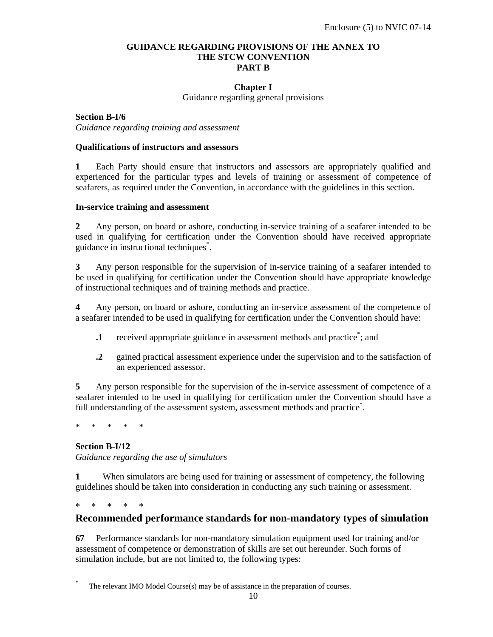#### **GUIDANCE REGARDING PROVISIONS OF THE ANNEX TO THE STCW CONVENTION PART B**

#### **Chapter I**

Guidance regarding general provisions

**Section B-I/6** *Guidance regarding training and assessment* 

#### **Qualifications of instructors and assessors**

**1** Each Party should ensure that instructors and assessors are appropriately qualified and experienced for the particular types and levels of training or assessment of competence of seafarers, as required under the Convention, in accordance with the guidelines in this section.

#### **In-service training and assessment**

**2** Any person, on board or ashore, conducting in-service training of a seafarer intended to be used in qualifying for certification under the Convention should have received appropriate guidance in instructional techniques\* .

**3** Any person responsible for the supervision of in-service training of a seafarer intended to be used in qualifying for certification under the Convention should have appropriate knowledge of instructional techniques and of training methods and practice.

**4** Any person, on board or ashore, conducting an in-service assessment of the competence of a seafarer intended to be used in qualifying for certification under the Convention should have:

- **1** received appropriate guidance in assessment methods and practice<sup>\*</sup>; and
- **.2** gained practical assessment experience under the supervision and to the satisfaction of an experienced assessor.

**5** Any person responsible for the supervision of the in-service assessment of competence of a seafarer intended to be used in qualifying for certification under the Convention should have a full understanding of the assessment system, assessment methods and practice<sup>\*</sup>.

\* \* \* \* \*

#### **Section B-I/12**

*Guidance regarding the use of simulators* 

**1** When simulators are being used for training or assessment of competency, the following guidelines should be taken into consideration in conducting any such training or assessment.

\* \* \* \* \*

-

#### **Recommended performance standards for non-mandatory types of simulation**

**67** Performance standards for non-mandatory simulation equipment used for training and/or assessment of competence or demonstration of skills are set out hereunder. Such forms of simulation include, but are not limited to, the following types:

<sup>\*</sup> The relevant IMO Model Course(s) may be of assistance in the preparation of courses.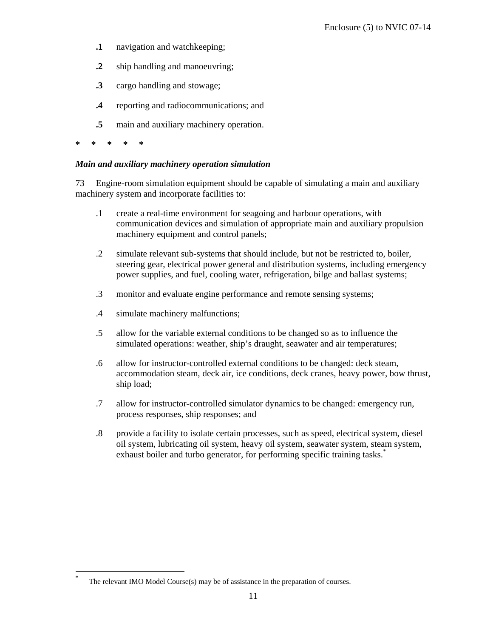- **.1** navigation and watchkeeping;
- **.2** ship handling and manoeuvring;
- **.3** cargo handling and stowage;
- **.4** reporting and radiocommunications; and
- **.5** main and auxiliary machinery operation.
- **\* \* \* \* \***

-

#### *Main and auxiliary machinery operation simulation*

73 Engine-room simulation equipment should be capable of simulating a main and auxiliary machinery system and incorporate facilities to:

- .1 create a real-time environment for seagoing and harbour operations, with communication devices and simulation of appropriate main and auxiliary propulsion machinery equipment and control panels;
- .2 simulate relevant sub-systems that should include, but not be restricted to, boiler, steering gear, electrical power general and distribution systems, including emergency power supplies, and fuel, cooling water, refrigeration, bilge and ballast systems;
- .3 monitor and evaluate engine performance and remote sensing systems;
- .4 simulate machinery malfunctions;
- .5 allow for the variable external conditions to be changed so as to influence the simulated operations: weather, ship's draught, seawater and air temperatures;
- .6 allow for instructor-controlled external conditions to be changed: deck steam, accommodation steam, deck air, ice conditions, deck cranes, heavy power, bow thrust, ship load;
- .7 allow for instructor-controlled simulator dynamics to be changed: emergency run, process responses, ship responses; and
- .8 provide a facility to isolate certain processes, such as speed, electrical system, diesel oil system, lubricating oil system, heavy oil system, seawater system, steam system, exhaust boiler and turbo generator, for performing specific training tasks.<sup>\*</sup>

The relevant IMO Model Course(s) may be of assistance in the preparation of courses.